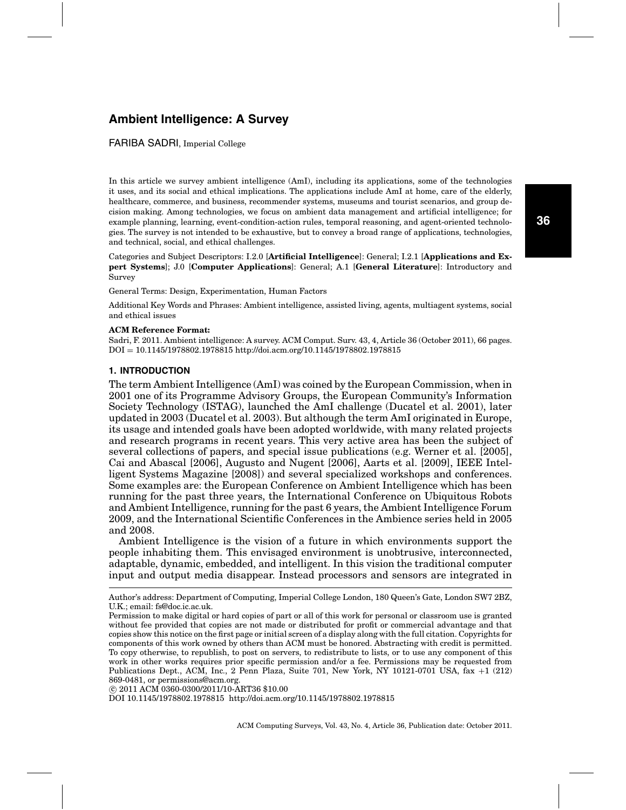FARIBA SADRI, Imperial College

In this article we survey ambient intelligence (AmI), including its applications, some of the technologies it uses, and its social and ethical implications. The applications include AmI at home, care of the elderly, healthcare, commerce, and business, recommender systems, museums and tourist scenarios, and group decision making. Among technologies, we focus on ambient data management and artificial intelligence; for example planning, learning, event-condition-action rules, temporal reasoning, and agent-oriented technologies. The survey is not intended to be exhaustive, but to convey a broad range of applications, technologies, and technical, social, and ethical challenges.

Categories and Subject Descriptors: I.2.0 [**Artificial Intelligence**]: General; I.2.1 [**Applications and Expert Systems**]; J.0 [**Computer Applications**]: General; A.1 [**General Literature**]: Introductory and Survey

General Terms: Design, Experimentation, Human Factors

Additional Key Words and Phrases: Ambient intelligence, assisted living, agents, multiagent systems, social and ethical issues

## **ACM Reference Format:**

Sadri, F. 2011. Ambient intelligence: A survey. ACM Comput. Surv. 43, 4, Article 36 (October 2011), 66 pages. DOI = 10.1145/1978802.1978815 http://doi.acm.org/10.1145/1978802.1978815

## **1. INTRODUCTION**

The term Ambient Intelligence (AmI) was coined by the European Commission, when in 2001 one of its Programme Advisory Groups, the European Community's Information Society Technology (ISTAG), launched the AmI challenge (Ducatel et al. 2001), later updated in 2003 (Ducatel et al. 2003). But although the term AmI originated in Europe, its usage and intended goals have been adopted worldwide, with many related projects and research programs in recent years. This very active area has been the subject of several collections of papers, and special issue publications (e.g. Werner et al. [2005], Cai and Abascal [2006], Augusto and Nugent [2006], Aarts et al. [2009], IEEE Intelligent Systems Magazine [2008]) and several specialized workshops and conferences. Some examples are: the European Conference on Ambient Intelligence which has been running for the past three years, the International Conference on Ubiquitous Robots and Ambient Intelligence, running for the past 6 years, the Ambient Intelligence Forum 2009, and the International Scientific Conferences in the Ambience series held in 2005 and 2008.

Ambient Intelligence is the vision of a future in which environments support the people inhabiting them. This envisaged environment is unobtrusive, interconnected, adaptable, dynamic, embedded, and intelligent. In this vision the traditional computer input and output media disappear. Instead processors and sensors are integrated in

-c 2011 ACM 0360-0300/2011/10-ART36 \$10.00

DOI 10.1145/1978802.1978815 http://doi.acm.org/10.1145/1978802.1978815

Author's address: Department of Computing, Imperial College London, 180 Queen's Gate, London SW7 2BZ, U.K.; email: fs@doc.ic.ac.uk.

Permission to make digital or hard copies of part or all of this work for personal or classroom use is granted without fee provided that copies are not made or distributed for profit or commercial advantage and that copies show this notice on the first page or initial screen of a display along with the full citation. Copyrights for components of this work owned by others than ACM must be honored. Abstracting with credit is permitted. To copy otherwise, to republish, to post on servers, to redistribute to lists, or to use any component of this work in other works requires prior specific permission and/or a fee. Permissions may be requested from Publications Dept., ACM, Inc., 2 Penn Plaza, Suite 701, New York, NY 10121-0701 USA, fax +1 (212) 869-0481, or permissions@acm.org.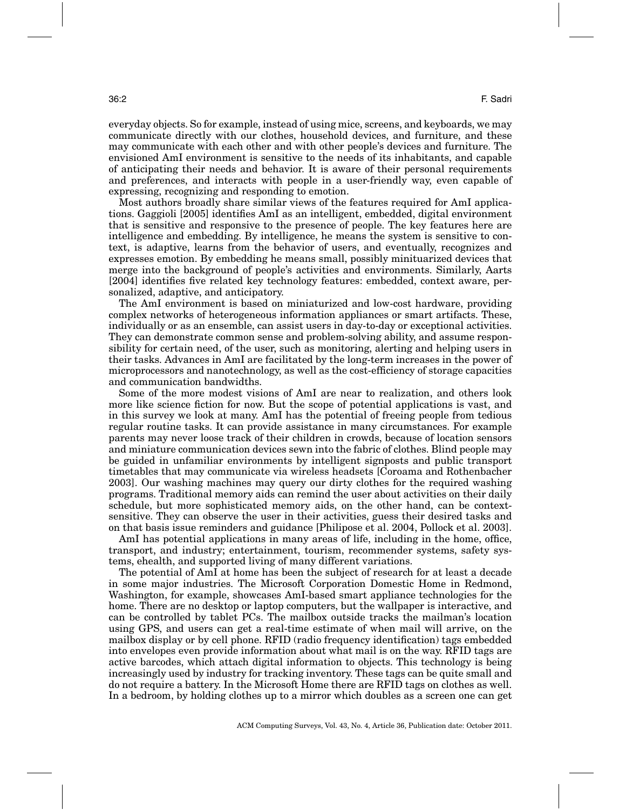everyday objects. So for example, instead of using mice, screens, and keyboards, we may communicate directly with our clothes, household devices, and furniture, and these may communicate with each other and with other people's devices and furniture. The envisioned AmI environment is sensitive to the needs of its inhabitants, and capable of anticipating their needs and behavior. It is aware of their personal requirements and preferences, and interacts with people in a user-friendly way, even capable of expressing, recognizing and responding to emotion.

Most authors broadly share similar views of the features required for AmI applications. Gaggioli [2005] identifies AmI as an intelligent, embedded, digital environment that is sensitive and responsive to the presence of people. The key features here are intelligence and embedding. By intelligence, he means the system is sensitive to context, is adaptive, learns from the behavior of users, and eventually, recognizes and expresses emotion. By embedding he means small, possibly minituarized devices that merge into the background of people's activities and environments. Similarly, Aarts [2004] identifies five related key technology features: embedded, context aware, personalized, adaptive, and anticipatory.

The AmI environment is based on miniaturized and low-cost hardware, providing complex networks of heterogeneous information appliances or smart artifacts. These, individually or as an ensemble, can assist users in day-to-day or exceptional activities. They can demonstrate common sense and problem-solving ability, and assume responsibility for certain need, of the user, such as monitoring, alerting and helping users in their tasks. Advances in AmI are facilitated by the long-term increases in the power of microprocessors and nanotechnology, as well as the cost-efficiency of storage capacities and communication bandwidths.

Some of the more modest visions of AmI are near to realization, and others look more like science fiction for now. But the scope of potential applications is vast, and in this survey we look at many. AmI has the potential of freeing people from tedious regular routine tasks. It can provide assistance in many circumstances. For example parents may never loose track of their children in crowds, because of location sensors and miniature communication devices sewn into the fabric of clothes. Blind people may be guided in unfamiliar environments by intelligent signposts and public transport timetables that may communicate via wireless headsets [Coroama and Rothenbacher 2003]. Our washing machines may query our dirty clothes for the required washing programs. Traditional memory aids can remind the user about activities on their daily schedule, but more sophisticated memory aids, on the other hand, can be contextsensitive. They can observe the user in their activities, guess their desired tasks and on that basis issue reminders and guidance [Philipose et al. 2004, Pollock et al. 2003].

AmI has potential applications in many areas of life, including in the home, office, transport, and industry; entertainment, tourism, recommender systems, safety systems, ehealth, and supported living of many different variations.

The potential of AmI at home has been the subject of research for at least a decade in some major industries. The Microsoft Corporation Domestic Home in Redmond, Washington, for example, showcases AmI-based smart appliance technologies for the home. There are no desktop or laptop computers, but the wallpaper is interactive, and can be controlled by tablet PCs. The mailbox outside tracks the mailman's location using GPS, and users can get a real-time estimate of when mail will arrive, on the mailbox display or by cell phone. RFID (radio frequency identification) tags embedded into envelopes even provide information about what mail is on the way. RFID tags are active barcodes, which attach digital information to objects. This technology is being increasingly used by industry for tracking inventory. These tags can be quite small and do not require a battery. In the Microsoft Home there are RFID tags on clothes as well. In a bedroom, by holding clothes up to a mirror which doubles as a screen one can get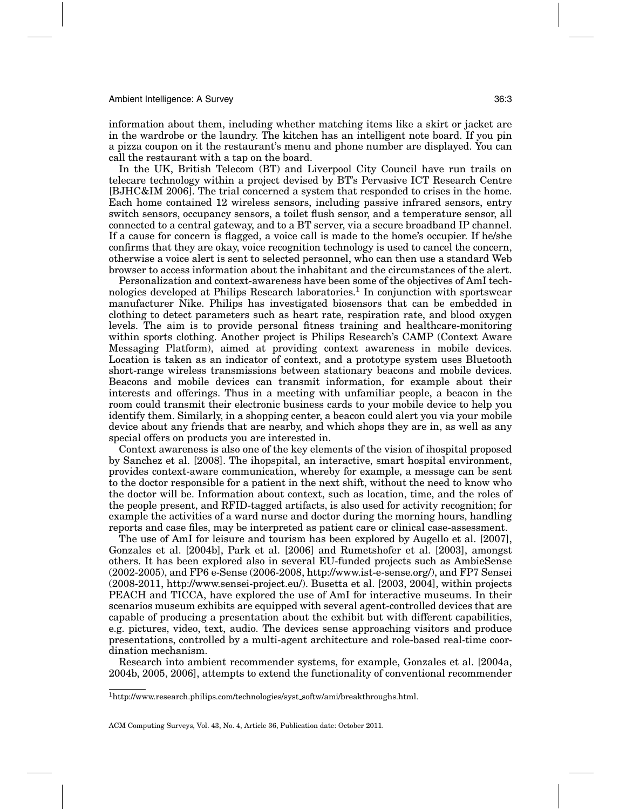information about them, including whether matching items like a skirt or jacket are in the wardrobe or the laundry. The kitchen has an intelligent note board. If you pin a pizza coupon on it the restaurant's menu and phone number are displayed. You can call the restaurant with a tap on the board.

In the UK, British Telecom (BT) and Liverpool City Council have run trails on telecare technology within a project devised by BT's Pervasive ICT Research Centre [BJHC&IM 2006]. The trial concerned a system that responded to crises in the home. Each home contained 12 wireless sensors, including passive infrared sensors, entry switch sensors, occupancy sensors, a toilet flush sensor, and a temperature sensor, all connected to a central gateway, and to a BT server, via a secure broadband IP channel. If a cause for concern is flagged, a voice call is made to the home's occupier. If he/she confirms that they are okay, voice recognition technology is used to cancel the concern, otherwise a voice alert is sent to selected personnel, who can then use a standard Web browser to access information about the inhabitant and the circumstances of the alert.

Personalization and context-awareness have been some of the objectives of AmI technologies developed at Philips Research laboratories.<sup>1</sup> In conjunction with sportswear manufacturer Nike. Philips has investigated biosensors that can be embedded in clothing to detect parameters such as heart rate, respiration rate, and blood oxygen levels. The aim is to provide personal fitness training and healthcare-monitoring within sports clothing. Another project is Philips Research's CAMP (Context Aware Messaging Platform), aimed at providing context awareness in mobile devices. Location is taken as an indicator of context, and a prototype system uses Bluetooth short-range wireless transmissions between stationary beacons and mobile devices. Beacons and mobile devices can transmit information, for example about their interests and offerings. Thus in a meeting with unfamiliar people, a beacon in the room could transmit their electronic business cards to your mobile device to help you identify them. Similarly, in a shopping center, a beacon could alert you via your mobile device about any friends that are nearby, and which shops they are in, as well as any special offers on products you are interested in.

Context awareness is also one of the key elements of the vision of ihospital proposed by Sanchez et al. [2008]. The ihopspital, an interactive, smart hospital environment, provides context-aware communication, whereby for example, a message can be sent to the doctor responsible for a patient in the next shift, without the need to know who the doctor will be. Information about context, such as location, time, and the roles of the people present, and RFID-tagged artifacts, is also used for activity recognition; for example the activities of a ward nurse and doctor during the morning hours, handling reports and case files, may be interpreted as patient care or clinical case-assessment.

The use of AmI for leisure and tourism has been explored by Augello et al. [2007], Gonzales et al. [2004b], Park et al. [2006] and Rumetshofer et al. [2003], amongst others. It has been explored also in several EU-funded projects such as AmbieSense (2002-2005), and FP6 e-Sense (2006-2008, http://www.ist-e-sense.org/), and FP7 Sensei (2008-2011, http://www.sensei-project.eu/). Busetta et al. [2003, 2004], within projects PEACH and TICCA, have explored the use of AmI for interactive museums. In their scenarios museum exhibits are equipped with several agent-controlled devices that are capable of producing a presentation about the exhibit but with different capabilities, e.g. pictures, video, text, audio. The devices sense approaching visitors and produce presentations, controlled by a multi-agent architecture and role-based real-time coordination mechanism.

Research into ambient recommender systems, for example, Gonzales et al. [2004a, 2004b, 2005, 2006], attempts to extend the functionality of conventional recommender

<sup>1</sup>http://www.research.philips.com/technologies/syst softw/ami/breakthroughs.html.

ACM Computing Surveys, Vol. 43, No. 4, Article 36, Publication date: October 2011.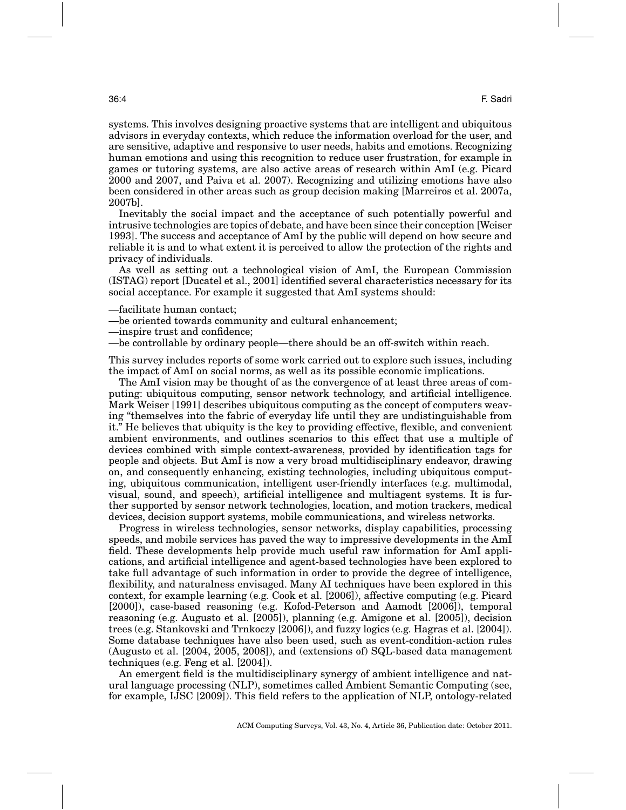systems. This involves designing proactive systems that are intelligent and ubiquitous advisors in everyday contexts, which reduce the information overload for the user, and are sensitive, adaptive and responsive to user needs, habits and emotions. Recognizing human emotions and using this recognition to reduce user frustration, for example in games or tutoring systems, are also active areas of research within AmI (e.g. Picard 2000 and 2007, and Paiva et al. 2007). Recognizing and utilizing emotions have also been considered in other areas such as group decision making [Marreiros et al. 2007a, 2007b].

Inevitably the social impact and the acceptance of such potentially powerful and intrusive technologies are topics of debate, and have been since their conception [Weiser 1993]. The success and acceptance of AmI by the public will depend on how secure and reliable it is and to what extent it is perceived to allow the protection of the rights and privacy of individuals.

As well as setting out a technological vision of AmI, the European Commission (ISTAG) report [Ducatel et al., 2001] identified several characteristics necessary for its social acceptance. For example it suggested that AmI systems should:

—facilitate human contact;

—be oriented towards community and cultural enhancement;

—inspire trust and confidence;

—be controllable by ordinary people—there should be an off-switch within reach.

This survey includes reports of some work carried out to explore such issues, including the impact of AmI on social norms, as well as its possible economic implications.

The AmI vision may be thought of as the convergence of at least three areas of computing: ubiquitous computing, sensor network technology, and artificial intelligence. Mark Weiser [1991] describes ubiquitous computing as the concept of computers weaving "themselves into the fabric of everyday life until they are undistinguishable from it." He believes that ubiquity is the key to providing effective, flexible, and convenient ambient environments, and outlines scenarios to this effect that use a multiple of devices combined with simple context-awareness, provided by identification tags for people and objects. But AmI is now a very broad multidisciplinary endeavor, drawing on, and consequently enhancing, existing technologies, including ubiquitous computing, ubiquitous communication, intelligent user-friendly interfaces (e.g. multimodal, visual, sound, and speech), artificial intelligence and multiagent systems. It is further supported by sensor network technologies, location, and motion trackers, medical devices, decision support systems, mobile communications, and wireless networks.

Progress in wireless technologies, sensor networks, display capabilities, processing speeds, and mobile services has paved the way to impressive developments in the AmI field. These developments help provide much useful raw information for AmI applications, and artificial intelligence and agent-based technologies have been explored to take full advantage of such information in order to provide the degree of intelligence, flexibility, and naturalness envisaged. Many AI techniques have been explored in this context, for example learning (e.g. Cook et al. [2006]), affective computing (e.g. Picard [2000]), case-based reasoning (e.g. Kofod-Peterson and Aamodt [2006]), temporal reasoning (e.g. Augusto et al. [2005]), planning (e.g. Amigone et al. [2005]), decision trees (e.g. Stankovski and Trnkoczy [2006]), and fuzzy logics (e.g. Hagras et al. [2004]). Some database techniques have also been used, such as event-condition-action rules (Augusto et al. [2004, 2005, 2008]), and (extensions of) SQL-based data management techniques (e.g. Feng et al. [2004]).

An emergent field is the multidisciplinary synergy of ambient intelligence and natural language processing (NLP), sometimes called Ambient Semantic Computing (see, for example, IJSC [2009]). This field refers to the application of NLP, ontology-related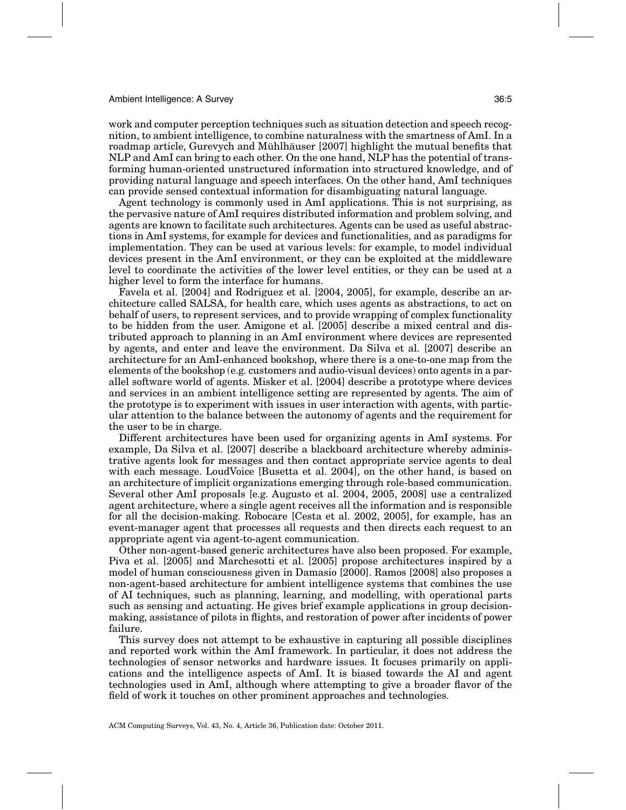work and computer perception techniques such as situation detection and speech recognition, to ambient intelligence, to combine naturalness with the smartness of AmI. In a roadmap article, Gurevych and Mühlhäuser [2007] highlight the mutual benefits that NLP and AmI can bring to each other. On the one hand, NLP has the potential of transforming human-oriented unstructured information into structured knowledge, and of providing natural language and speech interfaces. On the other hand, AmI techniques can provide sensed contextual information for disambiguating natural language.

Agent technology is commonly used in AmI applications. This is not surprising, as the pervasive nature of AmI requires distributed information and problem solving, and agents are known to facilitate such architectures. Agents can be used as useful abstractions in AmI systems, for example for devices and functionalities, and as paradigms for implementation. They can be used at various levels: for example, to model individual devices present in the AmI environment, or they can be exploited at the middleware level to coordinate the activities of the lower level entities, or they can be used at a higher level to form the interface for humans.

Favela et al. [2004] and Rodriguez et al. [2004, 2005], for example, describe an architecture called SALSA, for health care, which uses agents as abstractions, to act on behalf of users, to represent services, and to provide wrapping of complex functionality to be hidden from the user. Amigone et al. [2005] describe a mixed central and distributed approach to planning in an AmI environment where devices are represented by agents, and enter and leave the environment. Da Silva et al. [2007] describe an architecture for an AmI-enhanced bookshop, where there is a one-to-one map from the elements of the bookshop (e.g. customers and audio-visual devices) onto agents in a parallel software world of agents. Misker et al. [2004] describe a prototype where devices and services in an ambient intelligence setting are represented by agents. The aim of the prototype is to experiment with issues in user interaction with agents, with particular attention to the balance between the autonomy of agents and the requirement for the user to be in charge.

Different architectures have been used for organizing agents in AmI systems. For example, Da Silva et al. [2007] describe a blackboard architecture whereby administrative agents look for messages and then contact appropriate service agents to deal with each message. LoudVoice [Busetta et al. 2004], on the other hand, is based on an architecture of implicit organizations emerging through role-based communication. Several other AmI proposals [e.g. Augusto et al. 2004, 2005, 2008] use a centralized agent architecture, where a single agent receives all the information and is responsible for all the decision-making. Robocare [Cesta et al. 2002, 2005], for example, has an event-manager agent that processes all requests and then directs each request to an appropriate agent via agent-to-agent communication.

Other non-agent-based generic architectures have also been proposed. For example, Piva et al. [2005] and Marchesotti et al. [2005] propose architectures inspired by a model of human consciousness given in Damasio [2000]. Ramos [2008] also proposes a non-agent-based architecture for ambient intelligence systems that combines the use of AI techniques, such as planning, learning, and modelling, with operational parts such as sensing and actuating. He gives brief example applications in group decisionmaking, assistance of pilots in flights, and restoration of power after incidents of power failure.

This survey does not attempt to be exhaustive in capturing all possible disciplines and reported work within the AmI framework. In particular, it does not address the technologies of sensor networks and hardware issues. It focuses primarily on applications and the intelligence aspects of AmI. It is biased towards the AI and agent technologies used in AmI, although where attempting to give a broader flavor of the field of work it touches on other prominent approaches and technologies.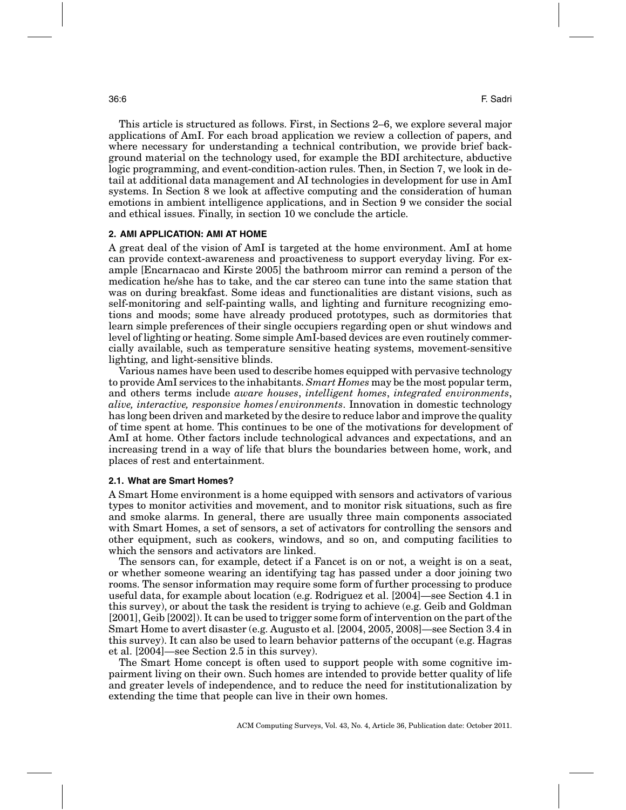This article is structured as follows. First, in Sections 2–6, we explore several major applications of AmI. For each broad application we review a collection of papers, and where necessary for understanding a technical contribution, we provide brief background material on the technology used, for example the BDI architecture, abductive logic programming, and event-condition-action rules. Then, in Section 7, we look in detail at additional data management and AI technologies in development for use in AmI systems. In Section 8 we look at affective computing and the consideration of human emotions in ambient intelligence applications, and in Section 9 we consider the social and ethical issues. Finally, in section 10 we conclude the article.

## **2. AMI APPLICATION: AMI AT HOME**

A great deal of the vision of AmI is targeted at the home environment. AmI at home can provide context-awareness and proactiveness to support everyday living. For example [Encarnacao and Kirste 2005] the bathroom mirror can remind a person of the medication he/she has to take, and the car stereo can tune into the same station that was on during breakfast. Some ideas and functionalities are distant visions, such as self-monitoring and self-painting walls, and lighting and furniture recognizing emotions and moods; some have already produced prototypes, such as dormitories that learn simple preferences of their single occupiers regarding open or shut windows and level of lighting or heating. Some simple AmI-based devices are even routinely commercially available, such as temperature sensitive heating systems, movement-sensitive lighting, and light-sensitive blinds.

Various names have been used to describe homes equipped with pervasive technology to provide AmI services to the inhabitants. *Smart Homes* may be the most popular term, and others terms include *aware houses*, *intelligent homes*, *integrated environments*, *alive, interactive, responsive homes/environments*. Innovation in domestic technology has long been driven and marketed by the desire to reduce labor and improve the quality of time spent at home. This continues to be one of the motivations for development of AmI at home. Other factors include technological advances and expectations, and an increasing trend in a way of life that blurs the boundaries between home, work, and places of rest and entertainment.

## **2.1. What are Smart Homes?**

A Smart Home environment is a home equipped with sensors and activators of various types to monitor activities and movement, and to monitor risk situations, such as fire and smoke alarms. In general, there are usually three main components associated with Smart Homes, a set of sensors, a set of activators for controlling the sensors and other equipment, such as cookers, windows, and so on, and computing facilities to which the sensors and activators are linked.

The sensors can, for example, detect if a Fancet is on or not, a weight is on a seat, or whether someone wearing an identifying tag has passed under a door joining two rooms. The sensor information may require some form of further processing to produce useful data, for example about location (e.g. Rodriguez et al. [2004]—see Section 4.1 in this survey), or about the task the resident is trying to achieve (e.g. Geib and Goldman [2001], Geib [2002]). It can be used to trigger some form of intervention on the part of the Smart Home to avert disaster (e.g. Augusto et al. [2004, 2005, 2008]—see Section 3.4 in this survey). It can also be used to learn behavior patterns of the occupant (e.g. Hagras et al. [2004]—see Section 2.5 in this survey).

The Smart Home concept is often used to support people with some cognitive impairment living on their own. Such homes are intended to provide better quality of life and greater levels of independence, and to reduce the need for institutionalization by extending the time that people can live in their own homes.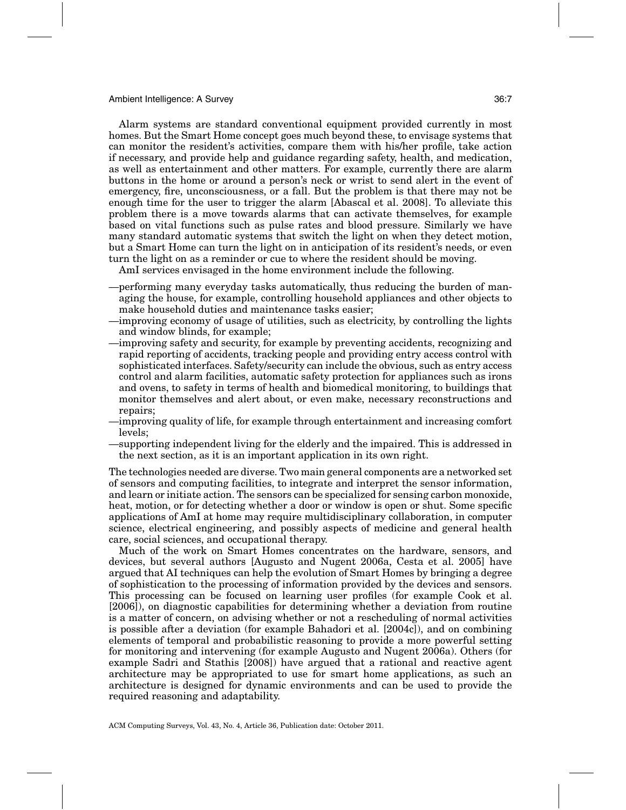Alarm systems are standard conventional equipment provided currently in most homes. But the Smart Home concept goes much beyond these, to envisage systems that can monitor the resident's activities, compare them with his/her profile, take action if necessary, and provide help and guidance regarding safety, health, and medication, as well as entertainment and other matters. For example, currently there are alarm buttons in the home or around a person's neck or wrist to send alert in the event of emergency, fire, unconsciousness, or a fall. But the problem is that there may not be enough time for the user to trigger the alarm [Abascal et al. 2008]. To alleviate this problem there is a move towards alarms that can activate themselves, for example based on vital functions such as pulse rates and blood pressure. Similarly we have many standard automatic systems that switch the light on when they detect motion, but a Smart Home can turn the light on in anticipation of its resident's needs, or even turn the light on as a reminder or cue to where the resident should be moving.

AmI services envisaged in the home environment include the following.

- —performing many everyday tasks automatically, thus reducing the burden of managing the house, for example, controlling household appliances and other objects to make household duties and maintenance tasks easier;
- —improving economy of usage of utilities, such as electricity, by controlling the lights and window blinds, for example;
- —improving safety and security, for example by preventing accidents, recognizing and rapid reporting of accidents, tracking people and providing entry access control with sophisticated interfaces. Safety/security can include the obvious, such as entry access control and alarm facilities, automatic safety protection for appliances such as irons and ovens, to safety in terms of health and biomedical monitoring, to buildings that monitor themselves and alert about, or even make, necessary reconstructions and repairs;
- —improving quality of life, for example through entertainment and increasing comfort levels;
- —supporting independent living for the elderly and the impaired. This is addressed in the next section, as it is an important application in its own right.

The technologies needed are diverse. Two main general components are a networked set of sensors and computing facilities, to integrate and interpret the sensor information, and learn or initiate action. The sensors can be specialized for sensing carbon monoxide, heat, motion, or for detecting whether a door or window is open or shut. Some specific applications of AmI at home may require multidisciplinary collaboration, in computer science, electrical engineering, and possibly aspects of medicine and general health care, social sciences, and occupational therapy.

Much of the work on Smart Homes concentrates on the hardware, sensors, and devices, but several authors [Augusto and Nugent 2006a, Cesta et al. 2005] have argued that AI techniques can help the evolution of Smart Homes by bringing a degree of sophistication to the processing of information provided by the devices and sensors. This processing can be focused on learning user profiles (for example Cook et al. [2006]), on diagnostic capabilities for determining whether a deviation from routine is a matter of concern, on advising whether or not a rescheduling of normal activities is possible after a deviation (for example Bahadori et al. [2004c]), and on combining elements of temporal and probabilistic reasoning to provide a more powerful setting for monitoring and intervening (for example Augusto and Nugent 2006a). Others (for example Sadri and Stathis [2008]) have argued that a rational and reactive agent architecture may be appropriated to use for smart home applications, as such an architecture is designed for dynamic environments and can be used to provide the required reasoning and adaptability.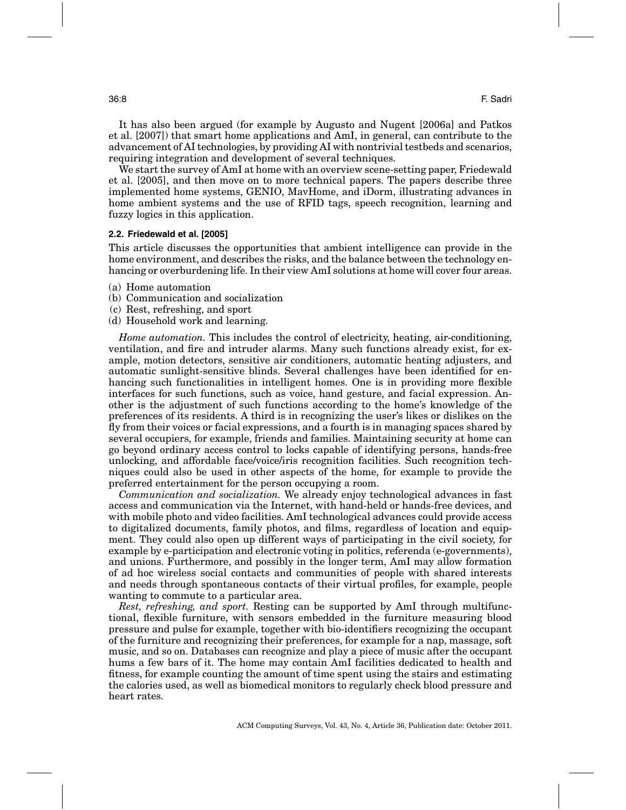It has also been argued (for example by Augusto and Nugent [2006a] and Patkos et al. [2007]) that smart home applications and AmI, in general, can contribute to the advancement of AI technologies, by providing AI with nontrivial testbeds and scenarios, requiring integration and development of several techniques.

We start the survey of AmI at home with an overview scene-setting paper, Friedewald et al. [2005], and then move on to more technical papers. The papers describe three implemented home systems, GENIO, MavHome, and iDorm, illustrating advances in home ambient systems and the use of RFID tags, speech recognition, learning and fuzzy logics in this application.

## **2.2. Friedewald et al. [2005]**

This article discusses the opportunities that ambient intelligence can provide in the home environment, and describes the risks, and the balance between the technology enhancing or overburdening life. In their view AmI solutions at home will cover four areas.

- (a) Home automation
- (b) Communication and socialization
- (c) Rest, refreshing, and sport
- (d) Household work and learning.

*Home automation.* This includes the control of electricity, heating, air-conditioning, ventilation, and fire and intruder alarms. Many such functions already exist, for example, motion detectors, sensitive air conditioners, automatic heating adjusters, and automatic sunlight-sensitive blinds. Several challenges have been identified for enhancing such functionalities in intelligent homes. One is in providing more flexible interfaces for such functions, such as voice, hand gesture, and facial expression. Another is the adjustment of such functions according to the home's knowledge of the preferences of its residents. A third is in recognizing the user's likes or dislikes on the fly from their voices or facial expressions, and a fourth is in managing spaces shared by several occupiers, for example, friends and families. Maintaining security at home can go beyond ordinary access control to locks capable of identifying persons, hands-free unlocking, and affordable face/voice/iris recognition facilities. Such recognition techniques could also be used in other aspects of the home, for example to provide the preferred entertainment for the person occupying a room.

*Communication and socialization.* We already enjoy technological advances in fast access and communication via the Internet, with hand-held or hands-free devices, and with mobile photo and video facilities. AmI technological advances could provide access to digitalized documents, family photos, and films, regardless of location and equipment. They could also open up different ways of participating in the civil society, for example by e-participation and electronic voting in politics, referenda (e-governments), and unions. Furthermore, and possibly in the longer term, AmI may allow formation of ad hoc wireless social contacts and communities of people with shared interests and needs through spontaneous contacts of their virtual profiles, for example, people wanting to commute to a particular area.

*Rest, refreshing, and sport.* Resting can be supported by AmI through multifunctional, flexible furniture, with sensors embedded in the furniture measuring blood pressure and pulse for example, together with bio-identifiers recognizing the occupant of the furniture and recognizing their preferences, for example for a nap, massage, soft music, and so on. Databases can recognize and play a piece of music after the occupant hums a few bars of it. The home may contain AmI facilities dedicated to health and fitness, for example counting the amount of time spent using the stairs and estimating the calories used, as well as biomedical monitors to regularly check blood pressure and heart rates.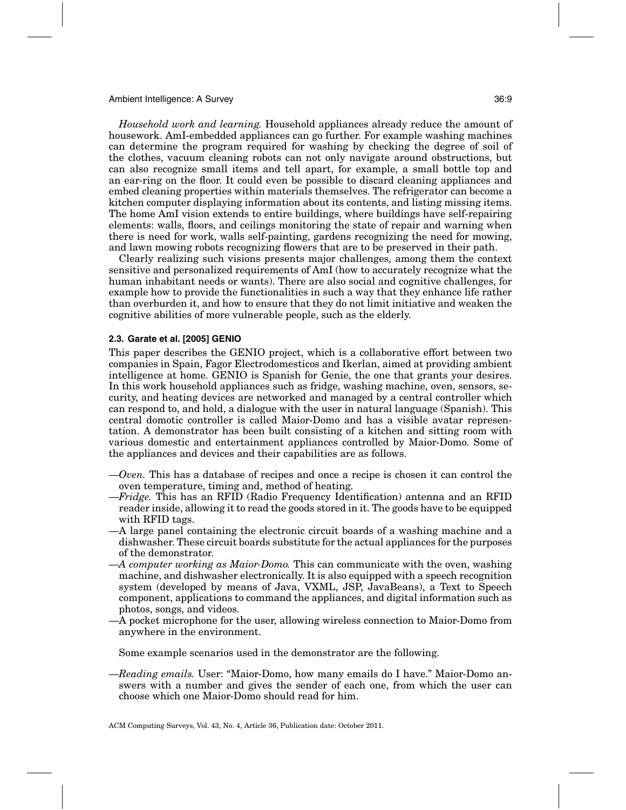*Household work and learning.* Household appliances already reduce the amount of housework. AmI-embedded appliances can go further. For example washing machines can determine the program required for washing by checking the degree of soil of the clothes, vacuum cleaning robots can not only navigate around obstructions, but can also recognize small items and tell apart, for example, a small bottle top and an ear-ring on the floor. It could even be possible to discard cleaning appliances and embed cleaning properties within materials themselves. The refrigerator can become a kitchen computer displaying information about its contents, and listing missing items. The home AmI vision extends to entire buildings, where buildings have self-repairing elements: walls, floors, and ceilings monitoring the state of repair and warning when there is need for work, walls self-painting, gardens recognizing the need for mowing, and lawn mowing robots recognizing flowers that are to be preserved in their path.

Clearly realizing such visions presents major challenges, among them the context sensitive and personalized requirements of AmI (how to accurately recognize what the human inhabitant needs or wants). There are also social and cognitive challenges, for example how to provide the functionalities in such a way that they enhance life rather than overburden it, and how to ensure that they do not limit initiative and weaken the cognitive abilities of more vulnerable people, such as the elderly.

# **2.3. Garate et al. [2005] GENIO**

This paper describes the GENIO project, which is a collaborative effort between two companies in Spain, Fagor Electrodomesticos and Ikerlan, aimed at providing ambient intelligence at home. GENIO is Spanish for Genie, the one that grants your desires. In this work household appliances such as fridge, washing machine, oven, sensors, security, and heating devices are networked and managed by a central controller which can respond to, and hold, a dialogue with the user in natural language (Spanish). This central domotic controller is called Maior-Domo and has a visible avatar representation. A demonstrator has been built consisting of a kitchen and sitting room with various domestic and entertainment appliances controlled by Maior-Domo. Some of the appliances and devices and their capabilities are as follows.

- —*Oven.* This has a database of recipes and once a recipe is chosen it can control the oven temperature, timing and, method of heating.
- —*Fridge.* This has an RFID (Radio Frequency Identification) antenna and an RFID reader inside, allowing it to read the goods stored in it. The goods have to be equipped with RFID tags.
- —A large panel containing the electronic circuit boards of a washing machine and a dishwasher. These circuit boards substitute for the actual appliances for the purposes of the demonstrator.
- —*A computer working as Maior-Domo.* This can communicate with the oven, washing machine, and dishwasher electronically. It is also equipped with a speech recognition system (developed by means of Java, VXML, JSP, JavaBeans), a Text to Speech component, applications to command the appliances, and digital information such as photos, songs, and videos.
- —A pocket microphone for the user, allowing wireless connection to Maior-Domo from anywhere in the environment.

Some example scenarios used in the demonstrator are the following.

—*Reading emails.* User: "Maior-Domo, how many emails do I have." Maior-Domo answers with a number and gives the sender of each one, from which the user can choose which one Maior-Domo should read for him.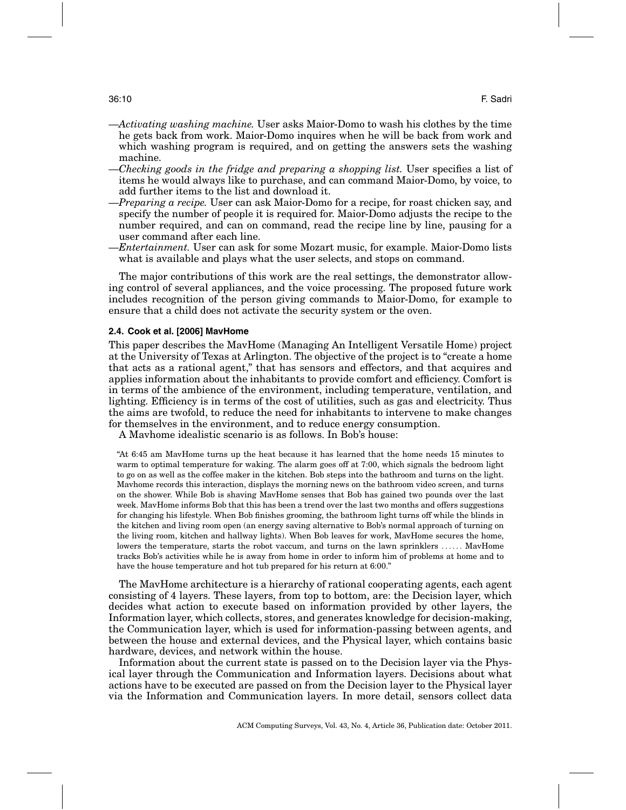- —*Activating washing machine.* User asks Maior-Domo to wash his clothes by the time he gets back from work. Maior-Domo inquires when he will be back from work and which washing program is required, and on getting the answers sets the washing machine.
- —*Checking goods in the fridge and preparing a shopping list.* User specifies a list of items he would always like to purchase, and can command Maior-Domo, by voice, to add further items to the list and download it.
- —*Preparing a recipe.* User can ask Maior-Domo for a recipe, for roast chicken say, and specify the number of people it is required for. Maior-Domo adjusts the recipe to the number required, and can on command, read the recipe line by line, pausing for a user command after each line.
- —*Entertainment.* User can ask for some Mozart music, for example. Maior-Domo lists what is available and plays what the user selects, and stops on command.

The major contributions of this work are the real settings, the demonstrator allowing control of several appliances, and the voice processing. The proposed future work includes recognition of the person giving commands to Maior-Domo, for example to ensure that a child does not activate the security system or the oven.

## **2.4. Cook et al. [2006] MavHome**

This paper describes the MavHome (Managing An Intelligent Versatile Home) project at the University of Texas at Arlington. The objective of the project is to "create a home that acts as a rational agent," that has sensors and effectors, and that acquires and applies information about the inhabitants to provide comfort and efficiency. Comfort is in terms of the ambience of the environment, including temperature, ventilation, and lighting. Efficiency is in terms of the cost of utilities, such as gas and electricity. Thus the aims are twofold, to reduce the need for inhabitants to intervene to make changes for themselves in the environment, and to reduce energy consumption.

A Mavhome idealistic scenario is as follows. In Bob's house:

"At 6:45 am MavHome turns up the heat because it has learned that the home needs 15 minutes to warm to optimal temperature for waking. The alarm goes off at 7:00, which signals the bedroom light to go on as well as the coffee maker in the kitchen. Bob steps into the bathroom and turns on the light. Mavhome records this interaction, displays the morning news on the bathroom video screen, and turns on the shower. While Bob is shaving MavHome senses that Bob has gained two pounds over the last week. MavHome informs Bob that this has been a trend over the last two months and offers suggestions for changing his lifestyle. When Bob finishes grooming, the bathroom light turns off while the blinds in the kitchen and living room open (an energy saving alternative to Bob's normal approach of turning on the living room, kitchen and hallway lights). When Bob leaves for work, MavHome secures the home, lowers the temperature, starts the robot vaccum, and turns on the lawn sprinklers ...... MavHome tracks Bob's activities while he is away from home in order to inform him of problems at home and to have the house temperature and hot tub prepared for his return at 6:00."

The MavHome architecture is a hierarchy of rational cooperating agents, each agent consisting of 4 layers. These layers, from top to bottom, are: the Decision layer, which decides what action to execute based on information provided by other layers, the Information layer, which collects, stores, and generates knowledge for decision-making, the Communication layer, which is used for information-passing between agents, and between the house and external devices, and the Physical layer, which contains basic hardware, devices, and network within the house.

Information about the current state is passed on to the Decision layer via the Physical layer through the Communication and Information layers. Decisions about what actions have to be executed are passed on from the Decision layer to the Physical layer via the Information and Communication layers. In more detail, sensors collect data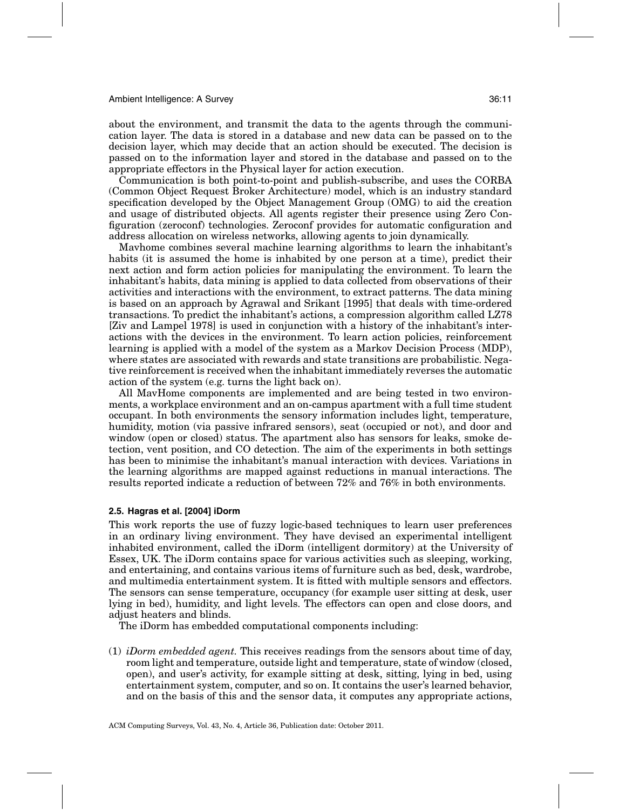about the environment, and transmit the data to the agents through the communication layer. The data is stored in a database and new data can be passed on to the decision layer, which may decide that an action should be executed. The decision is passed on to the information layer and stored in the database and passed on to the appropriate effectors in the Physical layer for action execution.

Communication is both point-to-point and publish-subscribe, and uses the CORBA (Common Object Request Broker Architecture) model, which is an industry standard specification developed by the Object Management Group (OMG) to aid the creation and usage of distributed objects. All agents register their presence using Zero Configuration (zeroconf) technologies. Zeroconf provides for automatic configuration and address allocation on wireless networks, allowing agents to join dynamically.

Mavhome combines several machine learning algorithms to learn the inhabitant's habits (it is assumed the home is inhabited by one person at a time), predict their next action and form action policies for manipulating the environment. To learn the inhabitant's habits, data mining is applied to data collected from observations of their activities and interactions with the environment, to extract patterns. The data mining is based on an approach by Agrawal and Srikant [1995] that deals with time-ordered transactions. To predict the inhabitant's actions, a compression algorithm called LZ78 [Ziv and Lampel 1978] is used in conjunction with a history of the inhabitant's interactions with the devices in the environment. To learn action policies, reinforcement learning is applied with a model of the system as a Markov Decision Process (MDP), where states are associated with rewards and state transitions are probabilistic. Negative reinforcement is received when the inhabitant immediately reverses the automatic action of the system (e.g. turns the light back on).

All MavHome components are implemented and are being tested in two environments, a workplace environment and an on-campus apartment with a full time student occupant. In both environments the sensory information includes light, temperature, humidity, motion (via passive infrared sensors), seat (occupied or not), and door and window (open or closed) status. The apartment also has sensors for leaks, smoke detection, vent position, and CO detection. The aim of the experiments in both settings has been to minimise the inhabitant's manual interaction with devices. Variations in the learning algorithms are mapped against reductions in manual interactions. The results reported indicate a reduction of between 72% and 76% in both environments.

## **2.5. Hagras et al. [2004] iDorm**

This work reports the use of fuzzy logic-based techniques to learn user preferences in an ordinary living environment. They have devised an experimental intelligent inhabited environment, called the iDorm (intelligent dormitory) at the University of Essex, UK. The iDorm contains space for various activities such as sleeping, working, and entertaining, and contains various items of furniture such as bed, desk, wardrobe, and multimedia entertainment system. It is fitted with multiple sensors and effectors. The sensors can sense temperature, occupancy (for example user sitting at desk, user lying in bed), humidity, and light levels. The effectors can open and close doors, and adjust heaters and blinds.

The iDorm has embedded computational components including:

(1) *iDorm embedded agent.* This receives readings from the sensors about time of day, room light and temperature, outside light and temperature, state of window (closed, open), and user's activity, for example sitting at desk, sitting, lying in bed, using entertainment system, computer, and so on. It contains the user's learned behavior, and on the basis of this and the sensor data, it computes any appropriate actions,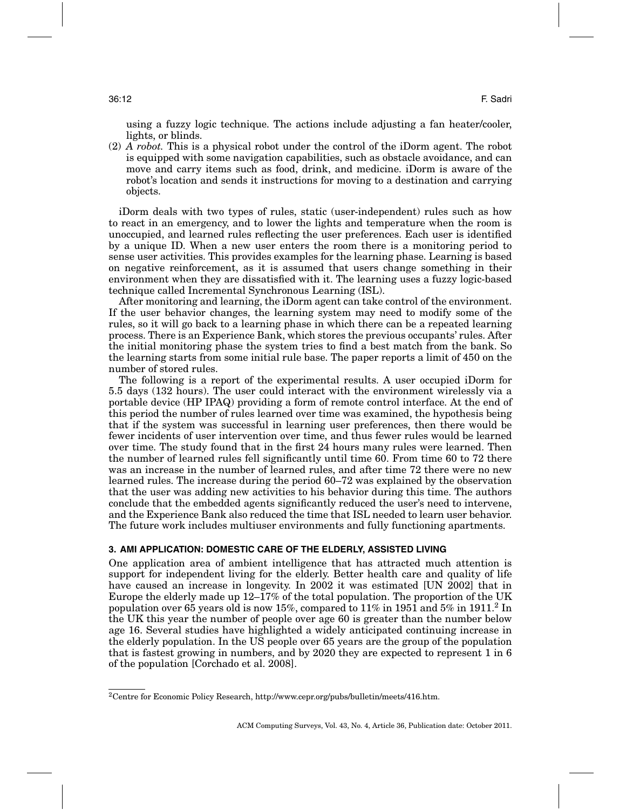using a fuzzy logic technique. The actions include adjusting a fan heater/cooler, lights, or blinds.

(2) *A robot.* This is a physical robot under the control of the iDorm agent. The robot is equipped with some navigation capabilities, such as obstacle avoidance, and can move and carry items such as food, drink, and medicine. iDorm is aware of the robot's location and sends it instructions for moving to a destination and carrying objects.

iDorm deals with two types of rules, static (user-independent) rules such as how to react in an emergency, and to lower the lights and temperature when the room is unoccupied, and learned rules reflecting the user preferences. Each user is identified by a unique ID. When a new user enters the room there is a monitoring period to sense user activities. This provides examples for the learning phase. Learning is based on negative reinforcement, as it is assumed that users change something in their environment when they are dissatisfied with it. The learning uses a fuzzy logic-based technique called Incremental Synchronous Learning (ISL).

After monitoring and learning, the iDorm agent can take control of the environment. If the user behavior changes, the learning system may need to modify some of the rules, so it will go back to a learning phase in which there can be a repeated learning process. There is an Experience Bank, which stores the previous occupants' rules. After the initial monitoring phase the system tries to find a best match from the bank. So the learning starts from some initial rule base. The paper reports a limit of 450 on the number of stored rules.

The following is a report of the experimental results. A user occupied iDorm for 5.5 days (132 hours). The user could interact with the environment wirelessly via a portable device (HP IPAQ) providing a form of remote control interface. At the end of this period the number of rules learned over time was examined, the hypothesis being that if the system was successful in learning user preferences, then there would be fewer incidents of user intervention over time, and thus fewer rules would be learned over time. The study found that in the first 24 hours many rules were learned. Then the number of learned rules fell significantly until time 60. From time 60 to 72 there was an increase in the number of learned rules, and after time 72 there were no new learned rules. The increase during the period 60–72 was explained by the observation that the user was adding new activities to his behavior during this time. The authors conclude that the embedded agents significantly reduced the user's need to intervene, and the Experience Bank also reduced the time that ISL needed to learn user behavior. The future work includes multiuser environments and fully functioning apartments.

# **3. AMI APPLICATION: DOMESTIC CARE OF THE ELDERLY, ASSISTED LIVING**

One application area of ambient intelligence that has attracted much attention is support for independent living for the elderly. Better health care and quality of life have caused an increase in longevity. In 2002 it was estimated [UN 2002] that in Europe the elderly made up 12–17% of the total population. The proportion of the UK population over 65 years old is now 15%, compared to 11% in 1951 and 5% in 1911.<sup>2</sup> In the UK this year the number of people over age 60 is greater than the number below age 16. Several studies have highlighted a widely anticipated continuing increase in the elderly population. In the US people over 65 years are the group of the population that is fastest growing in numbers, and by 2020 they are expected to represent 1 in 6 of the population [Corchado et al. 2008].

<sup>2</sup>Centre for Economic Policy Research, http://www.cepr.org/pubs/bulletin/meets/416.htm.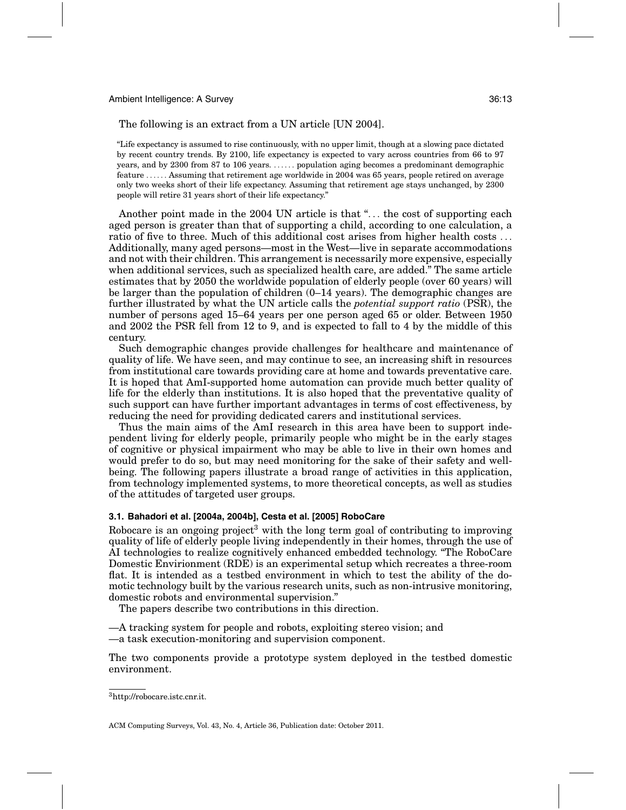The following is an extract from a UN article [UN 2004].

"Life expectancy is assumed to rise continuously, with no upper limit, though at a slowing pace dictated by recent country trends. By 2100, life expectancy is expected to vary across countries from 66 to 97 years, and by 2300 from 87 to 106 years. ...... population aging becomes a predominant demographic feature ...... Assuming that retirement age worldwide in 2004 was 65 years, people retired on average only two weeks short of their life expectancy. Assuming that retirement age stays unchanged, by 2300 people will retire 31 years short of their life expectancy."

Another point made in the 2004 UN article is that "... the cost of supporting each aged person is greater than that of supporting a child, according to one calculation, a ratio of five to three. Much of this additional cost arises from higher health costs ... Additionally, many aged persons—most in the West—live in separate accommodations and not with their children. This arrangement is necessarily more expensive, especially when additional services, such as specialized health care, are added." The same article estimates that by 2050 the worldwide population of elderly people (over 60 years) will be larger than the population of children (0–14 years). The demographic changes are further illustrated by what the UN article calls the *potential support ratio* (PSR), the number of persons aged 15–64 years per one person aged 65 or older. Between 1950 and 2002 the PSR fell from 12 to 9, and is expected to fall to 4 by the middle of this century.

Such demographic changes provide challenges for healthcare and maintenance of quality of life. We have seen, and may continue to see, an increasing shift in resources from institutional care towards providing care at home and towards preventative care. It is hoped that AmI-supported home automation can provide much better quality of life for the elderly than institutions. It is also hoped that the preventative quality of such support can have further important advantages in terms of cost effectiveness, by reducing the need for providing dedicated carers and institutional services.

Thus the main aims of the AmI research in this area have been to support independent living for elderly people, primarily people who might be in the early stages of cognitive or physical impairment who may be able to live in their own homes and would prefer to do so, but may need monitoring for the sake of their safety and wellbeing. The following papers illustrate a broad range of activities in this application, from technology implemented systems, to more theoretical concepts, as well as studies of the attitudes of targeted user groups.

## **3.1. Bahadori et al. [2004a, 2004b], Cesta et al. [2005] RoboCare**

Robocare is an ongoing project<sup>3</sup> with the long term goal of contributing to improving quality of life of elderly people living independently in their homes, through the use of AI technologies to realize cognitively enhanced embedded technology. "The RoboCare Domestic Envirionment (RDE) is an experimental setup which recreates a three-room flat. It is intended as a testbed environment in which to test the ability of the domotic technology built by the various research units, such as non-intrusive monitoring, domestic robots and environmental supervision."

The papers describe two contributions in this direction.

—A tracking system for people and robots, exploiting stereo vision; and —a task execution-monitoring and supervision component.

The two components provide a prototype system deployed in the testbed domestic environment.

<sup>3</sup>http://robocare.istc.cnr.it.

ACM Computing Surveys, Vol. 43, No. 4, Article 36, Publication date: October 2011.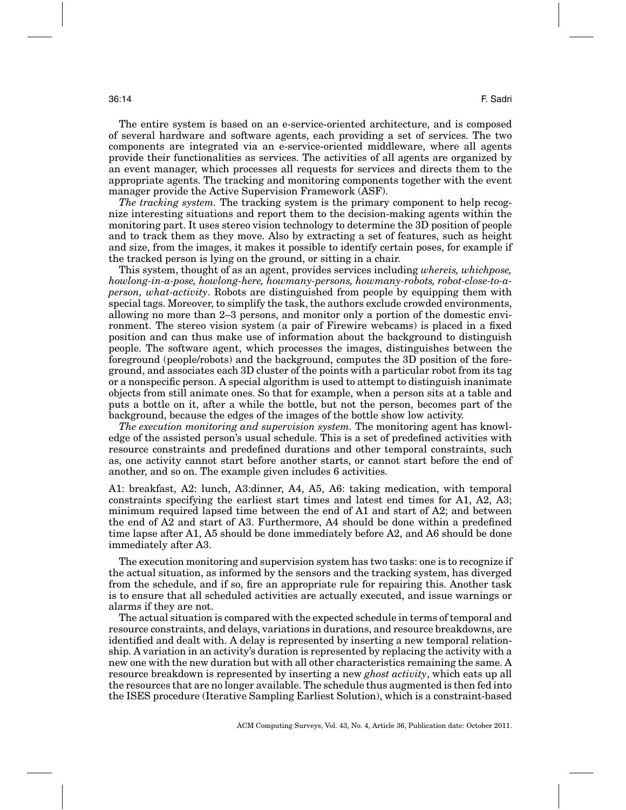The entire system is based on an e-service-oriented architecture, and is composed of several hardware and software agents, each providing a set of services. The two components are integrated via an e-service-oriented middleware, where all agents provide their functionalities as services. The activities of all agents are organized by an event manager, which processes all requests for services and directs them to the appropriate agents. The tracking and monitoring components together with the event manager provide the Active Supervision Framework (ASF).

*The tracking system.* The tracking system is the primary component to help recognize interesting situations and report them to the decision-making agents within the monitoring part. It uses stereo vision technology to determine the 3D position of people and to track them as they move. Also by extracting a set of features, such as height and size, from the images, it makes it possible to identify certain poses, for example if the tracked person is lying on the ground, or sitting in a chair.

This system, thought of as an agent, provides services including *whereis, whichpose, howlong-in-a-pose, howlong-here, howmany-persons, howmany-robots, robot-close-to-aperson, what-activity*. Robots are distinguished from people by equipping them with special tags. Moreover, to simplify the task, the authors exclude crowded environments, allowing no more than 2–3 persons, and monitor only a portion of the domestic environment. The stereo vision system (a pair of Firewire webcams) is placed in a fixed position and can thus make use of information about the background to distinguish people. The software agent, which processes the images, distinguishes between the foreground (people/robots) and the background, computes the 3D position of the foreground, and associates each 3D cluster of the points with a particular robot from its tag or a nonspecific person. A special algorithm is used to attempt to distinguish inanimate objects from still animate ones. So that for example, when a person sits at a table and puts a bottle on it, after a while the bottle, but not the person, becomes part of the background, because the edges of the images of the bottle show low activity.

*The execution monitoring and supervision system.* The monitoring agent has knowledge of the assisted person's usual schedule. This is a set of predefined activities with resource constraints and predefined durations and other temporal constraints, such as, one activity cannot start before another starts, or cannot start before the end of another, and so on. The example given includes 6 activities.

A1: breakfast, A2: lunch, A3:dinner, A4, A5, A6: taking medication, with temporal constraints specifying the earliest start times and latest end times for A1, A2, A3; minimum required lapsed time between the end of A1 and start of A2; and between the end of A2 and start of A3. Furthermore, A4 should be done within a predefined time lapse after A1, A5 should be done immediately before A2, and A6 should be done immediately after A3.

The execution monitoring and supervision system has two tasks: one is to recognize if the actual situation, as informed by the sensors and the tracking system, has diverged from the schedule, and if so, fire an appropriate rule for repairing this. Another task is to ensure that all scheduled activities are actually executed, and issue warnings or alarms if they are not.

The actual situation is compared with the expected schedule in terms of temporal and resource constraints, and delays, variations in durations, and resource breakdowns, are identified and dealt with. A delay is represented by inserting a new temporal relationship. A variation in an activity's duration is represented by replacing the activity with a new one with the new duration but with all other characteristics remaining the same. A resource breakdown is represented by inserting a new *ghost activity*, which eats up all the resources that are no longer available. The schedule thus augmented is then fed into the ISES procedure (Iterative Sampling Earliest Solution), which is a constraint-based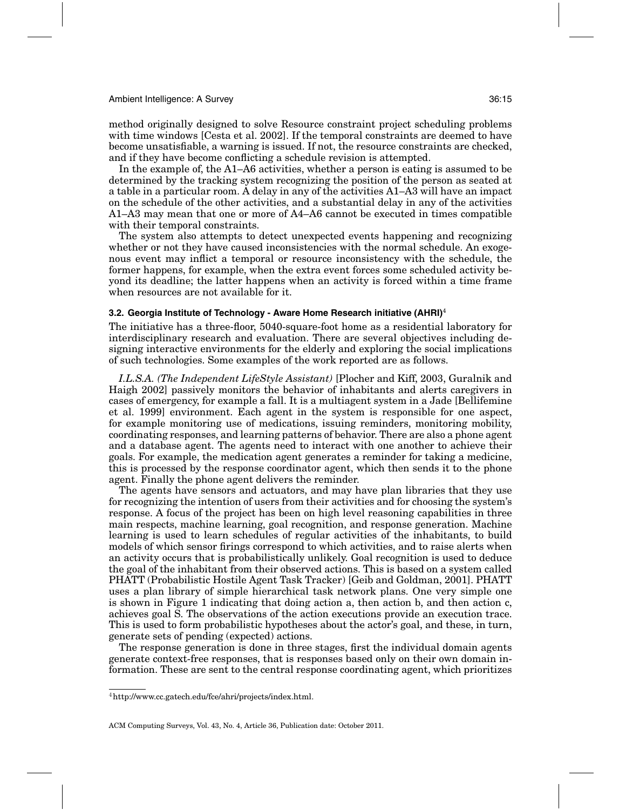method originally designed to solve Resource constraint project scheduling problems with time windows [Cesta et al. 2002]. If the temporal constraints are deemed to have become unsatisfiable, a warning is issued. If not, the resource constraints are checked, and if they have become conflicting a schedule revision is attempted.

In the example of, the A1–A6 activities, whether a person is eating is assumed to be determined by the tracking system recognizing the position of the person as seated at a table in a particular room. A delay in any of the activities A1–A3 will have an impact on the schedule of the other activities, and a substantial delay in any of the activities A1–A3 may mean that one or more of A4–A6 cannot be executed in times compatible with their temporal constraints.

The system also attempts to detect unexpected events happening and recognizing whether or not they have caused inconsistencies with the normal schedule. An exogenous event may inflict a temporal or resource inconsistency with the schedule, the former happens, for example, when the extra event forces some scheduled activity beyond its deadline; the latter happens when an activity is forced within a time frame when resources are not available for it.

## **3.2. Georgia Institute of Technology - Aware Home Research initiative (AHRI)**<sup>4</sup>

The initiative has a three-floor, 5040-square-foot home as a residential laboratory for interdisciplinary research and evaluation. There are several objectives including designing interactive environments for the elderly and exploring the social implications of such technologies. Some examples of the work reported are as follows.

*I.L.S.A. (The Independent LifeStyle Assistant)* [Plocher and Kiff, 2003, Guralnik and Haigh 2002] passively monitors the behavior of inhabitants and alerts caregivers in cases of emergency, for example a fall. It is a multiagent system in a Jade [Bellifemine et al. 1999] environment. Each agent in the system is responsible for one aspect, for example monitoring use of medications, issuing reminders, monitoring mobility, coordinating responses, and learning patterns of behavior. There are also a phone agent and a database agent. The agents need to interact with one another to achieve their goals. For example, the medication agent generates a reminder for taking a medicine, this is processed by the response coordinator agent, which then sends it to the phone agent. Finally the phone agent delivers the reminder.

The agents have sensors and actuators, and may have plan libraries that they use for recognizing the intention of users from their activities and for choosing the system's response. A focus of the project has been on high level reasoning capabilities in three main respects, machine learning, goal recognition, and response generation. Machine learning is used to learn schedules of regular activities of the inhabitants, to build models of which sensor firings correspond to which activities, and to raise alerts when an activity occurs that is probabilistically unlikely. Goal recognition is used to deduce the goal of the inhabitant from their observed actions. This is based on a system called PHATT (Probabilistic Hostile Agent Task Tracker) [Geib and Goldman, 2001]. PHATT uses a plan library of simple hierarchical task network plans. One very simple one is shown in Figure 1 indicating that doing action a, then action b, and then action c, achieves goal S. The observations of the action executions provide an execution trace. This is used to form probabilistic hypotheses about the actor's goal, and these, in turn, generate sets of pending (expected) actions.

The response generation is done in three stages, first the individual domain agents generate context-free responses, that is responses based only on their own domain information. These are sent to the central response coordinating agent, which prioritizes

<sup>4</sup>http://www.cc.gatech.edu/fce/ahri/projects/index.html.

ACM Computing Surveys, Vol. 43, No. 4, Article 36, Publication date: October 2011.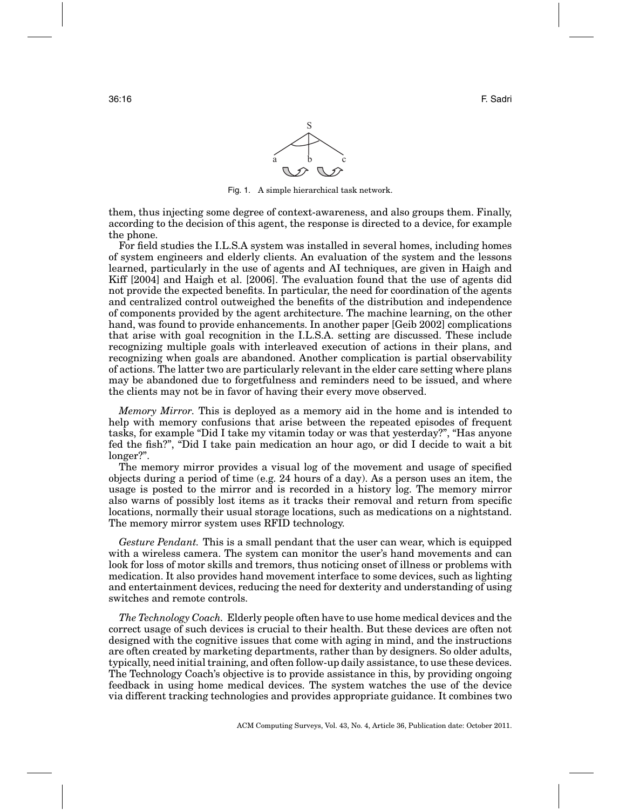

Fig. 1. A simple hierarchical task network.

them, thus injecting some degree of context-awareness, and also groups them. Finally, according to the decision of this agent, the response is directed to a device, for example the phone.

For field studies the I.L.S.A system was installed in several homes, including homes of system engineers and elderly clients. An evaluation of the system and the lessons learned, particularly in the use of agents and AI techniques, are given in Haigh and Kiff [2004] and Haigh et al. [2006]. The evaluation found that the use of agents did not provide the expected benefits. In particular, the need for coordination of the agents and centralized control outweighed the benefits of the distribution and independence of components provided by the agent architecture. The machine learning, on the other hand, was found to provide enhancements. In another paper [Geib 2002] complications that arise with goal recognition in the I.L.S.A. setting are discussed. These include recognizing multiple goals with interleaved execution of actions in their plans, and recognizing when goals are abandoned. Another complication is partial observability of actions. The latter two are particularly relevant in the elder care setting where plans may be abandoned due to forgetfulness and reminders need to be issued, and where the clients may not be in favor of having their every move observed.

*Memory Mirror.* This is deployed as a memory aid in the home and is intended to help with memory confusions that arise between the repeated episodes of frequent tasks, for example "Did I take my vitamin today or was that yesterday?", "Has anyone fed the fish?", "Did I take pain medication an hour ago, or did I decide to wait a bit longer?".

The memory mirror provides a visual log of the movement and usage of specified objects during a period of time (e.g. 24 hours of a day). As a person uses an item, the usage is posted to the mirror and is recorded in a history log. The memory mirror also warns of possibly lost items as it tracks their removal and return from specific locations, normally their usual storage locations, such as medications on a nightstand. The memory mirror system uses RFID technology.

*Gesture Pendant.* This is a small pendant that the user can wear, which is equipped with a wireless camera. The system can monitor the user's hand movements and can look for loss of motor skills and tremors, thus noticing onset of illness or problems with medication. It also provides hand movement interface to some devices, such as lighting and entertainment devices, reducing the need for dexterity and understanding of using switches and remote controls.

*The Technology Coach.* Elderly people often have to use home medical devices and the correct usage of such devices is crucial to their health. But these devices are often not designed with the cognitive issues that come with aging in mind, and the instructions are often created by marketing departments, rather than by designers. So older adults, typically, need initial training, and often follow-up daily assistance, to use these devices. The Technology Coach's objective is to provide assistance in this, by providing ongoing feedback in using home medical devices. The system watches the use of the device via different tracking technologies and provides appropriate guidance. It combines two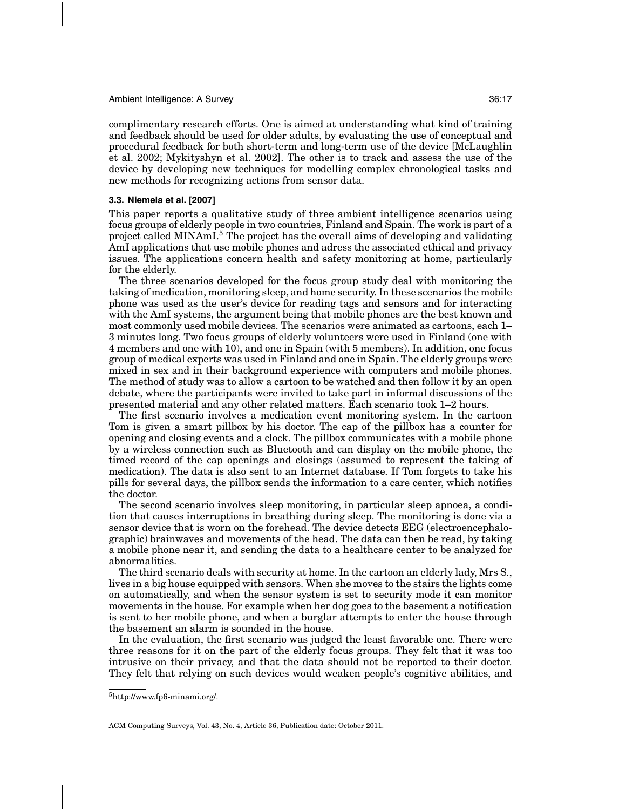complimentary research efforts. One is aimed at understanding what kind of training and feedback should be used for older adults, by evaluating the use of conceptual and procedural feedback for both short-term and long-term use of the device [McLaughlin et al. 2002; Mykityshyn et al. 2002]. The other is to track and assess the use of the device by developing new techniques for modelling complex chronological tasks and new methods for recognizing actions from sensor data.

## **3.3. Niemela et al. [2007]**

This paper reports a qualitative study of three ambient intelligence scenarios using focus groups of elderly people in two countries, Finland and Spain. The work is part of a project called MINAmI.<sup>5</sup> The project has the overall aims of developing and validating AmI applications that use mobile phones and adress the associated ethical and privacy issues. The applications concern health and safety monitoring at home, particularly for the elderly.

The three scenarios developed for the focus group study deal with monitoring the taking of medication, monitoring sleep, and home security. In these scenarios the mobile phone was used as the user's device for reading tags and sensors and for interacting with the AmI systems, the argument being that mobile phones are the best known and most commonly used mobile devices. The scenarios were animated as cartoons, each 1– 3 minutes long. Two focus groups of elderly volunteers were used in Finland (one with 4 members and one with 10), and one in Spain (with 5 members). In addition, one focus group of medical experts was used in Finland and one in Spain. The elderly groups were mixed in sex and in their background experience with computers and mobile phones. The method of study was to allow a cartoon to be watched and then follow it by an open debate, where the participants were invited to take part in informal discussions of the presented material and any other related matters. Each scenario took 1–2 hours.

The first scenario involves a medication event monitoring system. In the cartoon Tom is given a smart pillbox by his doctor. The cap of the pillbox has a counter for opening and closing events and a clock. The pillbox communicates with a mobile phone by a wireless connection such as Bluetooth and can display on the mobile phone, the timed record of the cap openings and closings (assumed to represent the taking of medication). The data is also sent to an Internet database. If Tom forgets to take his pills for several days, the pillbox sends the information to a care center, which notifies the doctor.

The second scenario involves sleep monitoring, in particular sleep apnoea, a condition that causes interruptions in breathing during sleep. The monitoring is done via a sensor device that is worn on the forehead. The device detects EEG (electroencephalographic) brainwaves and movements of the head. The data can then be read, by taking a mobile phone near it, and sending the data to a healthcare center to be analyzed for abnormalities.

The third scenario deals with security at home. In the cartoon an elderly lady, Mrs S., lives in a big house equipped with sensors. When she moves to the stairs the lights come on automatically, and when the sensor system is set to security mode it can monitor movements in the house. For example when her dog goes to the basement a notification is sent to her mobile phone, and when a burglar attempts to enter the house through the basement an alarm is sounded in the house.

In the evaluation, the first scenario was judged the least favorable one. There were three reasons for it on the part of the elderly focus groups. They felt that it was too intrusive on their privacy, and that the data should not be reported to their doctor. They felt that relying on such devices would weaken people's cognitive abilities, and

<sup>5</sup>http://www.fp6-minami.org/.

ACM Computing Surveys, Vol. 43, No. 4, Article 36, Publication date: October 2011.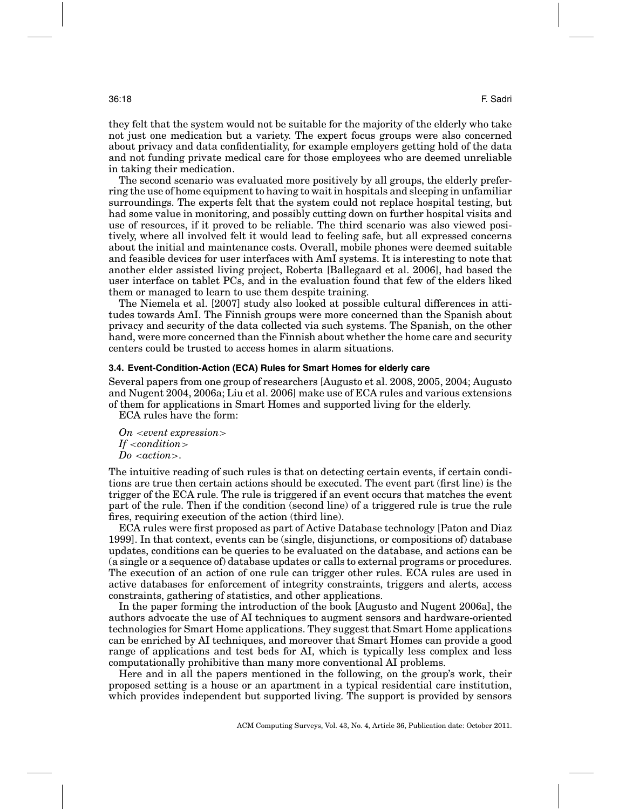they felt that the system would not be suitable for the majority of the elderly who take not just one medication but a variety. The expert focus groups were also concerned about privacy and data confidentiality, for example employers getting hold of the data and not funding private medical care for those employees who are deemed unreliable in taking their medication.

The second scenario was evaluated more positively by all groups, the elderly preferring the use of home equipment to having to wait in hospitals and sleeping in unfamiliar surroundings. The experts felt that the system could not replace hospital testing, but had some value in monitoring, and possibly cutting down on further hospital visits and use of resources, if it proved to be reliable. The third scenario was also viewed positively, where all involved felt it would lead to feeling safe, but all expressed concerns about the initial and maintenance costs. Overall, mobile phones were deemed suitable and feasible devices for user interfaces with AmI systems. It is interesting to note that another elder assisted living project, Roberta [Ballegaard et al. 2006], had based the user interface on tablet PCs, and in the evaluation found that few of the elders liked them or managed to learn to use them despite training.

The Niemela et al. [2007] study also looked at possible cultural differences in attitudes towards AmI. The Finnish groups were more concerned than the Spanish about privacy and security of the data collected via such systems. The Spanish, on the other hand, were more concerned than the Finnish about whether the home care and security centers could be trusted to access homes in alarm situations.

# **3.4. Event-Condition-Action (ECA) Rules for Smart Homes for elderly care**

Several papers from one group of researchers [Augusto et al. 2008, 2005, 2004; Augusto and Nugent 2004, 2006a; Liu et al. 2006] make use of ECA rules and various extensions of them for applications in Smart Homes and supported living for the elderly.

ECA rules have the form:

*On* <*event expression*> *If* <*condition*> *Do* <*action*>*.*

The intuitive reading of such rules is that on detecting certain events, if certain conditions are true then certain actions should be executed. The event part (first line) is the trigger of the ECA rule. The rule is triggered if an event occurs that matches the event part of the rule. Then if the condition (second line) of a triggered rule is true the rule fires, requiring execution of the action (third line).

ECA rules were first proposed as part of Active Database technology [Paton and Diaz 1999]. In that context, events can be (single, disjunctions, or compositions of) database updates, conditions can be queries to be evaluated on the database, and actions can be (a single or a sequence of) database updates or calls to external programs or procedures. The execution of an action of one rule can trigger other rules. ECA rules are used in active databases for enforcement of integrity constraints, triggers and alerts, access constraints, gathering of statistics, and other applications.

In the paper forming the introduction of the book [Augusto and Nugent 2006a], the authors advocate the use of AI techniques to augment sensors and hardware-oriented technologies for Smart Home applications. They suggest that Smart Home applications can be enriched by AI techniques, and moreover that Smart Homes can provide a good range of applications and test beds for AI, which is typically less complex and less computationally prohibitive than many more conventional AI problems.

Here and in all the papers mentioned in the following, on the group's work, their proposed setting is a house or an apartment in a typical residential care institution, which provides independent but supported living. The support is provided by sensors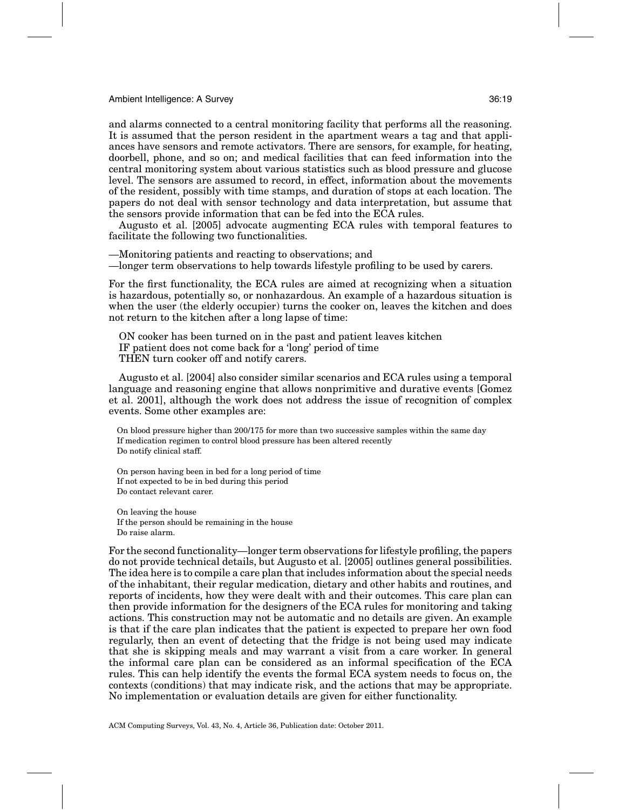and alarms connected to a central monitoring facility that performs all the reasoning. It is assumed that the person resident in the apartment wears a tag and that appliances have sensors and remote activators. There are sensors, for example, for heating, doorbell, phone, and so on; and medical facilities that can feed information into the central monitoring system about various statistics such as blood pressure and glucose level. The sensors are assumed to record, in effect, information about the movements of the resident, possibly with time stamps, and duration of stops at each location. The papers do not deal with sensor technology and data interpretation, but assume that the sensors provide information that can be fed into the ECA rules.

Augusto et al. [2005] advocate augmenting ECA rules with temporal features to facilitate the following two functionalities.

—Monitoring patients and reacting to observations; and

—longer term observations to help towards lifestyle profiling to be used by carers.

For the first functionality, the ECA rules are aimed at recognizing when a situation is hazardous, potentially so, or nonhazardous. An example of a hazardous situation is when the user (the elderly occupier) turns the cooker on, leaves the kitchen and does not return to the kitchen after a long lapse of time:

ON cooker has been turned on in the past and patient leaves kitchen IF patient does not come back for a 'long' period of time THEN turn cooker off and notify carers.

Augusto et al. [2004] also consider similar scenarios and ECA rules using a temporal language and reasoning engine that allows nonprimitive and durative events [Gomez et al. 2001], although the work does not address the issue of recognition of complex events. Some other examples are:

On blood pressure higher than 200/175 for more than two successive samples within the same day If medication regimen to control blood pressure has been altered recently Do notify clinical staff.

On person having been in bed for a long period of time If not expected to be in bed during this period Do contact relevant carer.

On leaving the house If the person should be remaining in the house Do raise alarm.

For the second functionality—longer term observations for lifestyle profiling, the papers do not provide technical details, but Augusto et al. [2005] outlines general possibilities. The idea here is to compile a care plan that includes information about the special needs of the inhabitant, their regular medication, dietary and other habits and routines, and reports of incidents, how they were dealt with and their outcomes. This care plan can then provide information for the designers of the ECA rules for monitoring and taking actions. This construction may not be automatic and no details are given. An example is that if the care plan indicates that the patient is expected to prepare her own food regularly, then an event of detecting that the fridge is not being used may indicate that she is skipping meals and may warrant a visit from a care worker. In general the informal care plan can be considered as an informal specification of the ECA rules. This can help identify the events the formal ECA system needs to focus on, the contexts (conditions) that may indicate risk, and the actions that may be appropriate. No implementation or evaluation details are given for either functionality.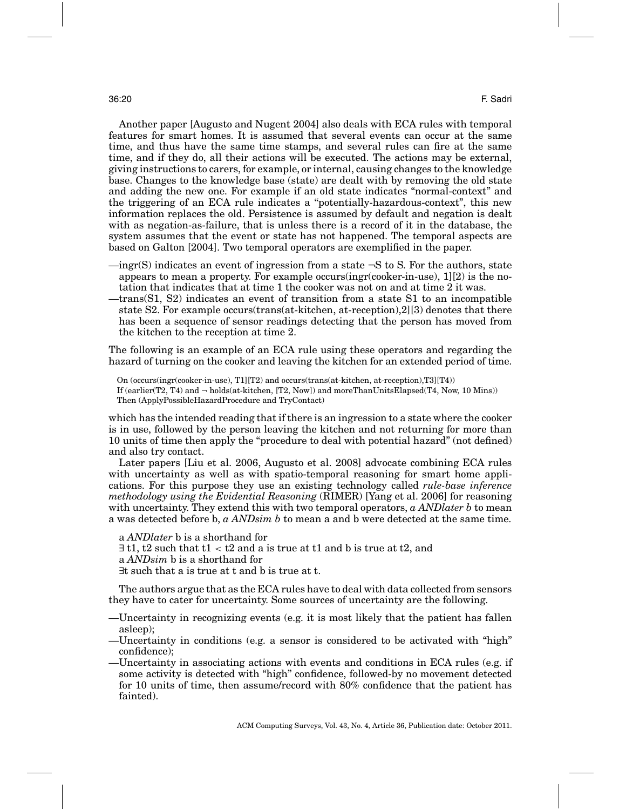Another paper [Augusto and Nugent 2004] also deals with ECA rules with temporal features for smart homes. It is assumed that several events can occur at the same time, and thus have the same time stamps, and several rules can fire at the same time, and if they do, all their actions will be executed. The actions may be external, giving instructions to carers, for example, or internal, causing changes to the knowledge base. Changes to the knowledge base (state) are dealt with by removing the old state and adding the new one. For example if an old state indicates "normal-context" and the triggering of an ECA rule indicates a "potentially-hazardous-context", this new information replaces the old. Persistence is assumed by default and negation is dealt with as negation-as-failure, that is unless there is a record of it in the database, the system assumes that the event or state has not happened. The temporal aspects are based on Galton [2004]. Two temporal operators are exemplified in the paper.

- $-\text{ingr}(S)$  indicates an event of ingression from a state  $\neg S$  to S. For the authors, state appears to mean a property. For example occurs(ingr(cooker-in-use),  $1|2$ ) is the notation that indicates that at time 1 the cooker was not on and at time 2 it was.
- —trans(S1, S2) indicates an event of transition from a state S1 to an incompatible state S2. For example occurs(trans(at-kitchen, at-reception),2][3) denotes that there has been a sequence of sensor readings detecting that the person has moved from the kitchen to the reception at time 2.

The following is an example of an ECA rule using these operators and regarding the hazard of turning on the cooker and leaving the kitchen for an extended period of time.

On (occurs(ingr(cooker-in-use), T1][T2) and occurs(trans(at-kitchen, at-reception),T3][T4)) If (earlier(T2, T4) and ¬ holds(at-kitchen, [T2, Now]) and moreThanUnitsElapsed(T4, Now, 10 Mins)) Then (ApplyPossibleHazardProcedure and TryContact)

which has the intended reading that if there is an ingression to a state where the cooker is in use, followed by the person leaving the kitchen and not returning for more than 10 units of time then apply the "procedure to deal with potential hazard" (not defined) and also try contact.

Later papers [Liu et al. 2006, Augusto et al. 2008] advocate combining ECA rules with uncertainty as well as with spatio-temporal reasoning for smart home applications. For this purpose they use an existing technology called *rule-base inference methodology using the Evidential Reasoning* (RIMER) [Yang et al. 2006] for reasoning with uncertainty. They extend this with two temporal operators, *a ANDlater b* to mean a was detected before b, *a ANDsim b* to mean a and b were detected at the same time.

a *ANDlater* b is a shorthand for

 $\exists$  t1, t2 such that t1 < t2 and a is true at t1 and b is true at t2, and

- a *ANDsim* b is a shorthand for
- ∃t such that a is true at t and b is true at t.

The authors argue that as the ECA rules have to deal with data collected from sensors they have to cater for uncertainty. Some sources of uncertainty are the following.

- —Uncertainty in recognizing events (e.g. it is most likely that the patient has fallen asleep);
- —Uncertainty in conditions (e.g. a sensor is considered to be activated with "high" confidence);
- —Uncertainty in associating actions with events and conditions in ECA rules (e.g. if some activity is detected with "high" confidence, followed-by no movement detected for 10 units of time, then assume/record with 80% confidence that the patient has fainted).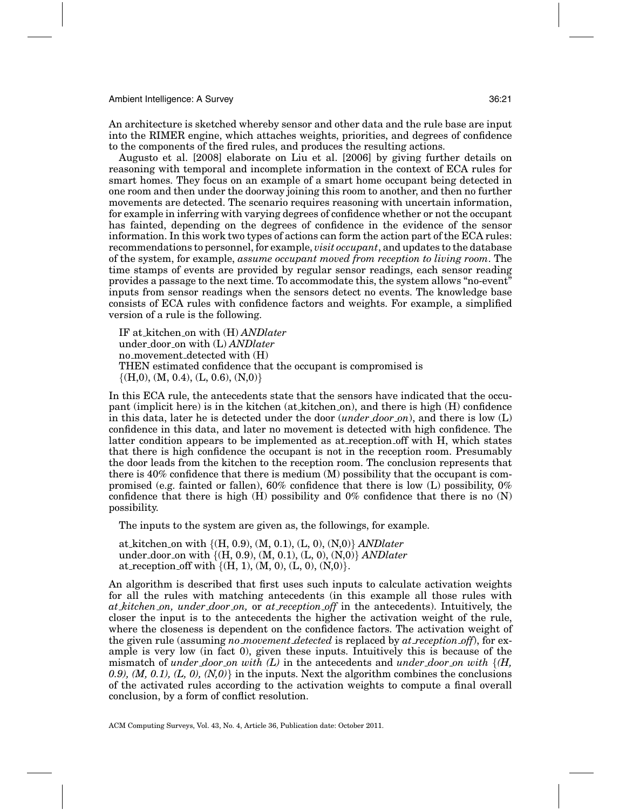An architecture is sketched whereby sensor and other data and the rule base are input into the RIMER engine, which attaches weights, priorities, and degrees of confidence to the components of the fired rules, and produces the resulting actions.

Augusto et al. [2008] elaborate on Liu et al. [2006] by giving further details on reasoning with temporal and incomplete information in the context of ECA rules for smart homes. They focus on an example of a smart home occupant being detected in one room and then under the doorway joining this room to another, and then no further movements are detected. The scenario requires reasoning with uncertain information, for example in inferring with varying degrees of confidence whether or not the occupant has fainted, depending on the degrees of confidence in the evidence of the sensor information. In this work two types of actions can form the action part of the ECA rules: recommendations to personnel, for example, *visit occupant*, and updates to the database of the system, for example, *assume occupant moved from reception to living room*. The time stamps of events are provided by regular sensor readings, each sensor reading provides a passage to the next time. To accommodate this, the system allows "no-event" inputs from sensor readings when the sensors detect no events. The knowledge base consists of ECA rules with confidence factors and weights. For example, a simplified version of a rule is the following.

IF at kitchen on with (H) *ANDlater* under door on with (L) *ANDlater* no movement detected with (H) THEN estimated confidence that the occupant is compromised is  $\{(H,0), (M, 0.4), (L, 0.6), (N,0)\}\$ 

In this ECA rule, the antecedents state that the sensors have indicated that the occupant (implicit here) is in the kitchen (at kitchen on), and there is high (H) confidence in this data, later he is detected under the door (*under door on*), and there is low (L) confidence in this data, and later no movement is detected with high confidence. The latter condition appears to be implemented as at reception off with H, which states that there is high confidence the occupant is not in the reception room. Presumably the door leads from the kitchen to the reception room. The conclusion represents that there is 40% confidence that there is medium (M) possibility that the occupant is compromised (e.g. fainted or fallen),  $60\%$  confidence that there is low (L) possibility,  $0\%$ confidence that there is high  $(H)$  possibility and 0% confidence that there is no  $(N)$ possibility.

The inputs to the system are given as, the followings, for example.

at kitchen on with {(H, 0.9), (M, 0.1), (L, 0), (N,0)} *ANDlater* under door on with {(H, 0.9), (M, 0.1), (L, 0), (N,0)} *ANDlater* at reception off with  $\{(H, 1), (M, 0), (L, 0), (N,0)\}.$ 

An algorithm is described that first uses such inputs to calculate activation weights for all the rules with matching antecedents (in this example all those rules with *at kitchen on, under door on,* or *at reception off* in the antecedents). Intuitively, the closer the input is to the antecedents the higher the activation weight of the rule, where the closeness is dependent on the confidence factors. The activation weight of the given rule (assuming *no movement detected* is replaced by *at reception off*), for example is very low (in fact 0), given these inputs. Intuitively this is because of the mismatch of *under door on with (L)* in the antecedents and *under door on with* {*(H, 0.9), (M, 0.1), (L, 0), (N,0)*} in the inputs. Next the algorithm combines the conclusions of the activated rules according to the activation weights to compute a final overall conclusion, by a form of conflict resolution.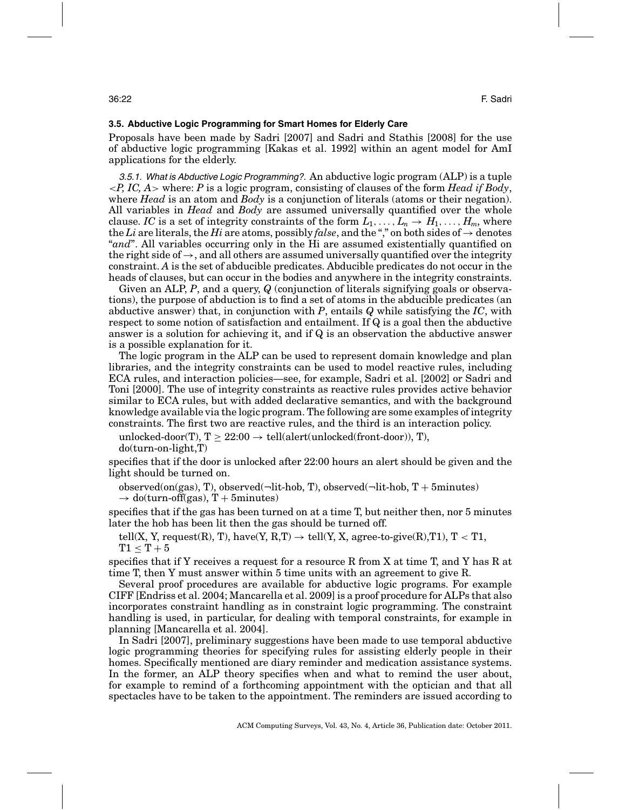## **3.5. Abductive Logic Programming for Smart Homes for Elderly Care**

Proposals have been made by Sadri [2007] and Sadri and Stathis [2008] for the use of abductive logic programming [Kakas et al. 1992] within an agent model for AmI applications for the elderly.

3.5.1. What is Abductive Logic Programming?. An abductive logic program (ALP) is a tuple <*P, IC, A*> where: *P* is a logic program, consisting of clauses of the form *Head if Body*, where *Head* is an atom and *Body* is a conjunction of literals (atoms or their negation). All variables in *Head* and *Body* are assumed universally quantified over the whole clause. *IC* is a set of integrity constraints of the form  $L_1, \ldots, L_n \to H_1, \ldots, H_m$ , where the *Li* are literals, the *Hi* are atoms, possibly *false*, and the "," on both sides of  $\rightarrow$  denotes "*and*". All variables occurring only in the Hi are assumed existentially quantified on the right side of  $\rightarrow$ , and all others are assumed universally quantified over the integrity constraint. *A* is the set of abducible predicates. Abducible predicates do not occur in the heads of clauses, but can occur in the bodies and anywhere in the integrity constraints.

Given an ALP, *P*, and a query, *Q* (conjunction of literals signifying goals or observations), the purpose of abduction is to find a set of atoms in the abducible predicates (an abductive answer) that, in conjunction with *P*, entails *Q* while satisfying the *IC*, with respect to some notion of satisfaction and entailment. If Q is a goal then the abductive answer is a solution for achieving it, and if Q is an observation the abductive answer is a possible explanation for it.

The logic program in the ALP can be used to represent domain knowledge and plan libraries, and the integrity constraints can be used to model reactive rules, including ECA rules, and interaction policies—see, for example, Sadri et al. [2002] or Sadri and Toni [2000]. The use of integrity constraints as reactive rules provides active behavior similar to ECA rules, but with added declarative semantics, and with the background knowledge available via the logic program. The following are some examples of integrity constraints. The first two are reactive rules, and the third is an interaction policy.

unlocked-door(T),  $T \geq 22:00 \rightarrow \text{tell}(alert(unlocked(fromtdoor)), T)$ ,

do(turn-on-light,T)

specifies that if the door is unlocked after 22:00 hours an alert should be given and the light should be turned on.

 $observed(on(gas), T)$ , observed $(\neg lit\text{-}hob, T)$ , observed $(\neg lit\text{-}hob, T + 5$ minutes)  $\rightarrow$  do(turn-off(gas), T + 5minutes)

specifies that if the gas has been turned on at a time T, but neither then, nor 5 minutes later the hob has been lit then the gas should be turned off.

tell(X, Y, request(R), T), have(Y, R,T)  $\rightarrow$  tell(Y, X, agree-to-give(R),T1), T < T1,  $T1 < T + 5$ 

specifies that if Y receives a request for a resource R from X at time T, and Y has R at time T, then Y must answer within 5 time units with an agreement to give R.

Several proof procedures are available for abductive logic programs. For example CIFF [Endriss et al. 2004; Mancarella et al. 2009] is a proof procedure for ALPs that also incorporates constraint handling as in constraint logic programming. The constraint handling is used, in particular, for dealing with temporal constraints, for example in planning [Mancarella et al. 2004].

In Sadri [2007], preliminary suggestions have been made to use temporal abductive logic programming theories for specifying rules for assisting elderly people in their homes. Specifically mentioned are diary reminder and medication assistance systems. In the former, an ALP theory specifies when and what to remind the user about, for example to remind of a forthcoming appointment with the optician and that all spectacles have to be taken to the appointment. The reminders are issued according to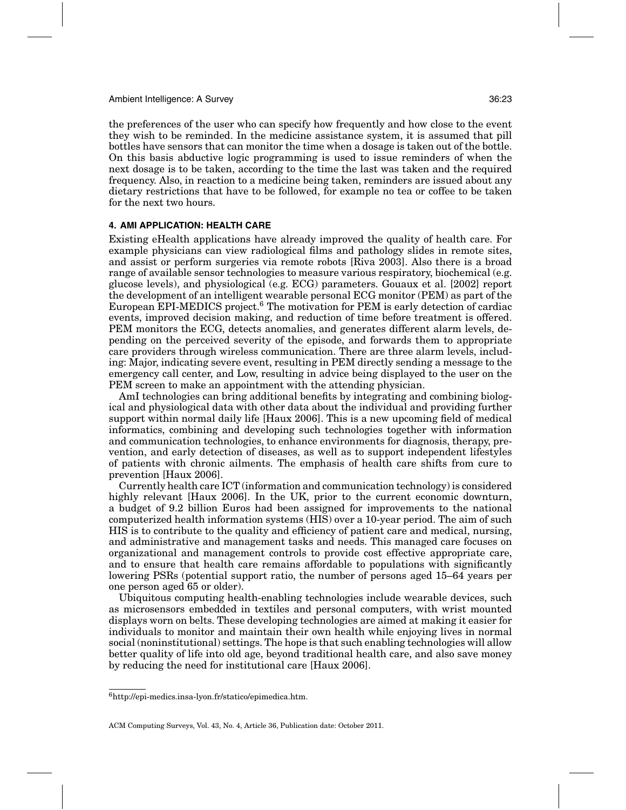the preferences of the user who can specify how frequently and how close to the event they wish to be reminded. In the medicine assistance system, it is assumed that pill bottles have sensors that can monitor the time when a dosage is taken out of the bottle. On this basis abductive logic programming is used to issue reminders of when the next dosage is to be taken, according to the time the last was taken and the required frequency. Also, in reaction to a medicine being taken, reminders are issued about any dietary restrictions that have to be followed, for example no tea or coffee to be taken for the next two hours.

# **4. AMI APPLICATION: HEALTH CARE**

Existing eHealth applications have already improved the quality of health care. For example physicians can view radiological films and pathology slides in remote sites, and assist or perform surgeries via remote robots [Riva 2003]. Also there is a broad range of available sensor technologies to measure various respiratory, biochemical (e.g. glucose levels), and physiological (e.g. ECG) parameters. Gouaux et al. [2002] report the development of an intelligent wearable personal ECG monitor (PEM) as part of the European EPI-MEDICS project.<sup>6</sup> The motivation for PEM is early detection of cardiac events, improved decision making, and reduction of time before treatment is offered. PEM monitors the ECG, detects anomalies, and generates different alarm levels, depending on the perceived severity of the episode, and forwards them to appropriate care providers through wireless communication. There are three alarm levels, including: Major, indicating severe event, resulting in PEM directly sending a message to the emergency call center, and Low, resulting in advice being displayed to the user on the PEM screen to make an appointment with the attending physician.

AmI technologies can bring additional benefits by integrating and combining biological and physiological data with other data about the individual and providing further support within normal daily life [Haux 2006]. This is a new upcoming field of medical informatics, combining and developing such technologies together with information and communication technologies, to enhance environments for diagnosis, therapy, prevention, and early detection of diseases, as well as to support independent lifestyles of patients with chronic ailments. The emphasis of health care shifts from cure to prevention [Haux 2006].

Currently health care ICT (information and communication technology) is considered highly relevant [Haux 2006]. In the UK, prior to the current economic downturn, a budget of 9.2 billion Euros had been assigned for improvements to the national computerized health information systems (HIS) over a 10-year period. The aim of such HIS is to contribute to the quality and efficiency of patient care and medical, nursing, and administrative and management tasks and needs. This managed care focuses on organizational and management controls to provide cost effective appropriate care, and to ensure that health care remains affordable to populations with significantly lowering PSRs (potential support ratio, the number of persons aged 15–64 years per one person aged 65 or older).

Ubiquitous computing health-enabling technologies include wearable devices, such as microsensors embedded in textiles and personal computers, with wrist mounted displays worn on belts. These developing technologies are aimed at making it easier for individuals to monitor and maintain their own health while enjoying lives in normal social (noninstitutional) settings. The hope is that such enabling technologies will allow better quality of life into old age, beyond traditional health care, and also save money by reducing the need for institutional care [Haux 2006].

 $6$ http://epi-medics.insa-lyon.fr/statico/epimedica.htm.

ACM Computing Surveys, Vol. 43, No. 4, Article 36, Publication date: October 2011.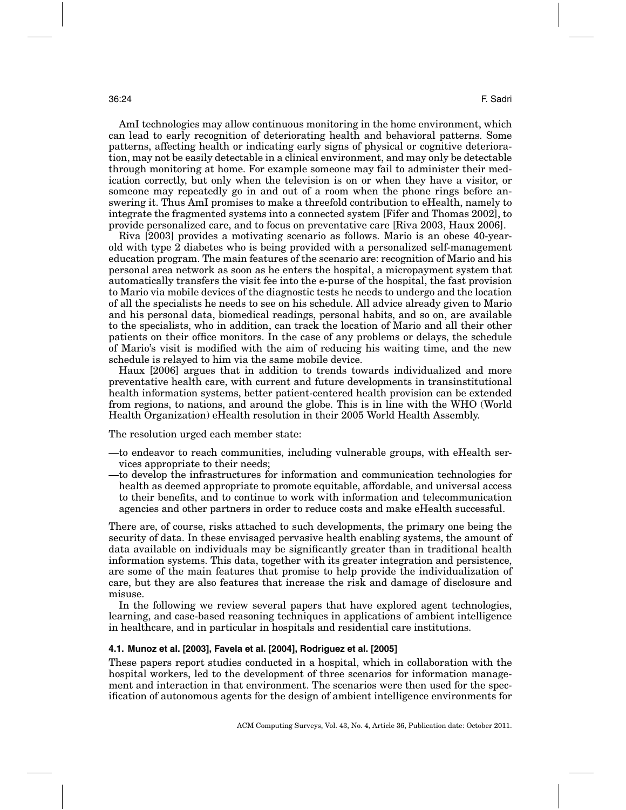36:24 F. Sadri

AmI technologies may allow continuous monitoring in the home environment, which can lead to early recognition of deteriorating health and behavioral patterns. Some patterns, affecting health or indicating early signs of physical or cognitive deterioration, may not be easily detectable in a clinical environment, and may only be detectable through monitoring at home. For example someone may fail to administer their medication correctly, but only when the television is on or when they have a visitor, or someone may repeatedly go in and out of a room when the phone rings before answering it. Thus AmI promises to make a threefold contribution to eHealth, namely to integrate the fragmented systems into a connected system [Fifer and Thomas 2002], to provide personalized care, and to focus on preventative care [Riva 2003, Haux 2006].

Riva [2003] provides a motivating scenario as follows. Mario is an obese 40-yearold with type 2 diabetes who is being provided with a personalized self-management education program. The main features of the scenario are: recognition of Mario and his personal area network as soon as he enters the hospital, a micropayment system that automatically transfers the visit fee into the e-purse of the hospital, the fast provision to Mario via mobile devices of the diagnostic tests he needs to undergo and the location of all the specialists he needs to see on his schedule. All advice already given to Mario and his personal data, biomedical readings, personal habits, and so on, are available to the specialists, who in addition, can track the location of Mario and all their other patients on their office monitors. In the case of any problems or delays, the schedule of Mario's visit is modified with the aim of reducing his waiting time, and the new schedule is relayed to him via the same mobile device.

Haux [2006] argues that in addition to trends towards individualized and more preventative health care, with current and future developments in transinstitutional health information systems, better patient-centered health provision can be extended from regions, to nations, and around the globe. This is in line with the WHO (World Health Organization) eHealth resolution in their 2005 World Health Assembly.

The resolution urged each member state:

- —to endeavor to reach communities, including vulnerable groups, with eHealth services appropriate to their needs;
- —to develop the infrastructures for information and communication technologies for health as deemed appropriate to promote equitable, affordable, and universal access to their benefits, and to continue to work with information and telecommunication agencies and other partners in order to reduce costs and make eHealth successful.

There are, of course, risks attached to such developments, the primary one being the security of data. In these envisaged pervasive health enabling systems, the amount of data available on individuals may be significantly greater than in traditional health information systems. This data, together with its greater integration and persistence, are some of the main features that promise to help provide the individualization of care, but they are also features that increase the risk and damage of disclosure and misuse.

In the following we review several papers that have explored agent technologies, learning, and case-based reasoning techniques in applications of ambient intelligence in healthcare, and in particular in hospitals and residential care institutions.

# **4.1. Munoz et al. [2003], Favela et al. [2004], Rodriguez et al. [2005]**

These papers report studies conducted in a hospital, which in collaboration with the hospital workers, led to the development of three scenarios for information management and interaction in that environment. The scenarios were then used for the specification of autonomous agents for the design of ambient intelligence environments for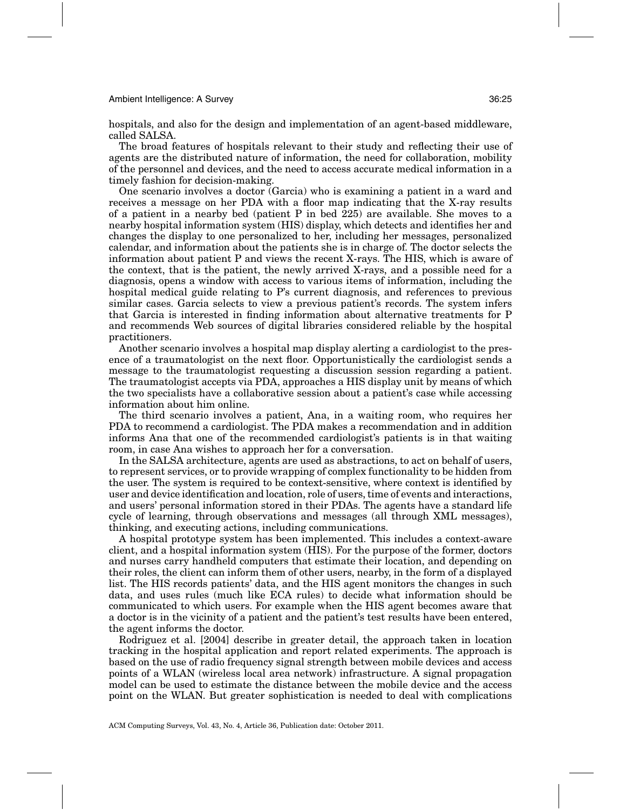hospitals, and also for the design and implementation of an agent-based middleware, called SALSA.

The broad features of hospitals relevant to their study and reflecting their use of agents are the distributed nature of information, the need for collaboration, mobility of the personnel and devices, and the need to access accurate medical information in a timely fashion for decision-making.

One scenario involves a doctor (Garcia) who is examining a patient in a ward and receives a message on her PDA with a floor map indicating that the X-ray results of a patient in a nearby bed (patient P in bed 225) are available. She moves to a nearby hospital information system (HIS) display, which detects and identifies her and changes the display to one personalized to her, including her messages, personalized calendar, and information about the patients she is in charge of. The doctor selects the information about patient P and views the recent X-rays. The HIS, which is aware of the context, that is the patient, the newly arrived X-rays, and a possible need for a diagnosis, opens a window with access to various items of information, including the hospital medical guide relating to P's current diagnosis, and references to previous similar cases. Garcia selects to view a previous patient's records. The system infers that Garcia is interested in finding information about alternative treatments for P and recommends Web sources of digital libraries considered reliable by the hospital practitioners.

Another scenario involves a hospital map display alerting a cardiologist to the presence of a traumatologist on the next floor. Opportunistically the cardiologist sends a message to the traumatologist requesting a discussion session regarding a patient. The traumatologist accepts via PDA, approaches a HIS display unit by means of which the two specialists have a collaborative session about a patient's case while accessing information about him online.

The third scenario involves a patient, Ana, in a waiting room, who requires her PDA to recommend a cardiologist. The PDA makes a recommendation and in addition informs Ana that one of the recommended cardiologist's patients is in that waiting room, in case Ana wishes to approach her for a conversation.

In the SALSA architecture, agents are used as abstractions, to act on behalf of users, to represent services, or to provide wrapping of complex functionality to be hidden from the user. The system is required to be context-sensitive, where context is identified by user and device identification and location, role of users, time of events and interactions, and users' personal information stored in their PDAs. The agents have a standard life cycle of learning, through observations and messages (all through XML messages), thinking, and executing actions, including communications.

A hospital prototype system has been implemented. This includes a context-aware client, and a hospital information system (HIS). For the purpose of the former, doctors and nurses carry handheld computers that estimate their location, and depending on their roles, the client can inform them of other users, nearby, in the form of a displayed list. The HIS records patients' data, and the HIS agent monitors the changes in such data, and uses rules (much like ECA rules) to decide what information should be communicated to which users. For example when the HIS agent becomes aware that a doctor is in the vicinity of a patient and the patient's test results have been entered, the agent informs the doctor.

Rodriguez et al. [2004] describe in greater detail, the approach taken in location tracking in the hospital application and report related experiments. The approach is based on the use of radio frequency signal strength between mobile devices and access points of a WLAN (wireless local area network) infrastructure. A signal propagation model can be used to estimate the distance between the mobile device and the access point on the WLAN. But greater sophistication is needed to deal with complications

ACM Computing Surveys, Vol. 43, No. 4, Article 36, Publication date: October 2011.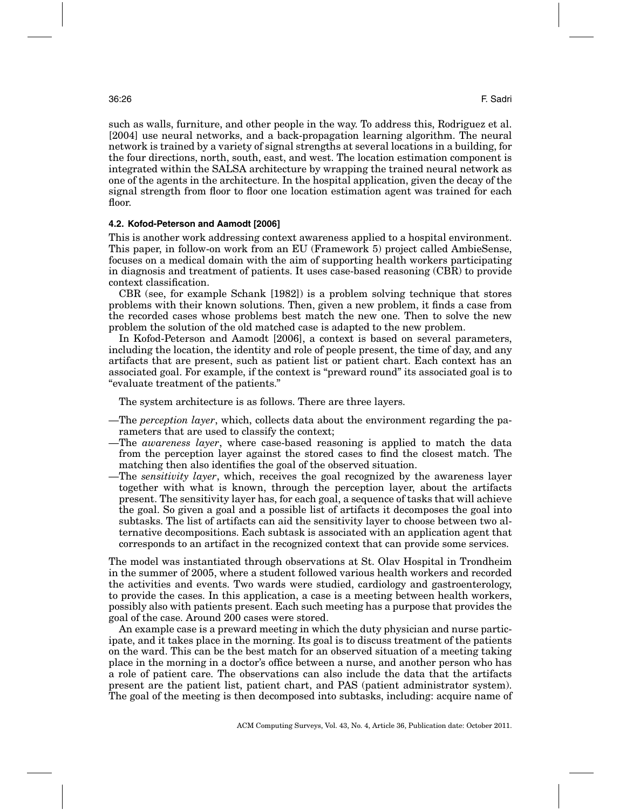such as walls, furniture, and other people in the way. To address this, Rodriguez et al. [2004] use neural networks, and a back-propagation learning algorithm. The neural network is trained by a variety of signal strengths at several locations in a building, for the four directions, north, south, east, and west. The location estimation component is integrated within the SALSA architecture by wrapping the trained neural network as one of the agents in the architecture. In the hospital application, given the decay of the signal strength from floor to floor one location estimation agent was trained for each floor.

# **4.2. Kofod-Peterson and Aamodt [2006]**

This is another work addressing context awareness applied to a hospital environment. This paper, in follow-on work from an EU (Framework 5) project called AmbieSense, focuses on a medical domain with the aim of supporting health workers participating in diagnosis and treatment of patients. It uses case-based reasoning (CBR) to provide context classification.

CBR (see, for example Schank [1982]) is a problem solving technique that stores problems with their known solutions. Then, given a new problem, it finds a case from the recorded cases whose problems best match the new one. Then to solve the new problem the solution of the old matched case is adapted to the new problem.

In Kofod-Peterson and Aamodt [2006], a context is based on several parameters, including the location, the identity and role of people present, the time of day, and any artifacts that are present, such as patient list or patient chart. Each context has an associated goal. For example, if the context is "preward round" its associated goal is to "evaluate treatment of the patients."

The system architecture is as follows. There are three layers.

- —The *perception layer*, which, collects data about the environment regarding the parameters that are used to classify the context;
- —The *awareness layer*, where case-based reasoning is applied to match the data from the perception layer against the stored cases to find the closest match. The matching then also identifies the goal of the observed situation.
- —The *sensitivity layer*, which, receives the goal recognized by the awareness layer together with what is known, through the perception layer, about the artifacts present. The sensitivity layer has, for each goal, a sequence of tasks that will achieve the goal. So given a goal and a possible list of artifacts it decomposes the goal into subtasks. The list of artifacts can aid the sensitivity layer to choose between two alternative decompositions. Each subtask is associated with an application agent that corresponds to an artifact in the recognized context that can provide some services.

The model was instantiated through observations at St. Olav Hospital in Trondheim in the summer of 2005, where a student followed various health workers and recorded the activities and events. Two wards were studied, cardiology and gastroenterology, to provide the cases. In this application, a case is a meeting between health workers, possibly also with patients present. Each such meeting has a purpose that provides the goal of the case. Around 200 cases were stored.

An example case is a preward meeting in which the duty physician and nurse participate, and it takes place in the morning. Its goal is to discuss treatment of the patients on the ward. This can be the best match for an observed situation of a meeting taking place in the morning in a doctor's office between a nurse, and another person who has a role of patient care. The observations can also include the data that the artifacts present are the patient list, patient chart, and PAS (patient administrator system). The goal of the meeting is then decomposed into subtasks, including: acquire name of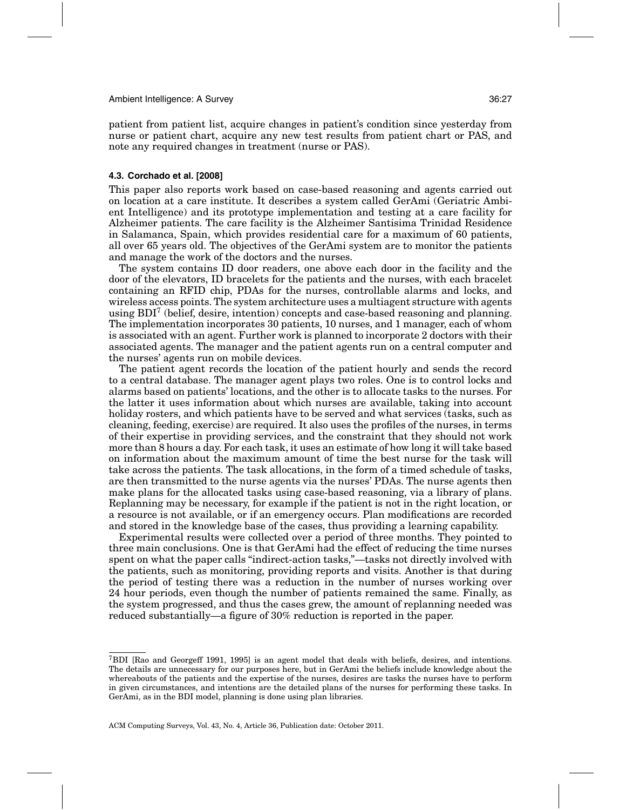patient from patient list, acquire changes in patient's condition since yesterday from nurse or patient chart, acquire any new test results from patient chart or PAS, and note any required changes in treatment (nurse or PAS).

## **4.3. Corchado et al. [2008]**

This paper also reports work based on case-based reasoning and agents carried out on location at a care institute. It describes a system called GerAmi (Geriatric Ambient Intelligence) and its prototype implementation and testing at a care facility for Alzheimer patients. The care facility is the Alzheimer Santisima Trinidad Residence in Salamanca, Spain, which provides residential care for a maximum of 60 patients, all over 65 years old. The objectives of the GerAmi system are to monitor the patients and manage the work of the doctors and the nurses.

The system contains ID door readers, one above each door in the facility and the door of the elevators, ID bracelets for the patients and the nurses, with each bracelet containing an RFID chip, PDAs for the nurses, controllable alarms and locks, and wireless access points. The system architecture uses a multiagent structure with agents using BDI<sup>7</sup> (belief, desire, intention) concepts and case-based reasoning and planning. The implementation incorporates 30 patients, 10 nurses, and 1 manager, each of whom is associated with an agent. Further work is planned to incorporate 2 doctors with their associated agents. The manager and the patient agents run on a central computer and the nurses' agents run on mobile devices.

The patient agent records the location of the patient hourly and sends the record to a central database. The manager agent plays two roles. One is to control locks and alarms based on patients' locations, and the other is to allocate tasks to the nurses. For the latter it uses information about which nurses are available, taking into account holiday rosters, and which patients have to be served and what services (tasks, such as cleaning, feeding, exercise) are required. It also uses the profiles of the nurses, in terms of their expertise in providing services, and the constraint that they should not work more than 8 hours a day. For each task, it uses an estimate of how long it will take based on information about the maximum amount of time the best nurse for the task will take across the patients. The task allocations, in the form of a timed schedule of tasks, are then transmitted to the nurse agents via the nurses' PDAs. The nurse agents then make plans for the allocated tasks using case-based reasoning, via a library of plans. Replanning may be necessary, for example if the patient is not in the right location, or a resource is not available, or if an emergency occurs. Plan modifications are recorded and stored in the knowledge base of the cases, thus providing a learning capability.

Experimental results were collected over a period of three months. They pointed to three main conclusions. One is that GerAmi had the effect of reducing the time nurses spent on what the paper calls "indirect-action tasks,"—tasks not directly involved with the patients, such as monitoring, providing reports and visits. Another is that during the period of testing there was a reduction in the number of nurses working over 24 hour periods, even though the number of patients remained the same. Finally, as the system progressed, and thus the cases grew, the amount of replanning needed was reduced substantially—a figure of 30% reduction is reported in the paper.

<sup>7</sup>BDI [Rao and Georgeff 1991, 1995] is an agent model that deals with beliefs, desires, and intentions. The details are unnecessary for our purposes here, but in GerAmi the beliefs include knowledge about the whereabouts of the patients and the expertise of the nurses, desires are tasks the nurses have to perform in given circumstances, and intentions are the detailed plans of the nurses for performing these tasks. In GerAmi, as in the BDI model, planning is done using plan libraries.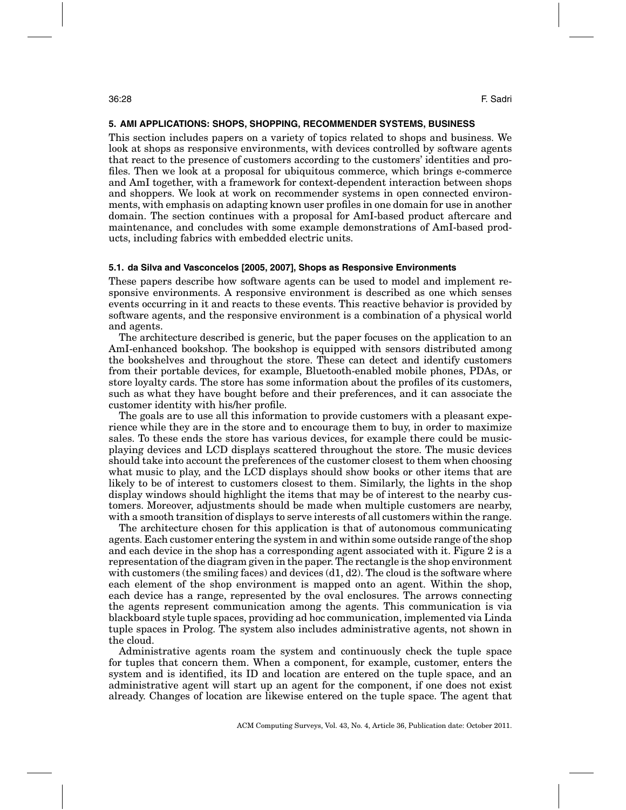## **5. AMI APPLICATIONS: SHOPS, SHOPPING, RECOMMENDER SYSTEMS, BUSINESS**

This section includes papers on a variety of topics related to shops and business. We look at shops as responsive environments, with devices controlled by software agents that react to the presence of customers according to the customers' identities and profiles. Then we look at a proposal for ubiquitous commerce, which brings e-commerce and AmI together, with a framework for context-dependent interaction between shops and shoppers. We look at work on recommender systems in open connected environments, with emphasis on adapting known user profiles in one domain for use in another domain. The section continues with a proposal for AmI-based product aftercare and maintenance, and concludes with some example demonstrations of AmI-based products, including fabrics with embedded electric units.

## **5.1. da Silva and Vasconcelos [2005, 2007], Shops as Responsive Environments**

These papers describe how software agents can be used to model and implement responsive environments. A responsive environment is described as one which senses events occurring in it and reacts to these events. This reactive behavior is provided by software agents, and the responsive environment is a combination of a physical world and agents.

The architecture described is generic, but the paper focuses on the application to an AmI-enhanced bookshop. The bookshop is equipped with sensors distributed among the bookshelves and throughout the store. These can detect and identify customers from their portable devices, for example, Bluetooth-enabled mobile phones, PDAs, or store loyalty cards. The store has some information about the profiles of its customers, such as what they have bought before and their preferences, and it can associate the customer identity with his/her profile.

The goals are to use all this information to provide customers with a pleasant experience while they are in the store and to encourage them to buy, in order to maximize sales. To these ends the store has various devices, for example there could be musicplaying devices and LCD displays scattered throughout the store. The music devices should take into account the preferences of the customer closest to them when choosing what music to play, and the LCD displays should show books or other items that are likely to be of interest to customers closest to them. Similarly, the lights in the shop display windows should highlight the items that may be of interest to the nearby customers. Moreover, adjustments should be made when multiple customers are nearby, with a smooth transition of displays to serve interests of all customers within the range.

The architecture chosen for this application is that of autonomous communicating agents. Each customer entering the system in and within some outside range of the shop and each device in the shop has a corresponding agent associated with it. Figure 2 is a representation of the diagram given in the paper. The rectangle is the shop environment with customers (the smiling faces) and devices  $(d1, d2)$ . The cloud is the software where each element of the shop environment is mapped onto an agent. Within the shop, each device has a range, represented by the oval enclosures. The arrows connecting the agents represent communication among the agents. This communication is via blackboard style tuple spaces, providing ad hoc communication, implemented via Linda tuple spaces in Prolog. The system also includes administrative agents, not shown in the cloud.

Administrative agents roam the system and continuously check the tuple space for tuples that concern them. When a component, for example, customer, enters the system and is identified, its ID and location are entered on the tuple space, and an administrative agent will start up an agent for the component, if one does not exist already. Changes of location are likewise entered on the tuple space. The agent that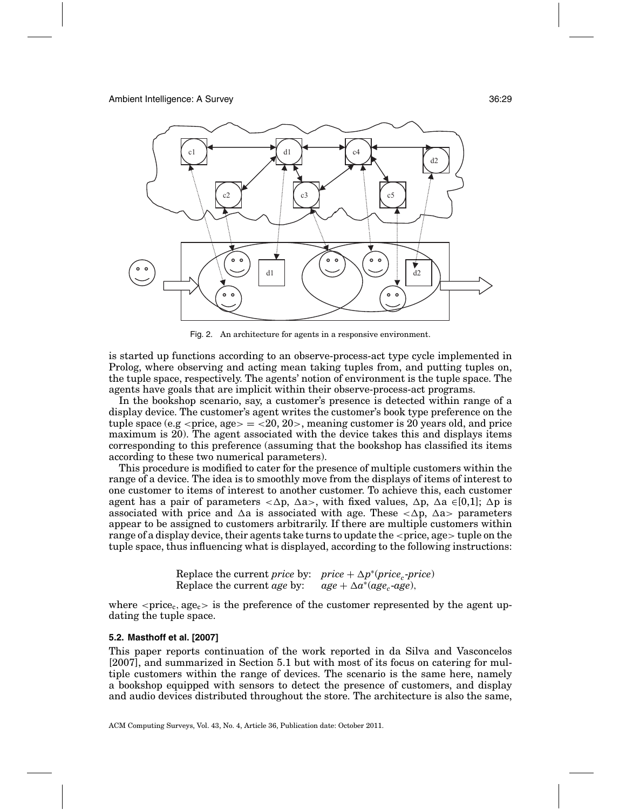

Fig. 2. An architecture for agents in a responsive environment.

is started up functions according to an observe-process-act type cycle implemented in Prolog, where observing and acting mean taking tuples from, and putting tuples on, the tuple space, respectively. The agents' notion of environment is the tuple space. The agents have goals that are implicit within their observe-process-act programs.

In the bookshop scenario, say, a customer's presence is detected within range of a display device. The customer's agent writes the customer's book type preference on the tuple space (e.g  $\langle$ price, age $\rangle = \langle 20, 20 \rangle$ , meaning customer is 20 years old, and price maximum is 20). The agent associated with the device takes this and displays items corresponding to this preference (assuming that the bookshop has classified its items according to these two numerical parameters).

This procedure is modified to cater for the presence of multiple customers within the range of a device. The idea is to smoothly move from the displays of items of interest to one customer to items of interest to another customer. To achieve this, each customer agent has a pair of parameters  $\langle \Delta p, \Delta a \rangle$ , with fixed values,  $\Delta p, \Delta a \in [0,1]$ ;  $\Delta p$  is associated with price and  $\Delta a$  is associated with age. These  $\langle \Delta p, \Delta a \rangle$  parameters appear to be assigned to customers arbitrarily. If there are multiple customers within range of a display device, their agents take turns to update the  $\langle$  price, age $\rangle$  tuple on the tuple space, thus influencing what is displayed, according to the following instructions:

> $\text{Replace the current price by: } price + \Delta p^*(price_c\text{-price})$ Replace the current *age* by:  $age + \Delta a^*(age_c - age),$

where  $\langle$ price<sub>c</sub>, age<sub>c</sub> $>$  is the preference of the customer represented by the agent updating the tuple space.

# **5.2. Masthoff et al. [2007]**

This paper reports continuation of the work reported in da Silva and Vasconcelos [2007], and summarized in Section 5.1 but with most of its focus on catering for multiple customers within the range of devices. The scenario is the same here, namely a bookshop equipped with sensors to detect the presence of customers, and display and audio devices distributed throughout the store. The architecture is also the same,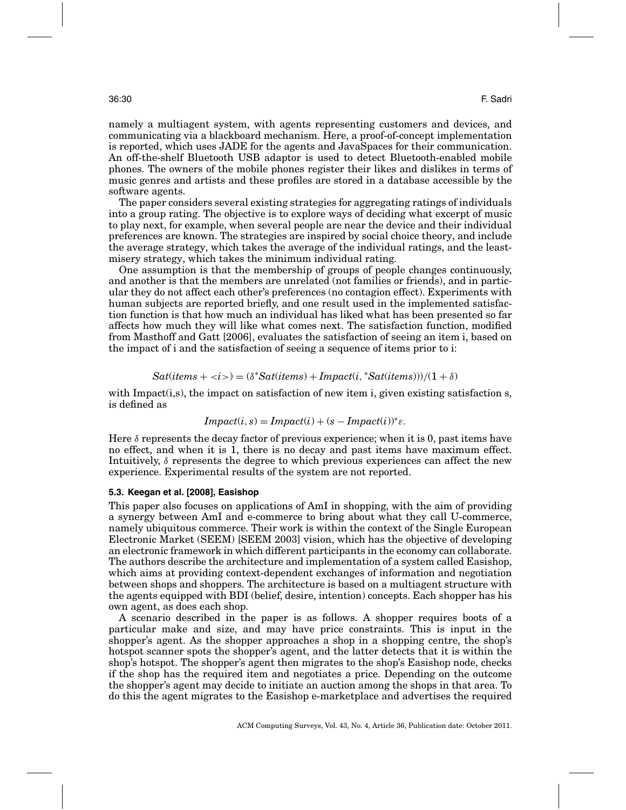namely a multiagent system, with agents representing customers and devices, and communicating via a blackboard mechanism. Here, a proof-of-concept implementation is reported, which uses JADE for the agents and JavaSpaces for their communication. An off-the-shelf Bluetooth USB adaptor is used to detect Bluetooth-enabled mobile phones. The owners of the mobile phones register their likes and dislikes in terms of music genres and artists and these profiles are stored in a database accessible by the software agents.

The paper considers several existing strategies for aggregating ratings of individuals into a group rating. The objective is to explore ways of deciding what excerpt of music to play next, for example, when several people are near the device and their individual preferences are known. The strategies are inspired by social choice theory, and include the average strategy, which takes the average of the individual ratings, and the leastmisery strategy, which takes the minimum individual rating.

One assumption is that the membership of groups of people changes continuously, and another is that the members are unrelated (not families or friends), and in particular they do not affect each other's preferences (no contagion effect). Experiments with human subjects are reported briefly, and one result used in the implemented satisfaction function is that how much an individual has liked what has been presented so far affects how much they will like what comes next. The satisfaction function, modified from Masthoff and Gatt [2006], evaluates the satisfaction of seeing an item i, based on the impact of i and the satisfaction of seeing a sequence of items prior to i:

$$
Sat(items + i) = (\delta^*Sat(items) + Impact(i, *Sat(items)))/(1 + \delta)
$$

with Impact $(i,s)$ , the impact on satisfaction of new item i, given existing satisfaction s, is defined as

$$
Impect(i, s) = Impect(i) + (s - Impect(i))^* \varepsilon.
$$

Here  $\delta$  represents the decay factor of previous experience; when it is 0, past items have no effect, and when it is 1, there is no decay and past items have maximum effect. Intuitively,  $\delta$  represents the degree to which previous experiences can affect the new experience. Experimental results of the system are not reported.

## **5.3. Keegan et al. [2008], Easishop**

This paper also focuses on applications of AmI in shopping, with the aim of providing a synergy between AmI and e-commerce to bring about what they call U-commerce, namely ubiquitous commerce. Their work is within the context of the Single European Electronic Market (SEEM) [SEEM 2003] vision, which has the objective of developing an electronic framework in which different participants in the economy can collaborate. The authors describe the architecture and implementation of a system called Easishop, which aims at providing context-dependent exchanges of information and negotiation between shops and shoppers. The architecture is based on a multiagent structure with the agents equipped with BDI (belief, desire, intention) concepts. Each shopper has his own agent, as does each shop.

A scenario described in the paper is as follows. A shopper requires boots of a particular make and size, and may have price constraints. This is input in the shopper's agent. As the shopper approaches a shop in a shopping centre, the shop's hotspot scanner spots the shopper's agent, and the latter detects that it is within the shop's hotspot. The shopper's agent then migrates to the shop's Easishop node, checks if the shop has the required item and negotiates a price. Depending on the outcome the shopper's agent may decide to initiate an auction among the shops in that area. To do this the agent migrates to the Easishop e-marketplace and advertises the required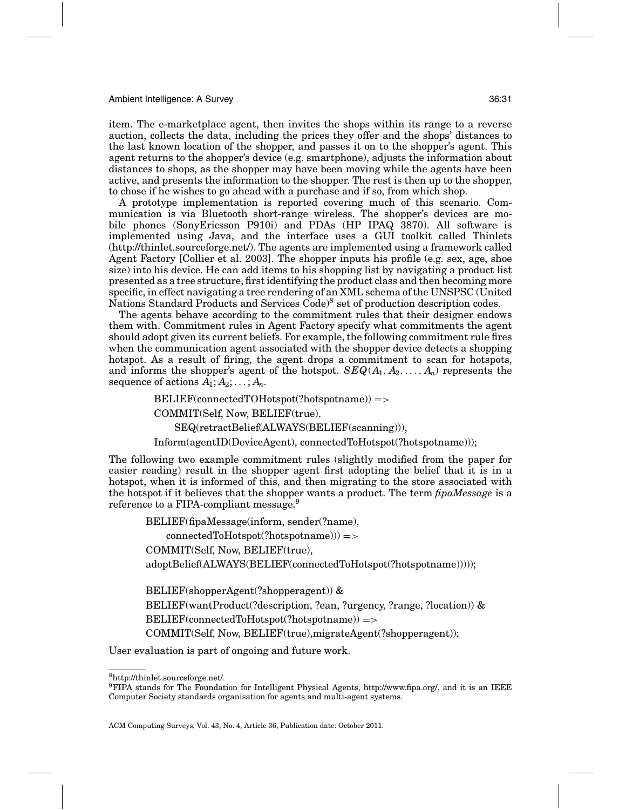item. The e-marketplace agent, then invites the shops within its range to a reverse auction, collects the data, including the prices they offer and the shops' distances to the last known location of the shopper, and passes it on to the shopper's agent. This agent returns to the shopper's device (e.g. smartphone), adjusts the information about distances to shops, as the shopper may have been moving while the agents have been active, and presents the information to the shopper. The rest is then up to the shopper, to chose if he wishes to go ahead with a purchase and if so, from which shop.

A prototype implementation is reported covering much of this scenario. Communication is via Bluetooth short-range wireless. The shopper's devices are mobile phones (SonyEricsson P910i) and PDAs (HP IPAQ 3870). All software is implemented using Java, and the interface uses a GUI toolkit called Thinlets (http://thinlet.sourceforge.net/). The agents are implemented using a framework called Agent Factory [Collier et al. 2003]. The shopper inputs his profile (e.g. sex, age, shoe size) into his device. He can add items to his shopping list by navigating a product list presented as a tree structure, first identifying the product class and then becoming more specific, in effect navigating a tree rendering of an XML schema of the UNSPSC (United Nations Standard Products and Services Code)8 set of production description codes.

The agents behave according to the commitment rules that their designer endows them with. Commitment rules in Agent Factory specify what commitments the agent should adopt given its current beliefs. For example, the following commitment rule fires when the communication agent associated with the shopper device detects a shopping hotspot. As a result of firing, the agent drops a commitment to scan for hotspots, and informs the shopper's agent of the hotspot.  $SEQ(A_1, A_2, \ldots, A_n)$  represents the sequence of actions  $A_1; A_2; \ldots; A_n$ .

> BELIEF(connectedTOHotspot(?hotspotname)) => COMMIT(Self, Now, BELIEF(true), SEQ(retractBelief(ALWAYS(BELIEF(scanning))), Inform(agentID(DeviceAgent), connectedToHotspot(?hotspotname)));

The following two example commitment rules (slightly modified from the paper for easier reading) result in the shopper agent first adopting the belief that it is in a hotspot, when it is informed of this, and then migrating to the store associated with the hotspot if it believes that the shopper wants a product. The term *fipaMessage* is a reference to a FIPA-compliant message.<sup>9</sup>

BELIEF(fipaMessage(inform, sender(?name), connectedToHotspot(?hotspotname))) => COMMIT(Self, Now, BELIEF(true), adoptBelief(ALWAYS(BELIEF(connectedToHotspot(?hotspotname)))));

BELIEF(shopperAgent(?shopperagent)) & BELIEF(wantProduct(?description, ?ean, ?urgency, ?range, ?location)) & BELIEF(connectedToHotspot(?hotspotname)) => COMMIT(Self, Now, BELIEF(true),migrateAgent(?shopperagent));

User evaluation is part of ongoing and future work.

<sup>8</sup>http://thinlet.sourceforge.net/.

<sup>9</sup>FIPA stands for The Foundation for Intelligent Physical Agents, http://www.fipa.org/, and it is an IEEE Computer Society standards organisation for agents and multi-agent systems.

ACM Computing Surveys, Vol. 43, No. 4, Article 36, Publication date: October 2011.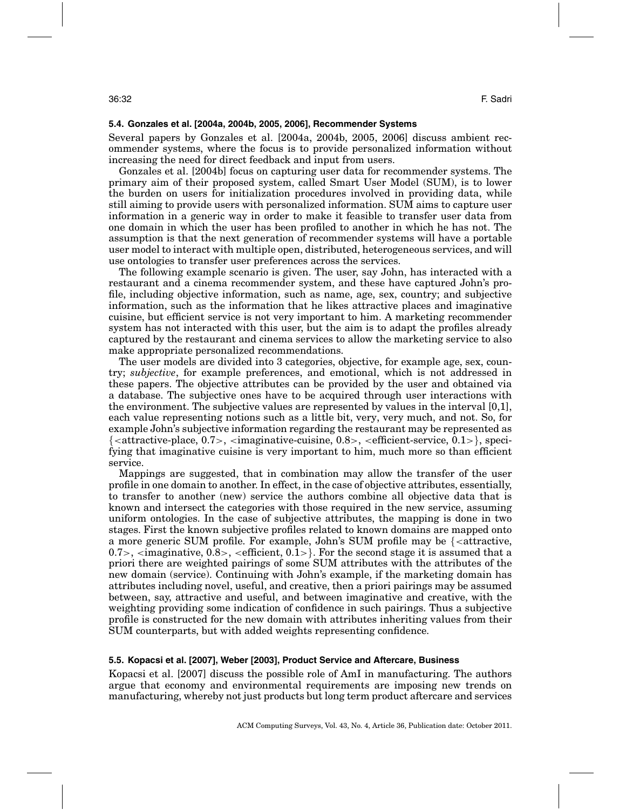## **5.4. Gonzales et al. [2004a, 2004b, 2005, 2006], Recommender Systems**

Several papers by Gonzales et al. [2004a, 2004b, 2005, 2006] discuss ambient recommender systems, where the focus is to provide personalized information without increasing the need for direct feedback and input from users.

Gonzales et al. [2004b] focus on capturing user data for recommender systems. The primary aim of their proposed system, called Smart User Model (SUM), is to lower the burden on users for initialization procedures involved in providing data, while still aiming to provide users with personalized information. SUM aims to capture user information in a generic way in order to make it feasible to transfer user data from one domain in which the user has been profiled to another in which he has not. The assumption is that the next generation of recommender systems will have a portable user model to interact with multiple open, distributed, heterogeneous services, and will use ontologies to transfer user preferences across the services.

The following example scenario is given. The user, say John, has interacted with a restaurant and a cinema recommender system, and these have captured John's profile, including objective information, such as name, age, sex, country; and subjective information, such as the information that he likes attractive places and imaginative cuisine, but efficient service is not very important to him. A marketing recommender system has not interacted with this user, but the aim is to adapt the profiles already captured by the restaurant and cinema services to allow the marketing service to also make appropriate personalized recommendations.

The user models are divided into 3 categories, objective, for example age, sex, country; *subjective*, for example preferences, and emotional, which is not addressed in these papers. The objective attributes can be provided by the user and obtained via a database. The subjective ones have to be acquired through user interactions with the environment. The subjective values are represented by values in the interval [0,1], each value representing notions such as a little bit, very, very much, and not. So, for example John's subjective information regarding the restaurant may be represented as  $\{\langle\$  < attractive-place, 0.7>,  $\langle\$ imaginative-cuisine, 0.8>,  $\langle\$  efficient-service, 0.1>}, specifying that imaginative cuisine is very important to him, much more so than efficient service.

Mappings are suggested, that in combination may allow the transfer of the user profile in one domain to another. In effect, in the case of objective attributes, essentially, to transfer to another (new) service the authors combine all objective data that is known and intersect the categories with those required in the new service, assuming uniform ontologies. In the case of subjective attributes, the mapping is done in two stages. First the known subjective profiles related to known domains are mapped onto a more generic SUM profile. For example, John's SUM profile may be  $\{\leq\text{attractive},\}$ 0.7>,  $\zeta$  imaginative, 0.8>,  $\zeta$  efficient, 0.1>}. For the second stage it is assumed that a priori there are weighted pairings of some SUM attributes with the attributes of the new domain (service). Continuing with John's example, if the marketing domain has attributes including novel, useful, and creative, then a priori pairings may be assumed between, say, attractive and useful, and between imaginative and creative, with the weighting providing some indication of confidence in such pairings. Thus a subjective profile is constructed for the new domain with attributes inheriting values from their SUM counterparts, but with added weights representing confidence.

## **5.5. Kopacsi et al. [2007], Weber [2003], Product Service and Aftercare, Business**

Kopacsi et al. [2007] discuss the possible role of AmI in manufacturing. The authors argue that economy and environmental requirements are imposing new trends on manufacturing, whereby not just products but long term product aftercare and services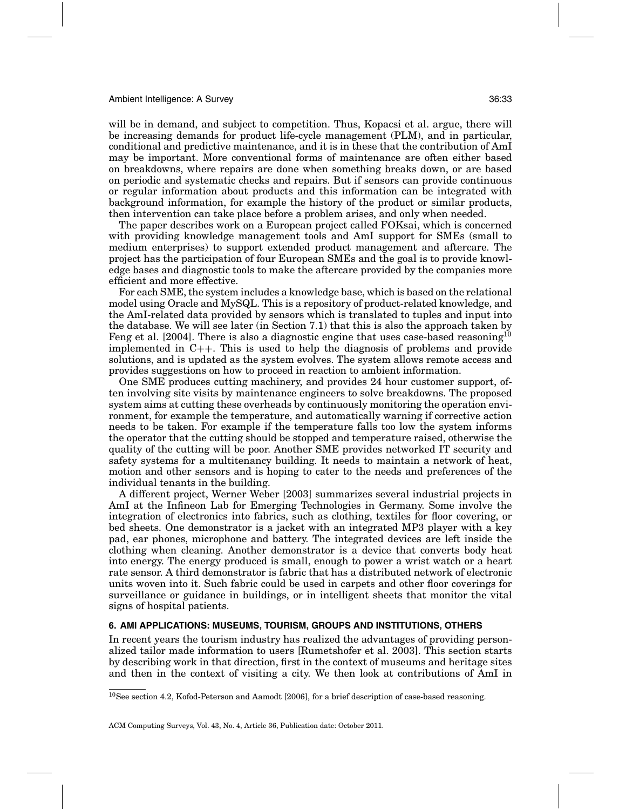will be in demand, and subject to competition. Thus, Kopacsi et al. argue, there will be increasing demands for product life-cycle management (PLM), and in particular, conditional and predictive maintenance, and it is in these that the contribution of AmI may be important. More conventional forms of maintenance are often either based on breakdowns, where repairs are done when something breaks down, or are based on periodic and systematic checks and repairs. But if sensors can provide continuous or regular information about products and this information can be integrated with background information, for example the history of the product or similar products, then intervention can take place before a problem arises, and only when needed.

The paper describes work on a European project called FOKsai, which is concerned with providing knowledge management tools and AmI support for SMEs (small to medium enterprises) to support extended product management and aftercare. The project has the participation of four European SMEs and the goal is to provide knowledge bases and diagnostic tools to make the aftercare provided by the companies more efficient and more effective.

For each SME, the system includes a knowledge base, which is based on the relational model using Oracle and MySQL. This is a repository of product-related knowledge, and the AmI-related data provided by sensors which is translated to tuples and input into the database. We will see later (in Section 7.1) that this is also the approach taken by Feng et al. [2004]. There is also a diagnostic engine that uses case-based reasoning<sup>10</sup> implemented in  $C_{++}$ . This is used to help the diagnosis of problems and provide solutions, and is updated as the system evolves. The system allows remote access and provides suggestions on how to proceed in reaction to ambient information.

One SME produces cutting machinery, and provides 24 hour customer support, often involving site visits by maintenance engineers to solve breakdowns. The proposed system aims at cutting these overheads by continuously monitoring the operation environment, for example the temperature, and automatically warning if corrective action needs to be taken. For example if the temperature falls too low the system informs the operator that the cutting should be stopped and temperature raised, otherwise the quality of the cutting will be poor. Another SME provides networked IT security and safety systems for a multitenancy building. It needs to maintain a network of heat, motion and other sensors and is hoping to cater to the needs and preferences of the individual tenants in the building.

A different project, Werner Weber [2003] summarizes several industrial projects in AmI at the Infineon Lab for Emerging Technologies in Germany. Some involve the integration of electronics into fabrics, such as clothing, textiles for floor covering, or bed sheets. One demonstrator is a jacket with an integrated MP3 player with a key pad, ear phones, microphone and battery. The integrated devices are left inside the clothing when cleaning. Another demonstrator is a device that converts body heat into energy. The energy produced is small, enough to power a wrist watch or a heart rate sensor. A third demonstrator is fabric that has a distributed network of electronic units woven into it. Such fabric could be used in carpets and other floor coverings for surveillance or guidance in buildings, or in intelligent sheets that monitor the vital signs of hospital patients.

# **6. AMI APPLICATIONS: MUSEUMS, TOURISM, GROUPS AND INSTITUTIONS, OTHERS**

In recent years the tourism industry has realized the advantages of providing personalized tailor made information to users [Rumetshofer et al. 2003]. This section starts by describing work in that direction, first in the context of museums and heritage sites and then in the context of visiting a city. We then look at contributions of AmI in

<sup>10</sup>See section 4.2, Kofod-Peterson and Aamodt [2006], for a brief description of case-based reasoning.

ACM Computing Surveys, Vol. 43, No. 4, Article 36, Publication date: October 2011.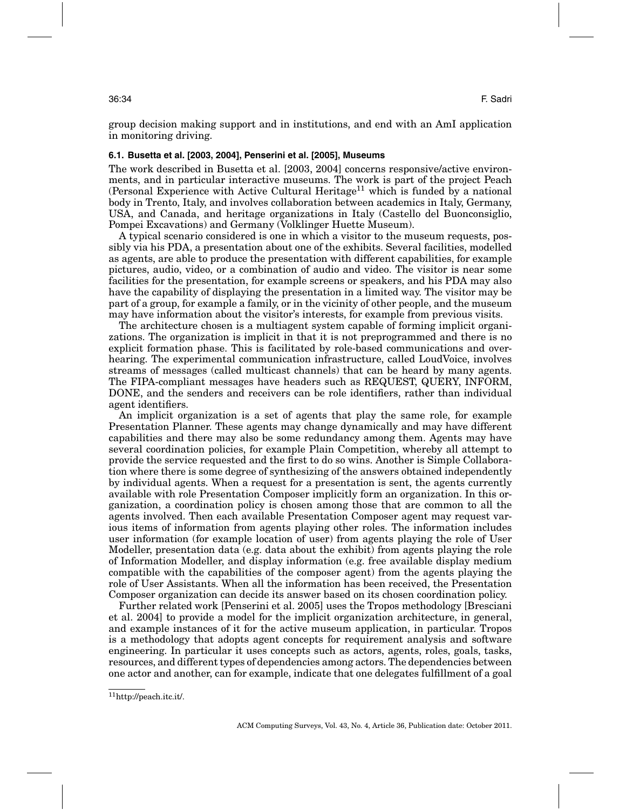group decision making support and in institutions, and end with an AmI application in monitoring driving.

# **6.1. Busetta et al. [2003, 2004], Penserini et al. [2005], Museums**

The work described in Busetta et al. [2003, 2004] concerns responsive/active environments, and in particular interactive museums. The work is part of the project Peach (Personal Experience with Active Cultural Heritage<sup>11</sup> which is funded by a national body in Trento, Italy, and involves collaboration between academics in Italy, Germany, USA, and Canada, and heritage organizations in Italy (Castello del Buonconsiglio, Pompei Excavations) and Germany (Volklinger Huette Museum).

A typical scenario considered is one in which a visitor to the museum requests, possibly via his PDA, a presentation about one of the exhibits. Several facilities, modelled as agents, are able to produce the presentation with different capabilities, for example pictures, audio, video, or a combination of audio and video. The visitor is near some facilities for the presentation, for example screens or speakers, and his PDA may also have the capability of displaying the presentation in a limited way. The visitor may be part of a group, for example a family, or in the vicinity of other people, and the museum may have information about the visitor's interests, for example from previous visits.

The architecture chosen is a multiagent system capable of forming implicit organizations. The organization is implicit in that it is not preprogrammed and there is no explicit formation phase. This is facilitated by role-based communications and overhearing. The experimental communication infrastructure, called LoudVoice, involves streams of messages (called multicast channels) that can be heard by many agents. The FIPA-compliant messages have headers such as REQUEST, QUERY, INFORM, DONE, and the senders and receivers can be role identifiers, rather than individual agent identifiers.

An implicit organization is a set of agents that play the same role, for example Presentation Planner. These agents may change dynamically and may have different capabilities and there may also be some redundancy among them. Agents may have several coordination policies, for example Plain Competition, whereby all attempt to provide the service requested and the first to do so wins. Another is Simple Collaboration where there is some degree of synthesizing of the answers obtained independently by individual agents. When a request for a presentation is sent, the agents currently available with role Presentation Composer implicitly form an organization. In this organization, a coordination policy is chosen among those that are common to all the agents involved. Then each available Presentation Composer agent may request various items of information from agents playing other roles. The information includes user information (for example location of user) from agents playing the role of User Modeller, presentation data (e.g. data about the exhibit) from agents playing the role of Information Modeller, and display information (e.g. free available display medium compatible with the capabilities of the composer agent) from the agents playing the role of User Assistants. When all the information has been received, the Presentation Composer organization can decide its answer based on its chosen coordination policy.

Further related work [Penserini et al. 2005] uses the Tropos methodology [Bresciani et al. 2004] to provide a model for the implicit organization architecture, in general, and example instances of it for the active museum application, in particular. Tropos is a methodology that adopts agent concepts for requirement analysis and software engineering. In particular it uses concepts such as actors, agents, roles, goals, tasks, resources, and different types of dependencies among actors. The dependencies between one actor and another, can for example, indicate that one delegates fulfillment of a goal

<sup>11</sup>http://peach.itc.it/.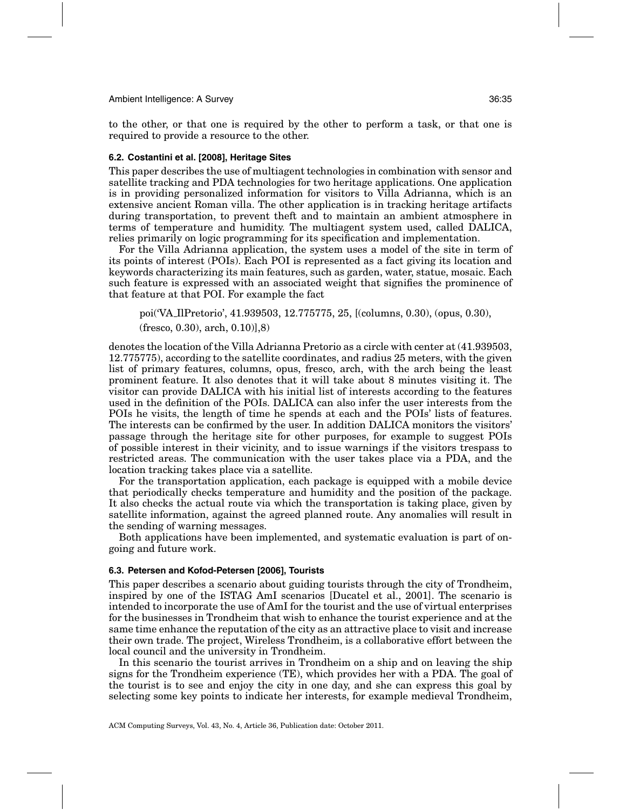to the other, or that one is required by the other to perform a task, or that one is required to provide a resource to the other.

# **6.2. Costantini et al. [2008], Heritage Sites**

This paper describes the use of multiagent technologies in combination with sensor and satellite tracking and PDA technologies for two heritage applications. One application is in providing personalized information for visitors to Villa Adrianna, which is an extensive ancient Roman villa. The other application is in tracking heritage artifacts during transportation, to prevent theft and to maintain an ambient atmosphere in terms of temperature and humidity. The multiagent system used, called DALICA, relies primarily on logic programming for its specification and implementation.

For the Villa Adrianna application, the system uses a model of the site in term of its points of interest (POIs). Each POI is represented as a fact giving its location and keywords characterizing its main features, such as garden, water, statue, mosaic. Each such feature is expressed with an associated weight that signifies the prominence of that feature at that POI. For example the fact

poi('VA IlPretorio', 41.939503, 12.775775, 25, [(columns, 0.30), (opus, 0.30), (fresco, 0.30), arch, 0.10)],8)

denotes the location of the Villa Adrianna Pretorio as a circle with center at (41.939503, 12.775775), according to the satellite coordinates, and radius 25 meters, with the given list of primary features, columns, opus, fresco, arch, with the arch being the least prominent feature. It also denotes that it will take about 8 minutes visiting it. The visitor can provide DALICA with his initial list of interests according to the features used in the definition of the POIs. DALICA can also infer the user interests from the POIs he visits, the length of time he spends at each and the POIs' lists of features. The interests can be confirmed by the user. In addition DALICA monitors the visitors' passage through the heritage site for other purposes, for example to suggest POIs of possible interest in their vicinity, and to issue warnings if the visitors trespass to restricted areas. The communication with the user takes place via a PDA, and the location tracking takes place via a satellite.

For the transportation application, each package is equipped with a mobile device that periodically checks temperature and humidity and the position of the package. It also checks the actual route via which the transportation is taking place, given by satellite information, against the agreed planned route. Any anomalies will result in the sending of warning messages.

Both applications have been implemented, and systematic evaluation is part of ongoing and future work.

## **6.3. Petersen and Kofod-Petersen [2006], Tourists**

This paper describes a scenario about guiding tourists through the city of Trondheim, inspired by one of the ISTAG AmI scenarios [Ducatel et al., 2001]. The scenario is intended to incorporate the use of AmI for the tourist and the use of virtual enterprises for the businesses in Trondheim that wish to enhance the tourist experience and at the same time enhance the reputation of the city as an attractive place to visit and increase their own trade. The project, Wireless Trondheim, is a collaborative effort between the local council and the university in Trondheim.

In this scenario the tourist arrives in Trondheim on a ship and on leaving the ship signs for the Trondheim experience (TE), which provides her with a PDA. The goal of the tourist is to see and enjoy the city in one day, and she can express this goal by selecting some key points to indicate her interests, for example medieval Trondheim,

ACM Computing Surveys, Vol. 43, No. 4, Article 36, Publication date: October 2011.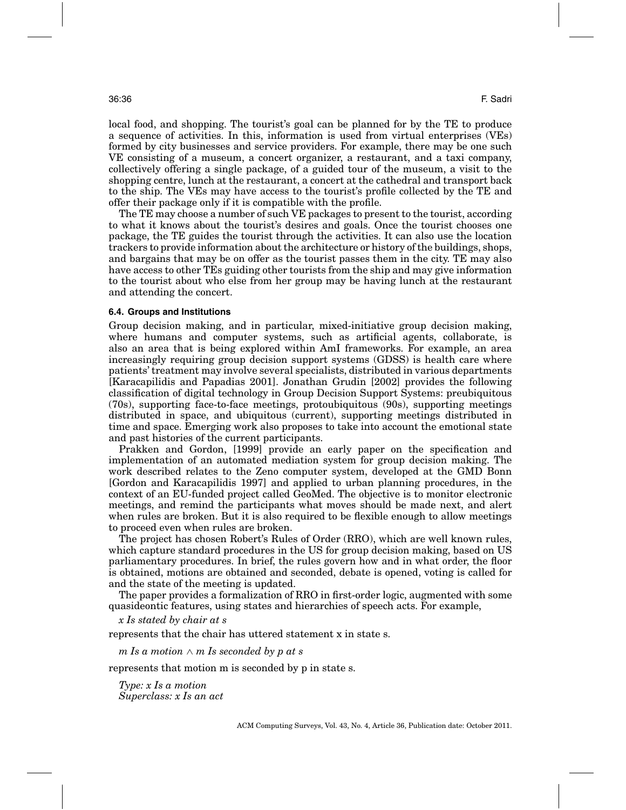local food, and shopping. The tourist's goal can be planned for by the TE to produce a sequence of activities. In this, information is used from virtual enterprises (VEs) formed by city businesses and service providers. For example, there may be one such VE consisting of a museum, a concert organizer, a restaurant, and a taxi company, collectively offering a single package, of a guided tour of the museum, a visit to the shopping centre, lunch at the restaurant, a concert at the cathedral and transport back to the ship. The VEs may have access to the tourist's profile collected by the TE and offer their package only if it is compatible with the profile.

The TE may choose a number of such VE packages to present to the tourist, according to what it knows about the tourist's desires and goals. Once the tourist chooses one package, the TE guides the tourist through the activities. It can also use the location trackers to provide information about the architecture or history of the buildings, shops, and bargains that may be on offer as the tourist passes them in the city. TE may also have access to other TEs guiding other tourists from the ship and may give information to the tourist about who else from her group may be having lunch at the restaurant and attending the concert.

## **6.4. Groups and Institutions**

Group decision making, and in particular, mixed-initiative group decision making, where humans and computer systems, such as artificial agents, collaborate, is also an area that is being explored within AmI frameworks. For example, an area increasingly requiring group decision support systems (GDSS) is health care where patients' treatment may involve several specialists, distributed in various departments [Karacapilidis and Papadias 2001]. Jonathan Grudin [2002] provides the following classification of digital technology in Group Decision Support Systems: preubiquitous (70s), supporting face-to-face meetings, protoubiquitous (90s), supporting meetings distributed in space, and ubiquitous (current), supporting meetings distributed in time and space. Emerging work also proposes to take into account the emotional state and past histories of the current participants.

Prakken and Gordon, [1999] provide an early paper on the specification and implementation of an automated mediation system for group decision making. The work described relates to the Zeno computer system, developed at the GMD Bonn [Gordon and Karacapilidis 1997] and applied to urban planning procedures, in the context of an EU-funded project called GeoMed. The objective is to monitor electronic meetings, and remind the participants what moves should be made next, and alert when rules are broken. But it is also required to be flexible enough to allow meetings to proceed even when rules are broken.

The project has chosen Robert's Rules of Order (RRO), which are well known rules, which capture standard procedures in the US for group decision making, based on US parliamentary procedures. In brief, the rules govern how and in what order, the floor is obtained, motions are obtained and seconded, debate is opened, voting is called for and the state of the meeting is updated.

The paper provides a formalization of RRO in first-order logic, augmented with some quasideontic features, using states and hierarchies of speech acts. For example,

*x Is stated by chair at s*

represents that the chair has uttered statement x in state s.

*m Is a motion* ∧ *m Is seconded by p at s*

represents that motion m is seconded by p in state s.

*Type: x Is a motion Superclass: x Is an act*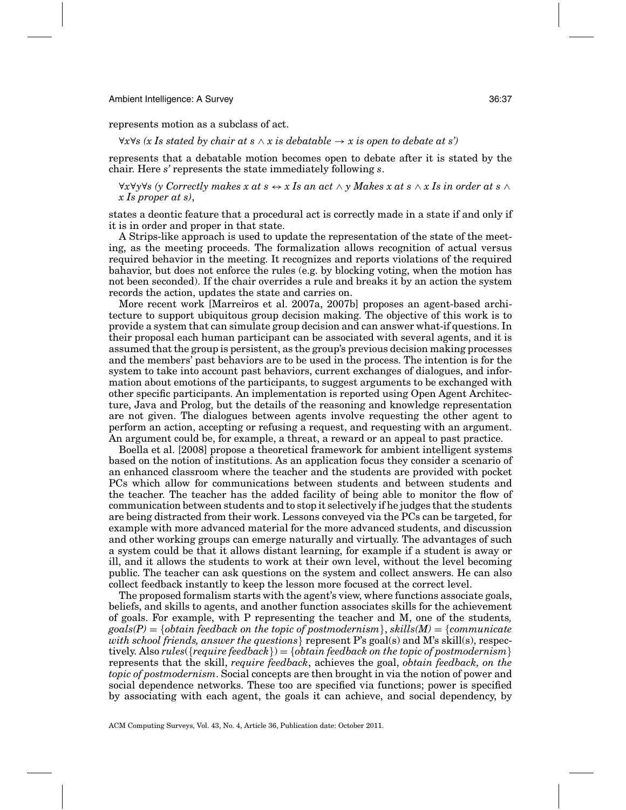represents motion as a subclass of act.

# ∀*x*∀*s (x Is stated by chair at s* ∧ *x is debatable* → *x is open to debate at s')*

represents that a debatable motion becomes open to debate after it is stated by the chair. Here *s'* represents the state immediately following *s*.

∀*x*∀*y*∀*s (y Correctly makes x at s* ↔ *x Is an act* ∧ *y Makes x at s* ∧ *x Is in order at s* ∧ *x Is proper at s)*,

states a deontic feature that a procedural act is correctly made in a state if and only if it is in order and proper in that state.

A Strips-like approach is used to update the representation of the state of the meeting, as the meeting proceeds. The formalization allows recognition of actual versus required behavior in the meeting. It recognizes and reports violations of the required bahavior, but does not enforce the rules (e.g. by blocking voting, when the motion has not been seconded). If the chair overrides a rule and breaks it by an action the system records the action, updates the state and carries on.

More recent work [Marreiros et al. 2007a, 2007b] proposes an agent-based architecture to support ubiquitous group decision making. The objective of this work is to provide a system that can simulate group decision and can answer what-if questions. In their proposal each human participant can be associated with several agents, and it is assumed that the group is persistent, as the group's previous decision making processes and the members' past behaviors are to be used in the process. The intention is for the system to take into account past behaviors, current exchanges of dialogues, and information about emotions of the participants, to suggest arguments to be exchanged with other specific participants. An implementation is reported using Open Agent Architecture, Java and Prolog, but the details of the reasoning and knowledge representation are not given. The dialogues between agents involve requesting the other agent to perform an action, accepting or refusing a request, and requesting with an argument. An argument could be, for example, a threat, a reward or an appeal to past practice.

Boella et al. [2008] propose a theoretical framework for ambient intelligent systems based on the notion of institutions. As an application focus they consider a scenario of an enhanced classroom where the teacher and the students are provided with pocket PCs which allow for communications between students and between students and the teacher. The teacher has the added facility of being able to monitor the flow of communication between students and to stop it selectively if he judges that the students are being distracted from their work. Lessons conveyed via the PCs can be targeted, for example with more advanced material for the more advanced students, and discussion and other working groups can emerge naturally and virtually. The advantages of such a system could be that it allows distant learning, for example if a student is away or ill, and it allows the students to work at their own level, without the level becoming public. The teacher can ask questions on the system and collect answers. He can also collect feedback instantly to keep the lesson more focused at the correct level.

The proposed formalism starts with the agent's view, where functions associate goals, beliefs, and skills to agents, and another function associates skills for the achievement of goals. For example, with P representing the teacher and M, one of the students*,*  $gous(P) = \{obtain feedback on the topic of postmodernism\}, skills(M) = \{communicate$ *with school friends, answer the questions*} represent P's goal(s) and M's skill(s), respectively. Also *rules*({*require feedback*}) = {*obtain feedback on the topic of postmodernism*} represents that the skill, *require feedback*, achieves the goal, *obtain feedback, on the topic of postmodernism*. Social concepts are then brought in via the notion of power and social dependence networks. These too are specified via functions; power is specified by associating with each agent, the goals it can achieve, and social dependency, by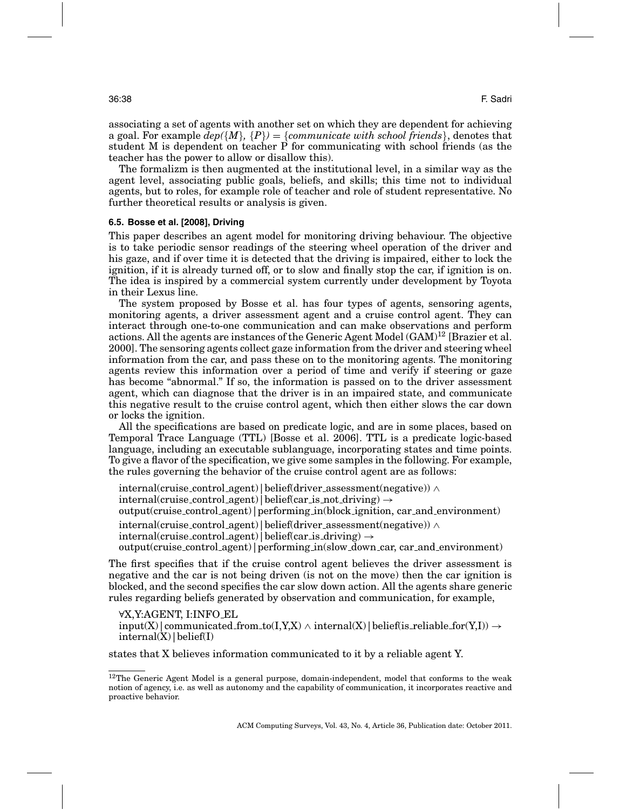associating a set of agents with another set on which they are dependent for achieving a goal. For example  $dep({M}, {P}) = {dommunicate with school friends}$ , denotes that student M is dependent on teacher P for communicating with school friends (as the teacher has the power to allow or disallow this).

The formalizm is then augmented at the institutional level, in a similar way as the agent level, associating public goals, beliefs, and skills; this time not to individual agents, but to roles, for example role of teacher and role of student representative. No further theoretical results or analysis is given.

## **6.5. Bosse et al. [2008], Driving**

This paper describes an agent model for monitoring driving behaviour. The objective is to take periodic sensor readings of the steering wheel operation of the driver and his gaze, and if over time it is detected that the driving is impaired, either to lock the ignition, if it is already turned off, or to slow and finally stop the car, if ignition is on. The idea is inspired by a commercial system currently under development by Toyota in their Lexus line.

The system proposed by Bosse et al. has four types of agents, sensoring agents, monitoring agents, a driver assessment agent and a cruise control agent. They can interact through one-to-one communication and can make observations and perform actions. All the agents are instances of the Generic Agent Model  $(GAM)^{12}$  [Brazier et al. 2000]. The sensoring agents collect gaze information from the driver and steering wheel information from the car, and pass these on to the monitoring agents. The monitoring agents review this information over a period of time and verify if steering or gaze has become "abnormal." If so, the information is passed on to the driver assessment agent, which can diagnose that the driver is in an impaired state, and communicate this negative result to the cruise control agent, which then either slows the car down or locks the ignition.

All the specifications are based on predicate logic, and are in some places, based on Temporal Trace Language (TTL) [Bosse et al. 2006]. TTL is a predicate logic-based language, including an executable sublanguage, incorporating states and time points. To give a flavor of the specification, we give some samples in the following. For example, the rules governing the behavior of the cruise control agent are as follows:

internal(cruise control agent)|belief(driver assessment(negative)) ∧  $internal(cruise-control-agent)|belief(car.is not-driveniving) \rightarrow$ output(cruise control agent)|performing in(block ignition, car and environment)

 $internal(cruise-control_agent)$ | belief(driver\_assessment(negative)) ∧

 $internal(cruise-control-agent)|belief(car_is-driven) \rightarrow$ 

output(cruise control agent)|performing in(slow down car, car and environment)

The first specifies that if the cruise control agent believes the driver assessment is negative and the car is not being driven (is not on the move) then the car ignition is blocked, and the second specifies the car slow down action. All the agents share generic rules regarding beliefs generated by observation and communication, for example,

∀X,Y:AGENT, I:INFO EL

 $input(X)|commanded_{from\_to}(I,Y,X) \wedge internal(X)|belief(s_{relable\_for}(Y,I)) \rightarrow$  $interval(X)$ | belief(I)

states that X believes information communicated to it by a reliable agent Y.

 $12$ The Generic Agent Model is a general purpose, domain-independent, model that conforms to the weak notion of agency, i.e. as well as autonomy and the capability of communication, it incorporates reactive and proactive behavior.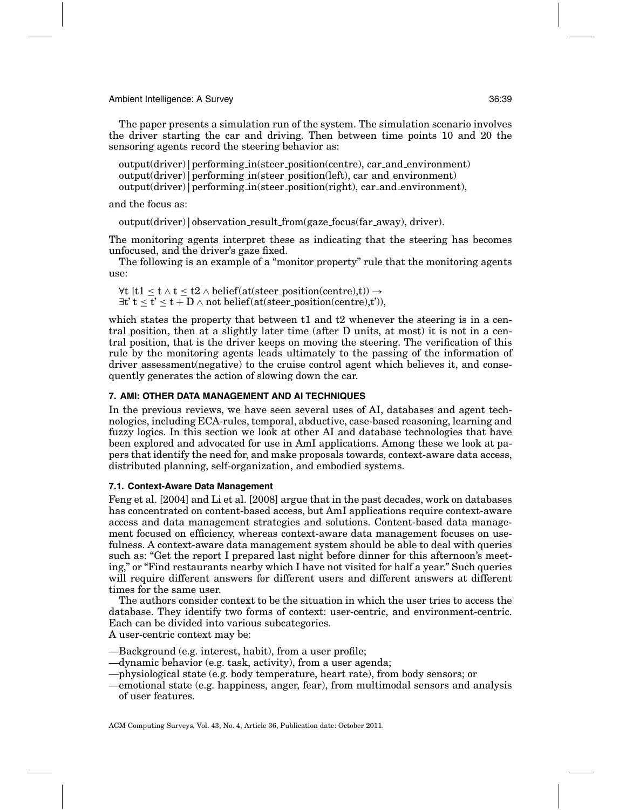The paper presents a simulation run of the system. The simulation scenario involves the driver starting the car and driving. Then between time points 10 and 20 the sensoring agents record the steering behavior as:

output(driver)|performing in(steer position(centre), car and environment) output(driver)|performing in(steer position(left), car and environment) output(driver)|performing in(steer position(right), car and environment),

and the focus as:

output(driver)|observation result from(gaze focus(far away), driver).

The monitoring agents interpret these as indicating that the steering has becomes unfocused, and the driver's gaze fixed.

The following is an example of a "monitor property" rule that the monitoring agents use:

 $\forall t$  [t1 ≤ t∧t ≤ t2∧ belief(at(steer\_position(centre),t)) →  $\exists t' t \leq t' \leq t + D \land \text{not belief}(\text{at}(\text{steer}_\text{position}(\text{centre}), t')),$ 

which states the property that between t1 and t2 whenever the steering is in a central position, then at a slightly later time (after D units, at most) it is not in a central position, that is the driver keeps on moving the steering. The verification of this rule by the monitoring agents leads ultimately to the passing of the information of driver assessment(negative) to the cruise control agent which believes it, and consequently generates the action of slowing down the car.

## **7. AMI: OTHER DATA MANAGEMENT AND AI TECHNIQUES**

In the previous reviews, we have seen several uses of AI, databases and agent technologies, including ECA-rules, temporal, abductive, case-based reasoning, learning and fuzzy logics. In this section we look at other AI and database technologies that have been explored and advocated for use in AmI applications. Among these we look at papers that identify the need for, and make proposals towards, context-aware data access, distributed planning, self-organization, and embodied systems.

# **7.1. Context-Aware Data Management**

Feng et al. [2004] and Li et al. [2008] argue that in the past decades, work on databases has concentrated on content-based access, but AmI applications require context-aware access and data management strategies and solutions. Content-based data management focused on efficiency, whereas context-aware data management focuses on usefulness. A context-aware data management system should be able to deal with queries such as: "Get the report I prepared last night before dinner for this afternoon's meeting," or "Find restaurants nearby which I have not visited for half a year." Such queries will require different answers for different users and different answers at different times for the same user.

The authors consider context to be the situation in which the user tries to access the database. They identify two forms of context: user-centric, and environment-centric. Each can be divided into various subcategories.

A user-centric context may be:

- —Background (e.g. interest, habit), from a user profile;
- —dynamic behavior (e.g. task, activity), from a user agenda;
- —physiological state (e.g. body temperature, heart rate), from body sensors; or
- —emotional state (e.g. happiness, anger, fear), from multimodal sensors and analysis of user features.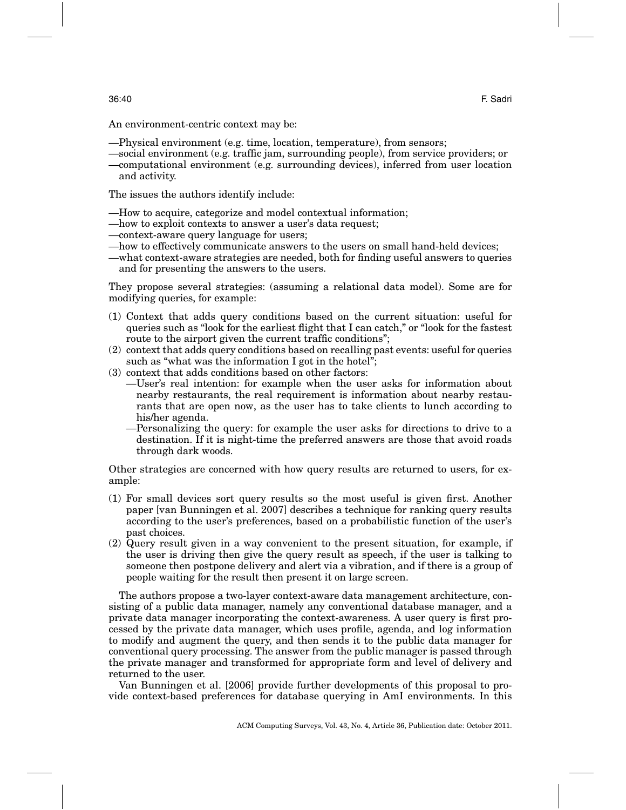36:40 F. Sadri

An environment-centric context may be:

- —Physical environment (e.g. time, location, temperature), from sensors;
- —social environment (e.g. traffic jam, surrounding people), from service providers; or —computational environment (e.g. surrounding devices), inferred from user location and activity.

The issues the authors identify include:

- —How to acquire, categorize and model contextual information;
- —how to exploit contexts to answer a user's data request;
- —context-aware query language for users;
- —how to effectively communicate answers to the users on small hand-held devices;
- —what context-aware strategies are needed, both for finding useful answers to queries and for presenting the answers to the users.

They propose several strategies: (assuming a relational data model). Some are for modifying queries, for example:

- (1) Context that adds query conditions based on the current situation: useful for queries such as "look for the earliest flight that I can catch," or "look for the fastest route to the airport given the current traffic conditions";
- (2) context that adds query conditions based on recalling past events: useful for queries such as "what was the information I got in the hotel";
- (3) context that adds conditions based on other factors:
	- —User's real intention: for example when the user asks for information about nearby restaurants, the real requirement is information about nearby restaurants that are open now, as the user has to take clients to lunch according to his/her agenda.
	- —Personalizing the query: for example the user asks for directions to drive to a destination. If it is night-time the preferred answers are those that avoid roads through dark woods.

Other strategies are concerned with how query results are returned to users, for example:

- (1) For small devices sort query results so the most useful is given first. Another paper [van Bunningen et al. 2007] describes a technique for ranking query results according to the user's preferences, based on a probabilistic function of the user's past choices.
- (2) Query result given in a way convenient to the present situation, for example, if the user is driving then give the query result as speech, if the user is talking to someone then postpone delivery and alert via a vibration, and if there is a group of people waiting for the result then present it on large screen.

The authors propose a two-layer context-aware data management architecture, consisting of a public data manager, namely any conventional database manager, and a private data manager incorporating the context-awareness. A user query is first processed by the private data manager, which uses profile, agenda, and log information to modify and augment the query, and then sends it to the public data manager for conventional query processing. The answer from the public manager is passed through the private manager and transformed for appropriate form and level of delivery and returned to the user.

Van Bunningen et al. [2006] provide further developments of this proposal to provide context-based preferences for database querying in AmI environments. In this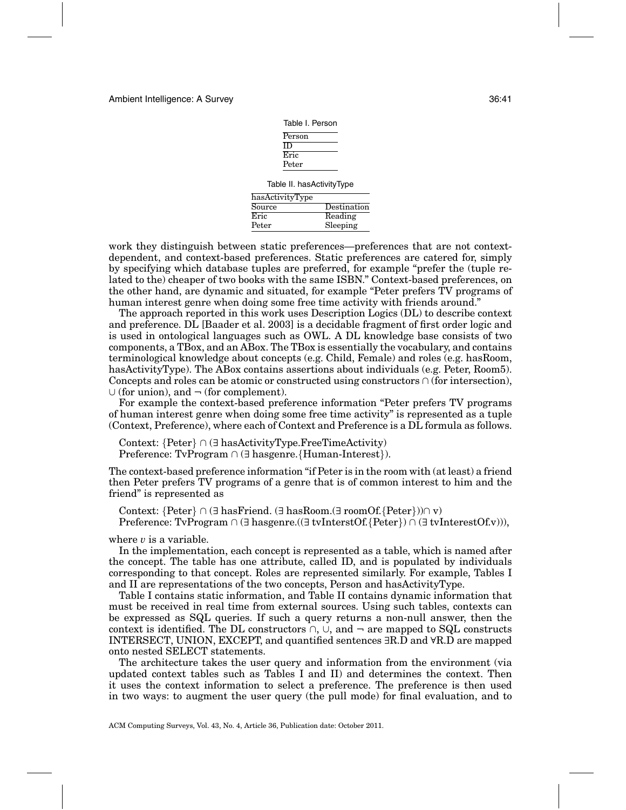| Table I. Person |
|-----------------|
| Person          |
| m               |
| Eric            |
| Peter           |
|                 |

Table II. hasActivityType

| hasActivityType |             |
|-----------------|-------------|
| Source          | Destination |
| Eric            | Reading     |
| Peter           | Sleeping    |

work they distinguish between static preferences—preferences that are not contextdependent, and context-based preferences. Static preferences are catered for, simply by specifying which database tuples are preferred, for example "prefer the (tuple related to the) cheaper of two books with the same ISBN." Context-based preferences, on the other hand, are dynamic and situated, for example "Peter prefers TV programs of human interest genre when doing some free time activity with friends around."

The approach reported in this work uses Description Logics (DL) to describe context and preference. DL [Baader et al. 2003] is a decidable fragment of first order logic and is used in ontological languages such as OWL. A DL knowledge base consists of two components, a TBox, and an ABox. The TBox is essentially the vocabulary, and contains terminological knowledge about concepts (e.g. Child, Female) and roles (e.g. hasRoom, hasActivityType). The ABox contains assertions about individuals (e.g. Peter, Room5). Concepts and roles can be atomic or constructed using constructors  $\cap$  (for intersection),  $\cup$  (for union), and  $\neg$  (for complement).

For example the context-based preference information "Peter prefers TV programs of human interest genre when doing some free time activity" is represented as a tuple (Context, Preference), where each of Context and Preference is a DL formula as follows.

Context: {Peter} ∩ (∃ hasActivityType.FreeTimeActivity) Preference: TvProgram ∩ (∃ hasgenre.{Human-Interest}).

The context-based preference information "if Peter is in the room with (at least) a friend then Peter prefers TV programs of a genre that is of common interest to him and the friend" is represented as

Context: {Peter} ∩ (∃ hasFriend. (∃ hasRoom.(∃ roomOf.{Peter}))∩ v) Preference: TvProgram ∩ (∃ hasgenre.((∃ tvInterstOf.{Peter}) ∩ (∃ tvInterestOf.v))),

where *v* is a variable.

In the implementation, each concept is represented as a table, which is named after the concept. The table has one attribute, called ID, and is populated by individuals corresponding to that concept. Roles are represented similarly. For example, Tables I and II are representations of the two concepts, Person and hasActivityType.

Table I contains static information, and Table II contains dynamic information that must be received in real time from external sources. Using such tables, contexts can be expressed as SQL queries. If such a query returns a non-null answer, then the context is identified. The DL constructors  $\cap$ ,  $\cup$ , and  $\neg$  are mapped to SQL constructs INTERSECT, UNION, EXCEPT, and quantified sentences ∃R.D and ∀R.D are mapped onto nested SELECT statements.

The architecture takes the user query and information from the environment (via updated context tables such as Tables I and II) and determines the context. Then it uses the context information to select a preference. The preference is then used in two ways: to augment the user query (the pull mode) for final evaluation, and to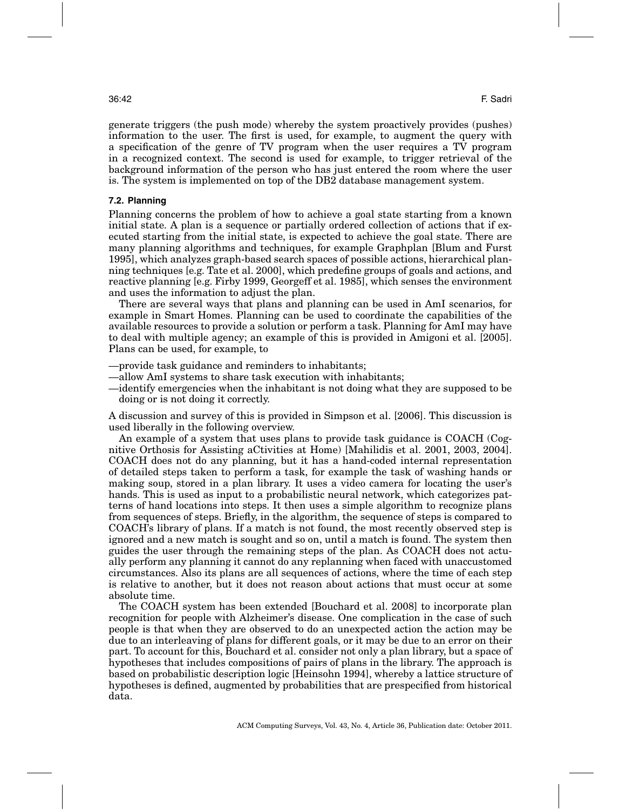generate triggers (the push mode) whereby the system proactively provides (pushes) information to the user. The first is used, for example, to augment the query with a specification of the genre of TV program when the user requires a TV program in a recognized context. The second is used for example, to trigger retrieval of the background information of the person who has just entered the room where the user is. The system is implemented on top of the DB2 database management system.

# **7.2. Planning**

Planning concerns the problem of how to achieve a goal state starting from a known initial state. A plan is a sequence or partially ordered collection of actions that if executed starting from the initial state, is expected to achieve the goal state. There are many planning algorithms and techniques, for example Graphplan [Blum and Furst 1995], which analyzes graph-based search spaces of possible actions, hierarchical planning techniques [e.g. Tate et al. 2000], which predefine groups of goals and actions, and reactive planning [e.g. Firby 1999, Georgeff et al. 1985], which senses the environment and uses the information to adjust the plan.

There are several ways that plans and planning can be used in AmI scenarios, for example in Smart Homes. Planning can be used to coordinate the capabilities of the available resources to provide a solution or perform a task. Planning for AmI may have to deal with multiple agency; an example of this is provided in Amigoni et al. [2005]. Plans can be used, for example, to

- —provide task guidance and reminders to inhabitants;
- —allow AmI systems to share task execution with inhabitants;
- —identify emergencies when the inhabitant is not doing what they are supposed to be doing or is not doing it correctly.

A discussion and survey of this is provided in Simpson et al. [2006]. This discussion is used liberally in the following overview.

An example of a system that uses plans to provide task guidance is COACH (Cognitive Orthosis for Assisting aCtivities at Home) [Mahilidis et al. 2001, 2003, 2004]. COACH does not do any planning, but it has a hand-coded internal representation of detailed steps taken to perform a task, for example the task of washing hands or making soup, stored in a plan library. It uses a video camera for locating the user's hands. This is used as input to a probabilistic neural network, which categorizes patterns of hand locations into steps. It then uses a simple algorithm to recognize plans from sequences of steps. Briefly, in the algorithm, the sequence of steps is compared to COACH's library of plans. If a match is not found, the most recently observed step is ignored and a new match is sought and so on, until a match is found. The system then guides the user through the remaining steps of the plan. As COACH does not actually perform any planning it cannot do any replanning when faced with unaccustomed circumstances. Also its plans are all sequences of actions, where the time of each step is relative to another, but it does not reason about actions that must occur at some absolute time.

The COACH system has been extended [Bouchard et al. 2008] to incorporate plan recognition for people with Alzheimer's disease. One complication in the case of such people is that when they are observed to do an unexpected action the action may be due to an interleaving of plans for different goals, or it may be due to an error on their part. To account for this, Bouchard et al. consider not only a plan library, but a space of hypotheses that includes compositions of pairs of plans in the library. The approach is based on probabilistic description logic [Heinsohn 1994], whereby a lattice structure of hypotheses is defined, augmented by probabilities that are prespecified from historical data.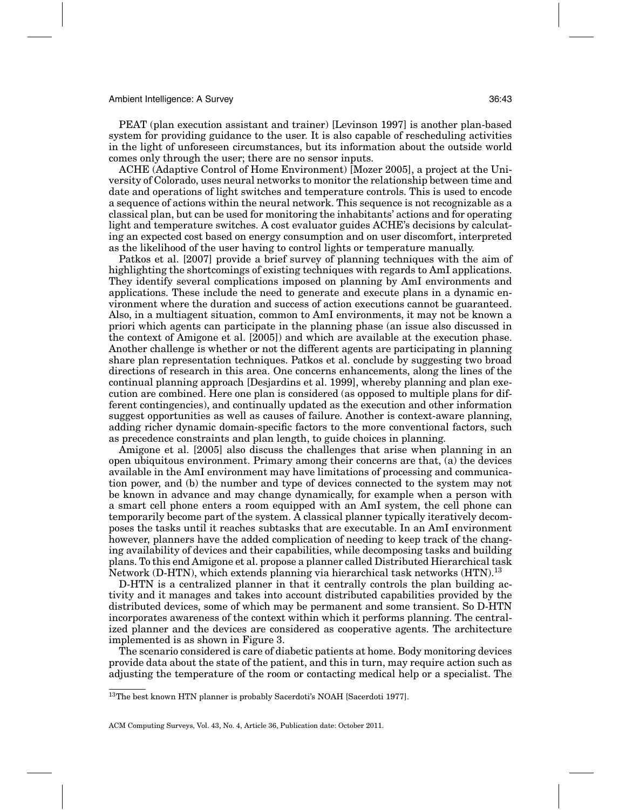PEAT (plan execution assistant and trainer) [Levinson 1997] is another plan-based system for providing guidance to the user. It is also capable of rescheduling activities in the light of unforeseen circumstances, but its information about the outside world comes only through the user; there are no sensor inputs.

ACHE (Adaptive Control of Home Environment) [Mozer 2005], a project at the University of Colorado, uses neural networks to monitor the relationship between time and date and operations of light switches and temperature controls. This is used to encode a sequence of actions within the neural network. This sequence is not recognizable as a classical plan, but can be used for monitoring the inhabitants' actions and for operating light and temperature switches. A cost evaluator guides ACHE's decisions by calculating an expected cost based on energy consumption and on user discomfort, interpreted as the likelihood of the user having to control lights or temperature manually.

Patkos et al. [2007] provide a brief survey of planning techniques with the aim of highlighting the shortcomings of existing techniques with regards to AmI applications. They identify several complications imposed on planning by AmI environments and applications. These include the need to generate and execute plans in a dynamic environment where the duration and success of action executions cannot be guaranteed. Also, in a multiagent situation, common to AmI environments, it may not be known a priori which agents can participate in the planning phase (an issue also discussed in the context of Amigone et al. [2005]) and which are available at the execution phase. Another challenge is whether or not the different agents are participating in planning share plan representation techniques. Patkos et al. conclude by suggesting two broad directions of research in this area. One concerns enhancements, along the lines of the continual planning approach [Desjardins et al. 1999], whereby planning and plan execution are combined. Here one plan is considered (as opposed to multiple plans for different contingencies), and continually updated as the execution and other information suggest opportunities as well as causes of failure. Another is context-aware planning, adding richer dynamic domain-specific factors to the more conventional factors, such as precedence constraints and plan length, to guide choices in planning.

Amigone et al. [2005] also discuss the challenges that arise when planning in an open ubiquitous environment. Primary among their concerns are that, (a) the devices available in the AmI environment may have limitations of processing and communication power, and (b) the number and type of devices connected to the system may not be known in advance and may change dynamically, for example when a person with a smart cell phone enters a room equipped with an AmI system, the cell phone can temporarily become part of the system. A classical planner typically iteratively decomposes the tasks until it reaches subtasks that are executable. In an AmI environment however, planners have the added complication of needing to keep track of the changing availability of devices and their capabilities, while decomposing tasks and building plans. To this end Amigone et al. propose a planner called Distributed Hierarchical task Network (D-HTN), which extends planning via hierarchical task networks (HTN).<sup>13</sup>

D-HTN is a centralized planner in that it centrally controls the plan building activity and it manages and takes into account distributed capabilities provided by the distributed devices, some of which may be permanent and some transient. So D-HTN incorporates awareness of the context within which it performs planning. The centralized planner and the devices are considered as cooperative agents. The architecture implemented is as shown in Figure 3.

The scenario considered is care of diabetic patients at home. Body monitoring devices provide data about the state of the patient, and this in turn, may require action such as adjusting the temperature of the room or contacting medical help or a specialist. The

<sup>13</sup>The best known HTN planner is probably Sacerdoti's NOAH [Sacerdoti 1977].

ACM Computing Surveys, Vol. 43, No. 4, Article 36, Publication date: October 2011.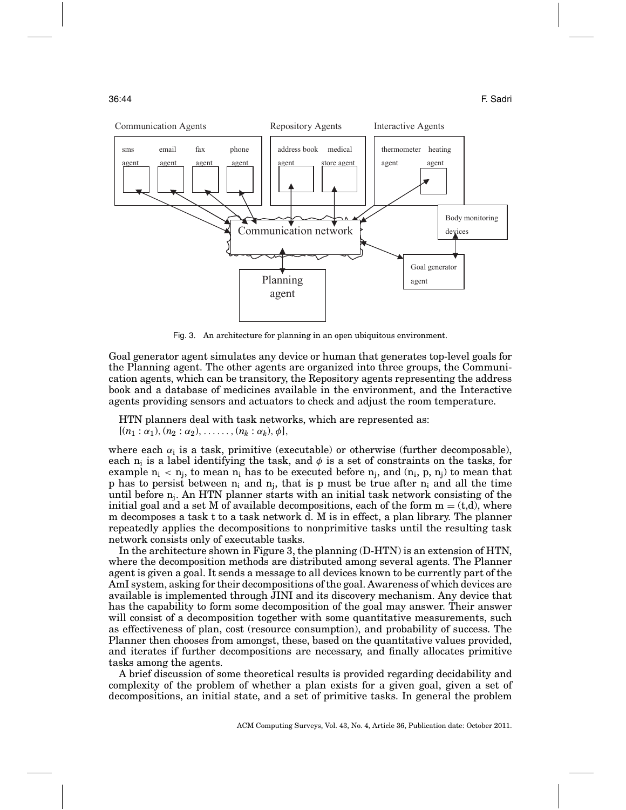36:44 F. Sadri



Fig. 3. An architecture for planning in an open ubiquitous environment.

Goal generator agent simulates any device or human that generates top-level goals for the Planning agent. The other agents are organized into three groups, the Communication agents, which can be transitory, the Repository agents representing the address book and a database of medicines available in the environment, and the Interactive agents providing sensors and actuators to check and adjust the room temperature.

HTN planners deal with task networks, which are represented as:  $[(n_1 : \alpha_1), (n_2 : \alpha_2), \ldots, (n_k : \alpha_k), \phi],$ 

where each  $\alpha_i$  is a task, primitive (executable) or otherwise (further decomposable), each n<sub>i</sub> is a label identifying the task, and  $\phi$  is a set of constraints on the tasks, for example  $n_i < n_i$ , to mean  $n_i$  has to be executed before  $n_i$ , and  $(n_i, p, n_i)$  to mean that p has to persist between  $n_i$  and  $n_j$ , that is p must be true after  $n_i$  and all the time until before  $n<sub>j</sub>$ . An HTN planner starts with an initial task network consisting of the initial goal and a set M of available decompositions, each of the form  $m = (t,d)$ , where m decomposes a task t to a task network d. M is in effect, a plan library. The planner repeatedly applies the decompositions to nonprimitive tasks until the resulting task network consists only of executable tasks.

In the architecture shown in Figure 3, the planning (D-HTN) is an extension of HTN, where the decomposition methods are distributed among several agents. The Planner agent is given a goal. It sends a message to all devices known to be currently part of the AmI system, asking for their decompositions of the goal. Awareness of which devices are available is implemented through JINI and its discovery mechanism. Any device that has the capability to form some decomposition of the goal may answer. Their answer will consist of a decomposition together with some quantitative measurements, such as effectiveness of plan, cost (resource consumption), and probability of success. The Planner then chooses from amongst, these, based on the quantitative values provided, and iterates if further decompositions are necessary, and finally allocates primitive tasks among the agents.

A brief discussion of some theoretical results is provided regarding decidability and complexity of the problem of whether a plan exists for a given goal, given a set of decompositions, an initial state, and a set of primitive tasks. In general the problem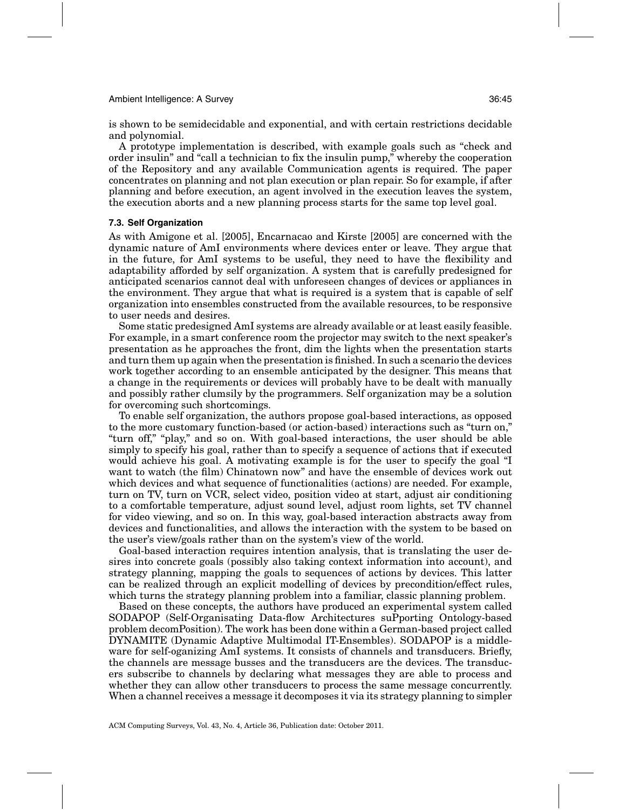is shown to be semidecidable and exponential, and with certain restrictions decidable and polynomial.

A prototype implementation is described, with example goals such as "check and order insulin" and "call a technician to fix the insulin pump," whereby the cooperation of the Repository and any available Communication agents is required. The paper concentrates on planning and not plan execution or plan repair. So for example, if after planning and before execution, an agent involved in the execution leaves the system, the execution aborts and a new planning process starts for the same top level goal.

## **7.3. Self Organization**

As with Amigone et al. [2005], Encarnacao and Kirste [2005] are concerned with the dynamic nature of AmI environments where devices enter or leave. They argue that in the future, for AmI systems to be useful, they need to have the flexibility and adaptability afforded by self organization. A system that is carefully predesigned for anticipated scenarios cannot deal with unforeseen changes of devices or appliances in the environment. They argue that what is required is a system that is capable of self organization into ensembles constructed from the available resources, to be responsive to user needs and desires.

Some static predesigned AmI systems are already available or at least easily feasible. For example, in a smart conference room the projector may switch to the next speaker's presentation as he approaches the front, dim the lights when the presentation starts and turn them up again when the presentation is finished. In such a scenario the devices work together according to an ensemble anticipated by the designer. This means that a change in the requirements or devices will probably have to be dealt with manually and possibly rather clumsily by the programmers. Self organization may be a solution for overcoming such shortcomings.

To enable self organization, the authors propose goal-based interactions, as opposed to the more customary function-based (or action-based) interactions such as "turn on," "turn off," "play," and so on. With goal-based interactions, the user should be able simply to specify his goal, rather than to specify a sequence of actions that if executed would achieve his goal. A motivating example is for the user to specify the goal "I want to watch (the film) Chinatown now" and have the ensemble of devices work out which devices and what sequence of functionalities (actions) are needed. For example, turn on TV, turn on VCR, select video, position video at start, adjust air conditioning to a comfortable temperature, adjust sound level, adjust room lights, set TV channel for video viewing, and so on. In this way, goal-based interaction abstracts away from devices and functionalities, and allows the interaction with the system to be based on the user's view/goals rather than on the system's view of the world.

Goal-based interaction requires intention analysis, that is translating the user desires into concrete goals (possibly also taking context information into account), and strategy planning, mapping the goals to sequences of actions by devices. This latter can be realized through an explicit modelling of devices by precondition/effect rules, which turns the strategy planning problem into a familiar, classic planning problem.

Based on these concepts, the authors have produced an experimental system called SODAPOP (Self-Organisating Data-flow Architectures suPporting Ontology-based problem decomPosition). The work has been done within a German-based project called DYNAMITE (Dynamic Adaptive Multimodal IT-Ensembles). SODAPOP is a middleware for self-oganizing AmI systems. It consists of channels and transducers. Briefly, the channels are message busses and the transducers are the devices. The transducers subscribe to channels by declaring what messages they are able to process and whether they can allow other transducers to process the same message concurrently. When a channel receives a message it decomposes it via its strategy planning to simpler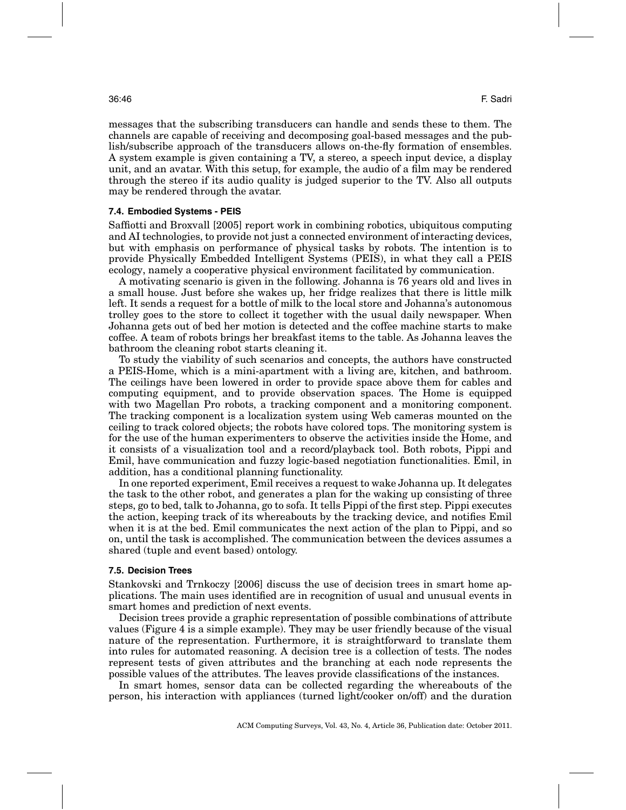messages that the subscribing transducers can handle and sends these to them. The channels are capable of receiving and decomposing goal-based messages and the publish/subscribe approach of the transducers allows on-the-fly formation of ensembles. A system example is given containing a TV, a stereo, a speech input device, a display unit, and an avatar. With this setup, for example, the audio of a film may be rendered through the stereo if its audio quality is judged superior to the TV. Also all outputs may be rendered through the avatar.

## **7.4. Embodied Systems - PEIS**

Saffiotti and Broxvall [2005] report work in combining robotics, ubiquitous computing and AI technologies, to provide not just a connected environment of interacting devices, but with emphasis on performance of physical tasks by robots. The intention is to provide Physically Embedded Intelligent Systems (PEIS), in what they call a PEIS ecology, namely a cooperative physical environment facilitated by communication.

A motivating scenario is given in the following. Johanna is 76 years old and lives in a small house. Just before she wakes up, her fridge realizes that there is little milk left. It sends a request for a bottle of milk to the local store and Johanna's autonomous trolley goes to the store to collect it together with the usual daily newspaper. When Johanna gets out of bed her motion is detected and the coffee machine starts to make coffee. A team of robots brings her breakfast items to the table. As Johanna leaves the bathroom the cleaning robot starts cleaning it.

To study the viability of such scenarios and concepts, the authors have constructed a PEIS-Home, which is a mini-apartment with a living are, kitchen, and bathroom. The ceilings have been lowered in order to provide space above them for cables and computing equipment, and to provide observation spaces. The Home is equipped with two Magellan Pro robots, a tracking component and a monitoring component. The tracking component is a localization system using Web cameras mounted on the ceiling to track colored objects; the robots have colored tops. The monitoring system is for the use of the human experimenters to observe the activities inside the Home, and it consists of a visualization tool and a record/playback tool. Both robots, Pippi and Emil, have communication and fuzzy logic-based negotiation functionalities. Emil, in addition, has a conditional planning functionality.

In one reported experiment, Emil receives a request to wake Johanna up. It delegates the task to the other robot, and generates a plan for the waking up consisting of three steps, go to bed, talk to Johanna, go to sofa. It tells Pippi of the first step. Pippi executes the action, keeping track of its whereabouts by the tracking device, and notifies Emil when it is at the bed. Emil communicates the next action of the plan to Pippi, and so on, until the task is accomplished. The communication between the devices assumes a shared (tuple and event based) ontology.

### **7.5. Decision Trees**

Stankovski and Trnkoczy [2006] discuss the use of decision trees in smart home applications. The main uses identified are in recognition of usual and unusual events in smart homes and prediction of next events.

Decision trees provide a graphic representation of possible combinations of attribute values (Figure 4 is a simple example). They may be user friendly because of the visual nature of the representation. Furthermore, it is straightforward to translate them into rules for automated reasoning. A decision tree is a collection of tests. The nodes represent tests of given attributes and the branching at each node represents the possible values of the attributes. The leaves provide classifications of the instances.

In smart homes, sensor data can be collected regarding the whereabouts of the person, his interaction with appliances (turned light/cooker on/off) and the duration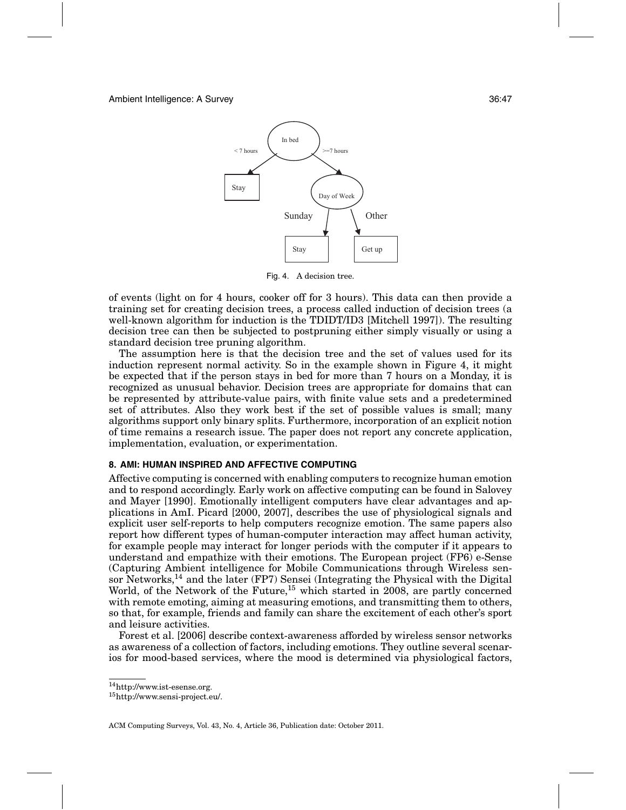

Fig. 4. A decision tree.

of events (light on for 4 hours, cooker off for 3 hours). This data can then provide a training set for creating decision trees, a process called induction of decision trees (a well-known algorithm for induction is the TDIDT/ID3 [Mitchell 1997]). The resulting decision tree can then be subjected to postpruning either simply visually or using a standard decision tree pruning algorithm.

The assumption here is that the decision tree and the set of values used for its induction represent normal activity. So in the example shown in Figure 4, it might be expected that if the person stays in bed for more than 7 hours on a Monday, it is recognized as unusual behavior. Decision trees are appropriate for domains that can be represented by attribute-value pairs, with finite value sets and a predetermined set of attributes. Also they work best if the set of possible values is small; many algorithms support only binary splits. Furthermore, incorporation of an explicit notion of time remains a research issue. The paper does not report any concrete application, implementation, evaluation, or experimentation.

# **8. AMI: HUMAN INSPIRED AND AFFECTIVE COMPUTING**

Affective computing is concerned with enabling computers to recognize human emotion and to respond accordingly. Early work on affective computing can be found in Salovey and Mayer [1990]. Emotionally intelligent computers have clear advantages and applications in AmI. Picard [2000, 2007], describes the use of physiological signals and explicit user self-reports to help computers recognize emotion. The same papers also report how different types of human-computer interaction may affect human activity, for example people may interact for longer periods with the computer if it appears to understand and empathize with their emotions. The European project (FP6) e-Sense (Capturing Ambient intelligence for Mobile Communications through Wireless sensor Networks,<sup>14</sup> and the later (FP7) Sensei (Integrating the Physical with the Digital World, of the Network of the Future,<sup>15</sup> which started in 2008, are partly concerned with remote emoting, aiming at measuring emotions, and transmitting them to others, so that, for example, friends and family can share the excitement of each other's sport and leisure activities.

Forest et al. [2006] describe context-awareness afforded by wireless sensor networks as awareness of a collection of factors, including emotions. They outline several scenarios for mood-based services, where the mood is determined via physiological factors,

<sup>14</sup>http://www.ist-esense.org.

<sup>15</sup>http://www.sensi-project.eu/.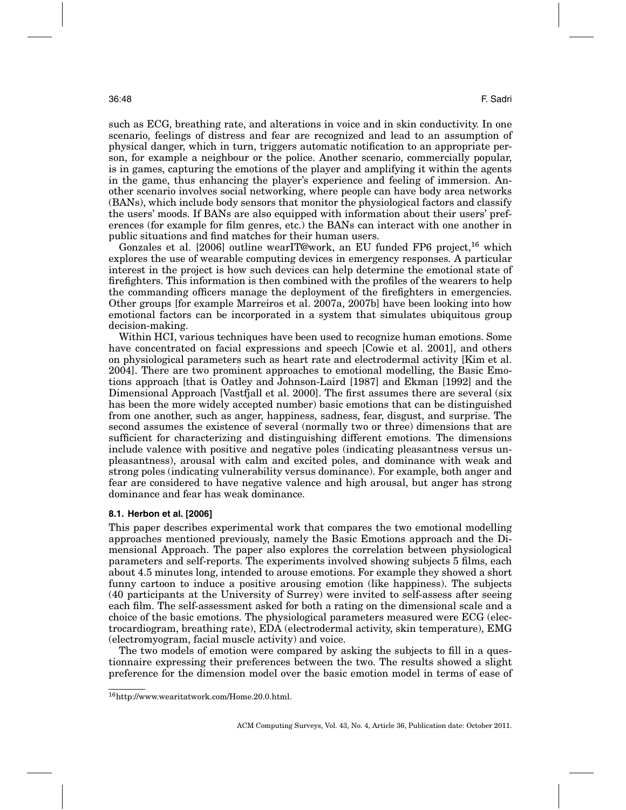such as ECG, breathing rate, and alterations in voice and in skin conductivity. In one scenario, feelings of distress and fear are recognized and lead to an assumption of physical danger, which in turn, triggers automatic notification to an appropriate person, for example a neighbour or the police. Another scenario, commercially popular, is in games, capturing the emotions of the player and amplifying it within the agents in the game, thus enhancing the player's experience and feeling of immersion. Another scenario involves social networking, where people can have body area networks (BANs), which include body sensors that monitor the physiological factors and classify the users' moods. If BANs are also equipped with information about their users' preferences (for example for film genres, etc.) the BANs can interact with one another in public situations and find matches for their human users.

Gonzales et al. [2006] outline wearIT@work, an EU funded FP6 project,<sup>16</sup> which explores the use of wearable computing devices in emergency responses. A particular interest in the project is how such devices can help determine the emotional state of firefighters. This information is then combined with the profiles of the wearers to help the commanding officers manage the deployment of the firefighters in emergencies. Other groups [for example Marreiros et al. 2007a, 2007b] have been looking into how emotional factors can be incorporated in a system that simulates ubiquitous group decision-making.

Within HCI, various techniques have been used to recognize human emotions. Some have concentrated on facial expressions and speech [Cowie et al. 2001], and others on physiological parameters such as heart rate and electrodermal activity [Kim et al. 2004]. There are two prominent approaches to emotional modelling, the Basic Emotions approach [that is Oatley and Johnson-Laird [1987] and Ekman [1992] and the Dimensional Approach [Vastfjall et al. 2000]. The first assumes there are several (six has been the more widely accepted number) basic emotions that can be distinguished from one another, such as anger, happiness, sadness, fear, disgust, and surprise. The second assumes the existence of several (normally two or three) dimensions that are sufficient for characterizing and distinguishing different emotions. The dimensions include valence with positive and negative poles (indicating pleasantness versus unpleasantness), arousal with calm and excited poles, and dominance with weak and strong poles (indicating vulnerability versus dominance). For example, both anger and fear are considered to have negative valence and high arousal, but anger has strong dominance and fear has weak dominance.

# **8.1. Herbon et al. [2006]**

This paper describes experimental work that compares the two emotional modelling approaches mentioned previously, namely the Basic Emotions approach and the Dimensional Approach. The paper also explores the correlation between physiological parameters and self-reports. The experiments involved showing subjects 5 films, each about 4.5 minutes long, intended to arouse emotions. For example they showed a short funny cartoon to induce a positive arousing emotion (like happiness). The subjects (40 participants at the University of Surrey) were invited to self-assess after seeing each film. The self-assessment asked for both a rating on the dimensional scale and a choice of the basic emotions. The physiological parameters measured were ECG (electrocardiogram, breathing rate), EDA (electrodermal activity, skin temperature), EMG (electromyogram, facial muscle activity) and voice.

The two models of emotion were compared by asking the subjects to fill in a questionnaire expressing their preferences between the two. The results showed a slight preference for the dimension model over the basic emotion model in terms of ease of

<sup>16</sup>http://www.wearitatwork.com/Home.20.0.html.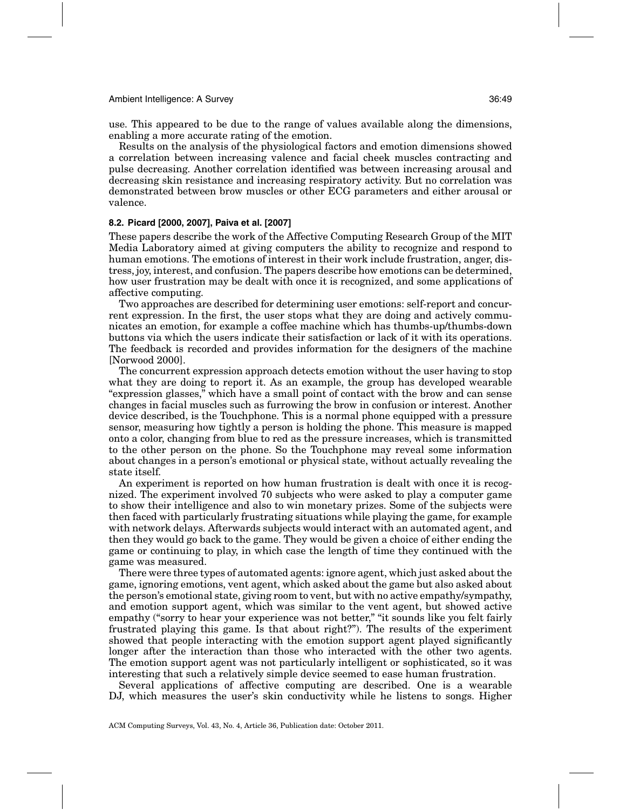use. This appeared to be due to the range of values available along the dimensions, enabling a more accurate rating of the emotion.

Results on the analysis of the physiological factors and emotion dimensions showed a correlation between increasing valence and facial cheek muscles contracting and pulse decreasing. Another correlation identified was between increasing arousal and decreasing skin resistance and increasing respiratory activity. But no correlation was demonstrated between brow muscles or other ECG parameters and either arousal or valence.

## **8.2. Picard [2000, 2007], Paiva et al. [2007]**

These papers describe the work of the Affective Computing Research Group of the MIT Media Laboratory aimed at giving computers the ability to recognize and respond to human emotions. The emotions of interest in their work include frustration, anger, distress, joy, interest, and confusion. The papers describe how emotions can be determined, how user frustration may be dealt with once it is recognized, and some applications of affective computing.

Two approaches are described for determining user emotions: self-report and concurrent expression. In the first, the user stops what they are doing and actively communicates an emotion, for example a coffee machine which has thumbs-up/thumbs-down buttons via which the users indicate their satisfaction or lack of it with its operations. The feedback is recorded and provides information for the designers of the machine [Norwood 2000].

The concurrent expression approach detects emotion without the user having to stop what they are doing to report it. As an example, the group has developed wearable "expression glasses," which have a small point of contact with the brow and can sense changes in facial muscles such as furrowing the brow in confusion or interest. Another device described, is the Touchphone. This is a normal phone equipped with a pressure sensor, measuring how tightly a person is holding the phone. This measure is mapped onto a color, changing from blue to red as the pressure increases, which is transmitted to the other person on the phone. So the Touchphone may reveal some information about changes in a person's emotional or physical state, without actually revealing the state itself.

An experiment is reported on how human frustration is dealt with once it is recognized. The experiment involved 70 subjects who were asked to play a computer game to show their intelligence and also to win monetary prizes. Some of the subjects were then faced with particularly frustrating situations while playing the game, for example with network delays. Afterwards subjects would interact with an automated agent, and then they would go back to the game. They would be given a choice of either ending the game or continuing to play, in which case the length of time they continued with the game was measured.

There were three types of automated agents: ignore agent, which just asked about the game, ignoring emotions, vent agent, which asked about the game but also asked about the person's emotional state, giving room to vent, but with no active empathy/sympathy, and emotion support agent, which was similar to the vent agent, but showed active empathy ("sorry to hear your experience was not better," "it sounds like you felt fairly frustrated playing this game. Is that about right?"). The results of the experiment showed that people interacting with the emotion support agent played significantly longer after the interaction than those who interacted with the other two agents. The emotion support agent was not particularly intelligent or sophisticated, so it was interesting that such a relatively simple device seemed to ease human frustration.

Several applications of affective computing are described. One is a wearable DJ, which measures the user's skin conductivity while he listens to songs. Higher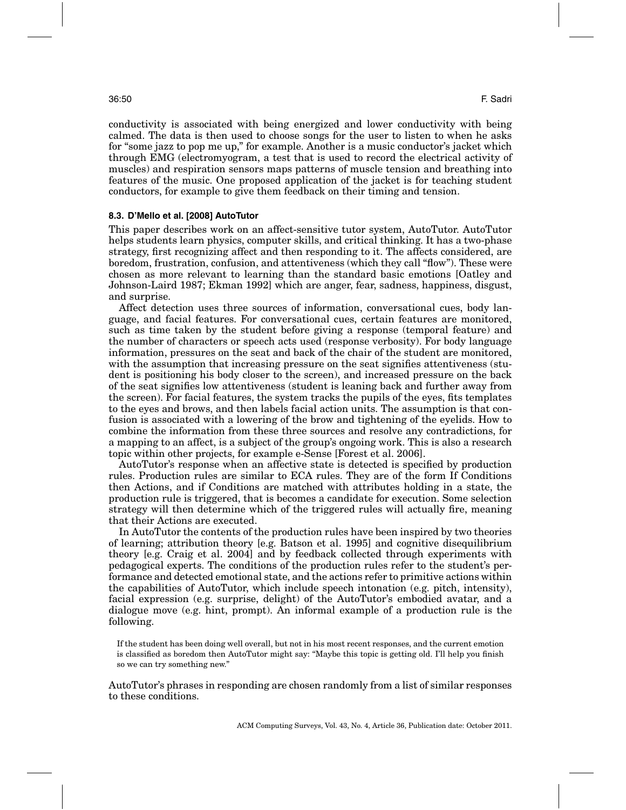conductivity is associated with being energized and lower conductivity with being calmed. The data is then used to choose songs for the user to listen to when he asks for "some jazz to pop me up," for example. Another is a music conductor's jacket which through EMG (electromyogram, a test that is used to record the electrical activity of muscles) and respiration sensors maps patterns of muscle tension and breathing into features of the music. One proposed application of the jacket is for teaching student conductors, for example to give them feedback on their timing and tension.

## **8.3. D'Mello et al. [2008] AutoTutor**

This paper describes work on an affect-sensitive tutor system, AutoTutor. AutoTutor helps students learn physics, computer skills, and critical thinking. It has a two-phase strategy, first recognizing affect and then responding to it. The affects considered, are boredom, frustration, confusion, and attentiveness (which they call "flow"). These were chosen as more relevant to learning than the standard basic emotions [Oatley and Johnson-Laird 1987; Ekman 1992] which are anger, fear, sadness, happiness, disgust, and surprise.

Affect detection uses three sources of information, conversational cues, body language, and facial features. For conversational cues, certain features are monitored, such as time taken by the student before giving a response (temporal feature) and the number of characters or speech acts used (response verbosity). For body language information, pressures on the seat and back of the chair of the student are monitored, with the assumption that increasing pressure on the seat signifies attentiveness (student is positioning his body closer to the screen), and increased pressure on the back of the seat signifies low attentiveness (student is leaning back and further away from the screen). For facial features, the system tracks the pupils of the eyes, fits templates to the eyes and brows, and then labels facial action units. The assumption is that confusion is associated with a lowering of the brow and tightening of the eyelids. How to combine the information from these three sources and resolve any contradictions, for a mapping to an affect, is a subject of the group's ongoing work. This is also a research topic within other projects, for example e-Sense [Forest et al. 2006].

AutoTutor's response when an affective state is detected is specified by production rules. Production rules are similar to ECA rules. They are of the form If Conditions then Actions, and if Conditions are matched with attributes holding in a state, the production rule is triggered, that is becomes a candidate for execution. Some selection strategy will then determine which of the triggered rules will actually fire, meaning that their Actions are executed.

In AutoTutor the contents of the production rules have been inspired by two theories of learning; attribution theory [e.g. Batson et al. 1995] and cognitive disequilibrium theory [e.g. Craig et al. 2004] and by feedback collected through experiments with pedagogical experts. The conditions of the production rules refer to the student's performance and detected emotional state, and the actions refer to primitive actions within the capabilities of AutoTutor, which include speech intonation (e.g. pitch, intensity), facial expression (e.g. surprise, delight) of the AutoTutor's embodied avatar, and a dialogue move (e.g. hint, prompt). An informal example of a production rule is the following.

If the student has been doing well overall, but not in his most recent responses, and the current emotion is classified as boredom then AutoTutor might say: "Maybe this topic is getting old. I'll help you finish so we can try something new."

AutoTutor's phrases in responding are chosen randomly from a list of similar responses to these conditions.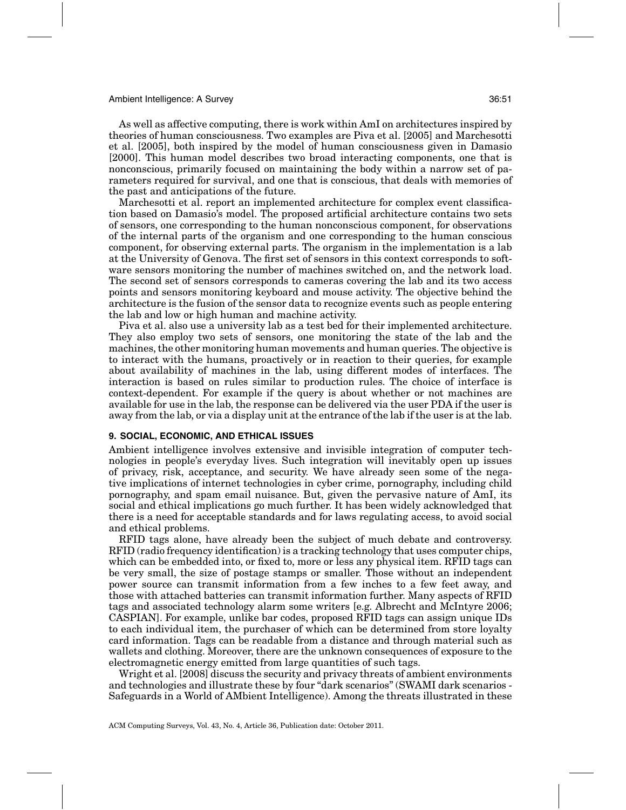As well as affective computing, there is work within AmI on architectures inspired by theories of human consciousness. Two examples are Piva et al. [2005] and Marchesotti et al. [2005], both inspired by the model of human consciousness given in Damasio [2000]. This human model describes two broad interacting components, one that is nonconscious, primarily focused on maintaining the body within a narrow set of parameters required for survival, and one that is conscious, that deals with memories of the past and anticipations of the future.

Marchesotti et al. report an implemented architecture for complex event classification based on Damasio's model. The proposed artificial architecture contains two sets of sensors, one corresponding to the human nonconscious component, for observations of the internal parts of the organism and one corresponding to the human conscious component, for observing external parts. The organism in the implementation is a lab at the University of Genova. The first set of sensors in this context corresponds to software sensors monitoring the number of machines switched on, and the network load. The second set of sensors corresponds to cameras covering the lab and its two access points and sensors monitoring keyboard and mouse activity. The objective behind the architecture is the fusion of the sensor data to recognize events such as people entering the lab and low or high human and machine activity.

Piva et al. also use a university lab as a test bed for their implemented architecture. They also employ two sets of sensors, one monitoring the state of the lab and the machines, the other monitoring human movements and human queries. The objective is to interact with the humans, proactively or in reaction to their queries, for example about availability of machines in the lab, using different modes of interfaces. The interaction is based on rules similar to production rules. The choice of interface is context-dependent. For example if the query is about whether or not machines are available for use in the lab, the response can be delivered via the user PDA if the user is away from the lab, or via a display unit at the entrance of the lab if the user is at the lab.

## **9. SOCIAL, ECONOMIC, AND ETHICAL ISSUES**

Ambient intelligence involves extensive and invisible integration of computer technologies in people's everyday lives. Such integration will inevitably open up issues of privacy, risk, acceptance, and security. We have already seen some of the negative implications of internet technologies in cyber crime, pornography, including child pornography, and spam email nuisance. But, given the pervasive nature of AmI, its social and ethical implications go much further. It has been widely acknowledged that there is a need for acceptable standards and for laws regulating access, to avoid social and ethical problems.

RFID tags alone, have already been the subject of much debate and controversy. RFID (radio frequency identification) is a tracking technology that uses computer chips, which can be embedded into, or fixed to, more or less any physical item. RFID tags can be very small, the size of postage stamps or smaller. Those without an independent power source can transmit information from a few inches to a few feet away, and those with attached batteries can transmit information further. Many aspects of RFID tags and associated technology alarm some writers [e.g. Albrecht and McIntyre 2006; CASPIAN]. For example, unlike bar codes, proposed RFID tags can assign unique IDs to each individual item, the purchaser of which can be determined from store loyalty card information. Tags can be readable from a distance and through material such as wallets and clothing. Moreover, there are the unknown consequences of exposure to the electromagnetic energy emitted from large quantities of such tags.

Wright et al. [2008] discuss the security and privacy threats of ambient environments and technologies and illustrate these by four "dark scenarios" (SWAMI dark scenarios - Safeguards in a World of AMbient Intelligence). Among the threats illustrated in these

ACM Computing Surveys, Vol. 43, No. 4, Article 36, Publication date: October 2011.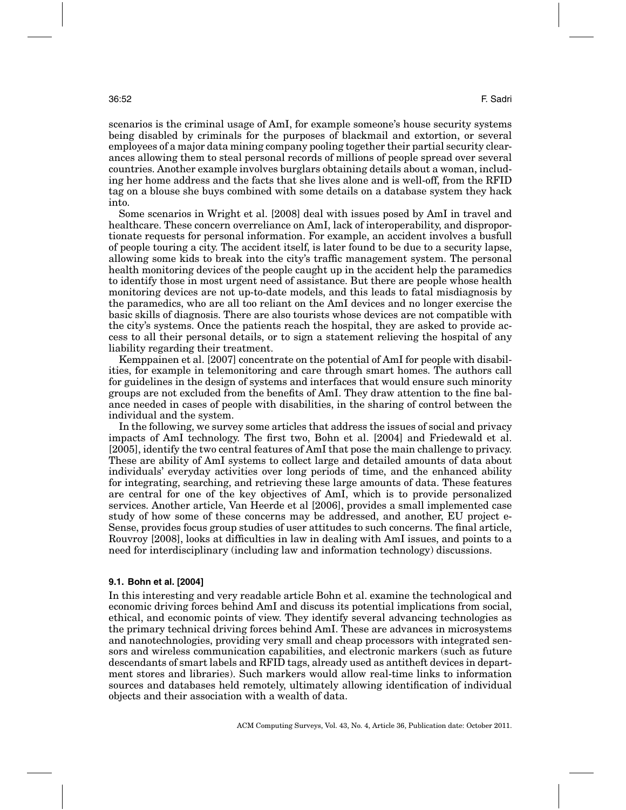scenarios is the criminal usage of AmI, for example someone's house security systems being disabled by criminals for the purposes of blackmail and extortion, or several employees of a major data mining company pooling together their partial security clearances allowing them to steal personal records of millions of people spread over several countries. Another example involves burglars obtaining details about a woman, including her home address and the facts that she lives alone and is well-off, from the RFID tag on a blouse she buys combined with some details on a database system they hack into.

Some scenarios in Wright et al. [2008] deal with issues posed by AmI in travel and healthcare. These concern overreliance on AmI, lack of interoperability, and disproportionate requests for personal information. For example, an accident involves a busfull of people touring a city. The accident itself, is later found to be due to a security lapse, allowing some kids to break into the city's traffic management system. The personal health monitoring devices of the people caught up in the accident help the paramedics to identify those in most urgent need of assistance. But there are people whose health monitoring devices are not up-to-date models, and this leads to fatal misdiagnosis by the paramedics, who are all too reliant on the AmI devices and no longer exercise the basic skills of diagnosis. There are also tourists whose devices are not compatible with the city's systems. Once the patients reach the hospital, they are asked to provide access to all their personal details, or to sign a statement relieving the hospital of any liability regarding their treatment.

Kemppainen et al. [2007] concentrate on the potential of AmI for people with disabilities, for example in telemonitoring and care through smart homes. The authors call for guidelines in the design of systems and interfaces that would ensure such minority groups are not excluded from the benefits of AmI. They draw attention to the fine balance needed in cases of people with disabilities, in the sharing of control between the individual and the system.

In the following, we survey some articles that address the issues of social and privacy impacts of AmI technology. The first two, Bohn et al. [2004] and Friedewald et al. [2005], identify the two central features of AmI that pose the main challenge to privacy. These are ability of AmI systems to collect large and detailed amounts of data about individuals' everyday activities over long periods of time, and the enhanced ability for integrating, searching, and retrieving these large amounts of data. These features are central for one of the key objectives of AmI, which is to provide personalized services. Another article, Van Heerde et al [2006], provides a small implemented case study of how some of these concerns may be addressed, and another, EU project e-Sense, provides focus group studies of user attitudes to such concerns. The final article, Rouvroy [2008], looks at difficulties in law in dealing with AmI issues, and points to a need for interdisciplinary (including law and information technology) discussions.

## **9.1. Bohn et al. [2004]**

In this interesting and very readable article Bohn et al. examine the technological and economic driving forces behind AmI and discuss its potential implications from social, ethical, and economic points of view. They identify several advancing technologies as the primary technical driving forces behind AmI. These are advances in microsystems and nanotechnologies, providing very small and cheap processors with integrated sensors and wireless communication capabilities, and electronic markers (such as future descendants of smart labels and RFID tags, already used as antitheft devices in department stores and libraries). Such markers would allow real-time links to information sources and databases held remotely, ultimately allowing identification of individual objects and their association with a wealth of data.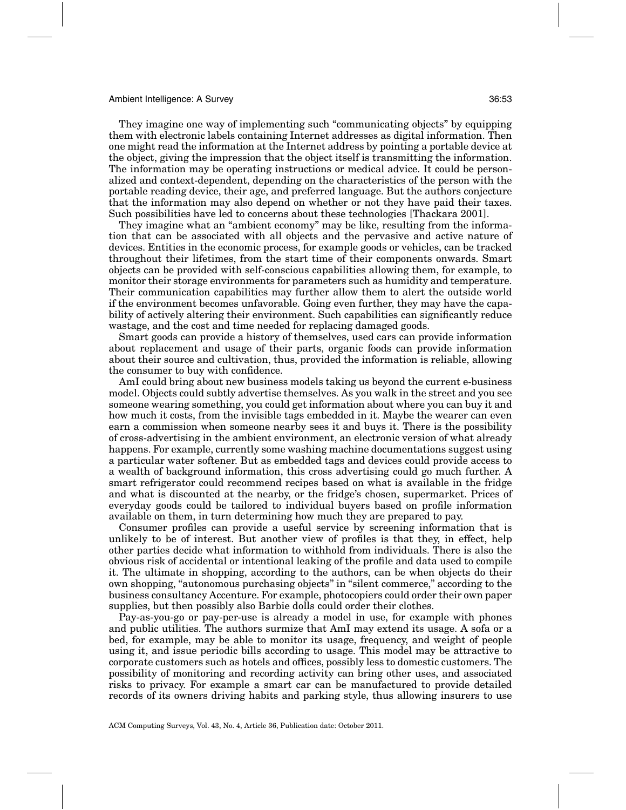They imagine one way of implementing such "communicating objects" by equipping them with electronic labels containing Internet addresses as digital information. Then one might read the information at the Internet address by pointing a portable device at the object, giving the impression that the object itself is transmitting the information. The information may be operating instructions or medical advice. It could be personalized and context-dependent, depending on the characteristics of the person with the portable reading device, their age, and preferred language. But the authors conjecture that the information may also depend on whether or not they have paid their taxes. Such possibilities have led to concerns about these technologies [Thackara 2001].

They imagine what an "ambient economy" may be like, resulting from the information that can be associated with all objects and the pervasive and active nature of devices. Entities in the economic process, for example goods or vehicles, can be tracked throughout their lifetimes, from the start time of their components onwards. Smart objects can be provided with self-conscious capabilities allowing them, for example, to monitor their storage environments for parameters such as humidity and temperature. Their communication capabilities may further allow them to alert the outside world if the environment becomes unfavorable. Going even further, they may have the capability of actively altering their environment. Such capabilities can significantly reduce wastage, and the cost and time needed for replacing damaged goods.

Smart goods can provide a history of themselves, used cars can provide information about replacement and usage of their parts, organic foods can provide information about their source and cultivation, thus, provided the information is reliable, allowing the consumer to buy with confidence.

AmI could bring about new business models taking us beyond the current e-business model. Objects could subtly advertise themselves. As you walk in the street and you see someone wearing something, you could get information about where you can buy it and how much it costs, from the invisible tags embedded in it. Maybe the wearer can even earn a commission when someone nearby sees it and buys it. There is the possibility of cross-advertising in the ambient environment, an electronic version of what already happens. For example, currently some washing machine documentations suggest using a particular water softener. But as embedded tags and devices could provide access to a wealth of background information, this cross advertising could go much further. A smart refrigerator could recommend recipes based on what is available in the fridge and what is discounted at the nearby, or the fridge's chosen, supermarket. Prices of everyday goods could be tailored to individual buyers based on profile information available on them, in turn determining how much they are prepared to pay.

Consumer profiles can provide a useful service by screening information that is unlikely to be of interest. But another view of profiles is that they, in effect, help other parties decide what information to withhold from individuals. There is also the obvious risk of accidental or intentional leaking of the profile and data used to compile it. The ultimate in shopping, according to the authors, can be when objects do their own shopping, "autonomous purchasing objects" in "silent commerce," according to the business consultancy Accenture. For example, photocopiers could order their own paper supplies, but then possibly also Barbie dolls could order their clothes.

Pay-as-you-go or pay-per-use is already a model in use, for example with phones and public utilities. The authors surmize that AmI may extend its usage. A sofa or a bed, for example, may be able to monitor its usage, frequency, and weight of people using it, and issue periodic bills according to usage. This model may be attractive to corporate customers such as hotels and offices, possibly less to domestic customers. The possibility of monitoring and recording activity can bring other uses, and associated risks to privacy. For example a smart car can be manufactured to provide detailed records of its owners driving habits and parking style, thus allowing insurers to use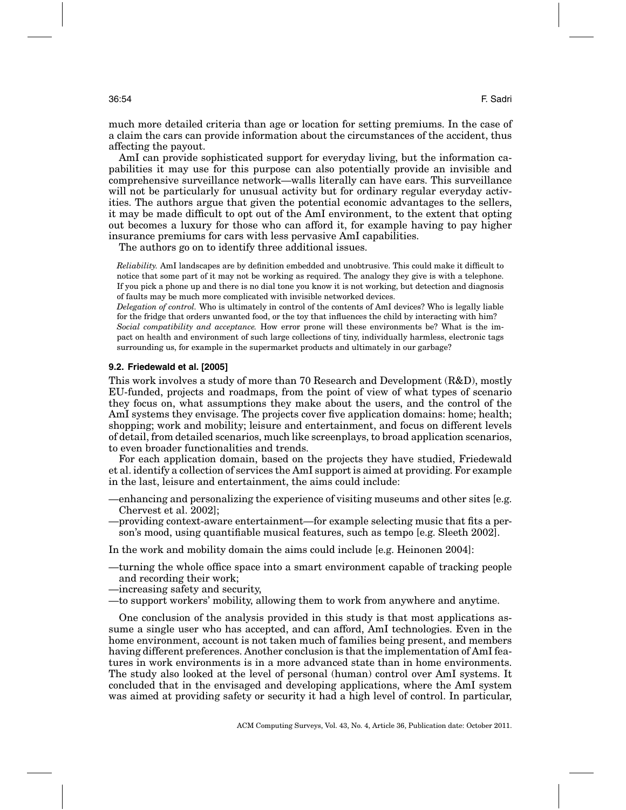much more detailed criteria than age or location for setting premiums. In the case of a claim the cars can provide information about the circumstances of the accident, thus affecting the payout.

AmI can provide sophisticated support for everyday living, but the information capabilities it may use for this purpose can also potentially provide an invisible and comprehensive surveillance network—walls literally can have ears. This surveillance will not be particularly for unusual activity but for ordinary regular everyday activities. The authors argue that given the potential economic advantages to the sellers, it may be made difficult to opt out of the AmI environment, to the extent that opting out becomes a luxury for those who can afford it, for example having to pay higher insurance premiums for cars with less pervasive AmI capabilities.

The authors go on to identify three additional issues.

*Reliability.* AmI landscapes are by definition embedded and unobtrusive. This could make it difficult to notice that some part of it may not be working as required. The analogy they give is with a telephone. If you pick a phone up and there is no dial tone you know it is not working, but detection and diagnosis of faults may be much more complicated with invisible networked devices.

*Delegation of control.* Who is ultimately in control of the contents of AmI devices? Who is legally liable for the fridge that orders unwanted food, or the toy that influences the child by interacting with him? *Social compatibility and acceptance.* How error prone will these environments be? What is the impact on health and environment of such large collections of tiny, individually harmless, electronic tags surrounding us, for example in the supermarket products and ultimately in our garbage?

## **9.2. Friedewald et al. [2005]**

This work involves a study of more than 70 Research and Development (R&D), mostly EU-funded, projects and roadmaps, from the point of view of what types of scenario they focus on, what assumptions they make about the users, and the control of the AmI systems they envisage. The projects cover five application domains: home; health; shopping; work and mobility; leisure and entertainment, and focus on different levels of detail, from detailed scenarios, much like screenplays, to broad application scenarios, to even broader functionalities and trends.

For each application domain, based on the projects they have studied, Friedewald et al. identify a collection of services the AmI support is aimed at providing. For example in the last, leisure and entertainment, the aims could include:

- —enhancing and personalizing the experience of visiting museums and other sites [e.g. Chervest et al. 2002];
- —providing context-aware entertainment—for example selecting music that fits a person's mood, using quantifiable musical features, such as tempo [e.g. Sleeth 2002].

In the work and mobility domain the aims could include [e.g. Heinonen 2004]:

- —turning the whole office space into a smart environment capable of tracking people and recording their work;
- —increasing safety and security,
- —to support workers' mobility, allowing them to work from anywhere and anytime.

One conclusion of the analysis provided in this study is that most applications assume a single user who has accepted, and can afford, AmI technologies. Even in the home environment, account is not taken much of families being present, and members having different preferences. Another conclusion is that the implementation of AmI features in work environments is in a more advanced state than in home environments. The study also looked at the level of personal (human) control over AmI systems. It concluded that in the envisaged and developing applications, where the AmI system was aimed at providing safety or security it had a high level of control. In particular,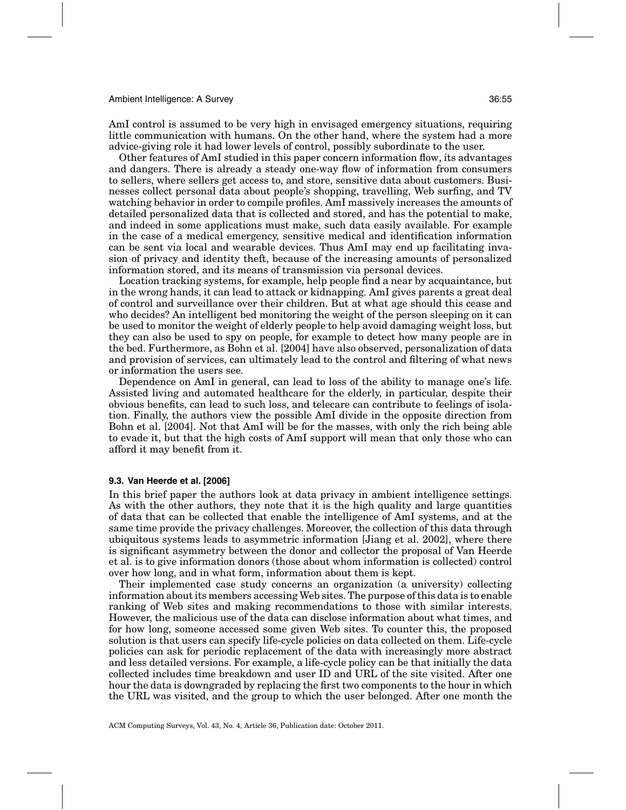AmI control is assumed to be very high in envisaged emergency situations, requiring little communication with humans. On the other hand, where the system had a more advice-giving role it had lower levels of control, possibly subordinate to the user.

Other features of AmI studied in this paper concern information flow, its advantages and dangers. There is already a steady one-way flow of information from consumers to sellers, where sellers get access to, and store, sensitive data about customers. Businesses collect personal data about people's shopping, travelling, Web surfing, and TV watching behavior in order to compile profiles. AmI massively increases the amounts of detailed personalized data that is collected and stored, and has the potential to make, and indeed in some applications must make, such data easily available. For example in the case of a medical emergency, sensitive medical and identification information can be sent via local and wearable devices. Thus AmI may end up facilitating invasion of privacy and identity theft, because of the increasing amounts of personalized information stored, and its means of transmission via personal devices.

Location tracking systems, for example, help people find a near by acquaintance, but in the wrong hands, it can lead to attack or kidnapping. AmI gives parents a great deal of control and surveillance over their children. But at what age should this cease and who decides? An intelligent bed monitoring the weight of the person sleeping on it can be used to monitor the weight of elderly people to help avoid damaging weight loss, but they can also be used to spy on people, for example to detect how many people are in the bed. Furthermore, as Bohn et al. [2004] have also observed, personalization of data and provision of services, can ultimately lead to the control and filtering of what news or information the users see.

Dependence on AmI in general, can lead to loss of the ability to manage one's life. Assisted living and automated healthcare for the elderly, in particular, despite their obvious benefits, can lead to such loss, and telecare can contribute to feelings of isolation. Finally, the authors view the possible AmI divide in the opposite direction from Bohn et al. [2004]. Not that AmI will be for the masses, with only the rich being able to evade it, but that the high costs of AmI support will mean that only those who can afford it may benefit from it.

## **9.3. Van Heerde et al. [2006]**

In this brief paper the authors look at data privacy in ambient intelligence settings. As with the other authors, they note that it is the high quality and large quantities of data that can be collected that enable the intelligence of AmI systems, and at the same time provide the privacy challenges. Moreover, the collection of this data through ubiquitous systems leads to asymmetric information [Jiang et al. 2002], where there is significant asymmetry between the donor and collector the proposal of Van Heerde et al. is to give information donors (those about whom information is collected) control over how long, and in what form, information about them is kept.

Their implemented case study concerns an organization (a university) collecting information about its members accessing Web sites. The purpose of this data is to enable ranking of Web sites and making recommendations to those with similar interests. However, the malicious use of the data can disclose information about what times, and for how long, someone accessed some given Web sites. To counter this, the proposed solution is that users can specify life-cycle policies on data collected on them. Life-cycle policies can ask for periodic replacement of the data with increasingly more abstract and less detailed versions. For example, a life-cycle policy can be that initially the data collected includes time breakdown and user ID and URL of the site visited. After one hour the data is downgraded by replacing the first two components to the hour in which the URL was visited, and the group to which the user belonged. After one month the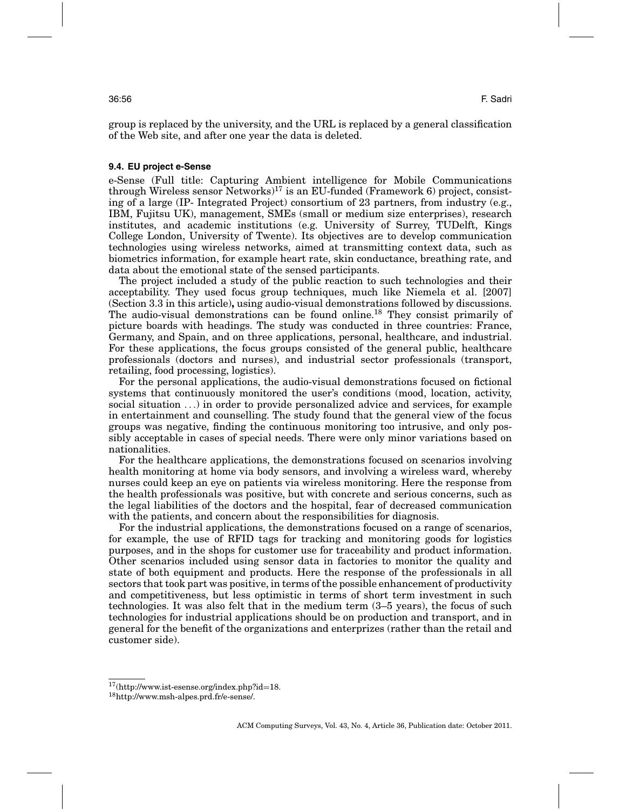group is replaced by the university, and the URL is replaced by a general classification of the Web site, and after one year the data is deleted.

# **9.4. EU project e-Sense**

e-Sense (Full title: Capturing Ambient intelligence for Mobile Communications through Wireless sensor  $Networks$ <sup>17</sup> is an EU-funded (Framework 6) project, consisting of a large (IP- Integrated Project) consortium of 23 partners, from industry (e.g., IBM, Fujitsu UK), management, SMEs (small or medium size enterprises), research institutes, and academic institutions (e.g. University of Surrey, TUDelft, Kings College London, University of Twente). Its objectives are to develop communication technologies using wireless networks, aimed at transmitting context data, such as biometrics information, for example heart rate, skin conductance, breathing rate, and data about the emotional state of the sensed participants.

The project included a study of the public reaction to such technologies and their acceptability. They used focus group techniques, much like Niemela et al. [2007] (Section 3.3 in this article)**,** using audio-visual demonstrations followed by discussions. The audio-visual demonstrations can be found online.<sup>18</sup> They consist primarily of picture boards with headings. The study was conducted in three countries: France, Germany, and Spain, and on three applications, personal, healthcare, and industrial. For these applications, the focus groups consisted of the general public, healthcare professionals (doctors and nurses), and industrial sector professionals (transport, retailing, food processing, logistics).

For the personal applications, the audio-visual demonstrations focused on fictional systems that continuously monitored the user's conditions (mood, location, activity, social situation ...) in order to provide personalized advice and services, for example in entertainment and counselling. The study found that the general view of the focus groups was negative, finding the continuous monitoring too intrusive, and only possibly acceptable in cases of special needs. There were only minor variations based on nationalities.

For the healthcare applications, the demonstrations focused on scenarios involving health monitoring at home via body sensors, and involving a wireless ward, whereby nurses could keep an eye on patients via wireless monitoring. Here the response from the health professionals was positive, but with concrete and serious concerns, such as the legal liabilities of the doctors and the hospital, fear of decreased communication with the patients, and concern about the responsibilities for diagnosis.

For the industrial applications, the demonstrations focused on a range of scenarios, for example, the use of RFID tags for tracking and monitoring goods for logistics purposes, and in the shops for customer use for traceability and product information. Other scenarios included using sensor data in factories to monitor the quality and state of both equipment and products. Here the response of the professionals in all sectors that took part was positive, in terms of the possible enhancement of productivity and competitiveness, but less optimistic in terms of short term investment in such technologies. It was also felt that in the medium term (3–5 years), the focus of such technologies for industrial applications should be on production and transport, and in general for the benefit of the organizations and enterprizes (rather than the retail and customer side).

 $17$ (http://www.ist-esense.org/index.php?id=18.<br> $18$ http://www.msh-alpes.prd.fr/e-sense/.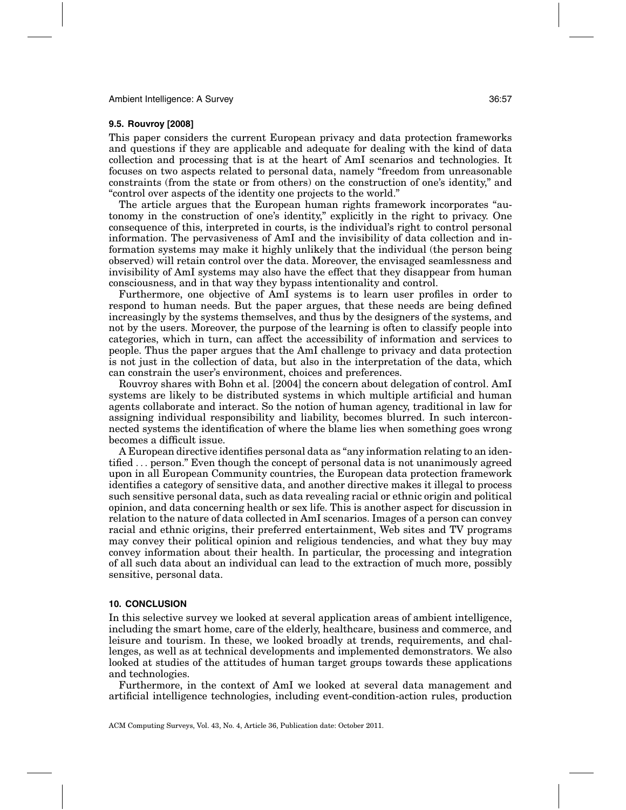# **9.5. Rouvroy [2008]**

This paper considers the current European privacy and data protection frameworks and questions if they are applicable and adequate for dealing with the kind of data collection and processing that is at the heart of AmI scenarios and technologies. It focuses on two aspects related to personal data, namely "freedom from unreasonable constraints (from the state or from others) on the construction of one's identity," and "control over aspects of the identity one projects to the world."

The article argues that the European human rights framework incorporates "autonomy in the construction of one's identity," explicitly in the right to privacy. One consequence of this, interpreted in courts, is the individual's right to control personal information. The pervasiveness of AmI and the invisibility of data collection and information systems may make it highly unlikely that the individual (the person being observed) will retain control over the data. Moreover, the envisaged seamlessness and invisibility of AmI systems may also have the effect that they disappear from human consciousness, and in that way they bypass intentionality and control.

Furthermore, one objective of AmI systems is to learn user profiles in order to respond to human needs. But the paper argues, that these needs are being defined increasingly by the systems themselves, and thus by the designers of the systems, and not by the users. Moreover, the purpose of the learning is often to classify people into categories, which in turn, can affect the accessibility of information and services to people. Thus the paper argues that the AmI challenge to privacy and data protection is not just in the collection of data, but also in the interpretation of the data, which can constrain the user's environment, choices and preferences.

Rouvroy shares with Bohn et al. [2004] the concern about delegation of control. AmI systems are likely to be distributed systems in which multiple artificial and human agents collaborate and interact. So the notion of human agency, traditional in law for assigning individual responsibility and liability, becomes blurred. In such interconnected systems the identification of where the blame lies when something goes wrong becomes a difficult issue.

A European directive identifies personal data as "any information relating to an identified ... person." Even though the concept of personal data is not unanimously agreed upon in all European Community countries, the European data protection framework identifies a category of sensitive data, and another directive makes it illegal to process such sensitive personal data, such as data revealing racial or ethnic origin and political opinion, and data concerning health or sex life. This is another aspect for discussion in relation to the nature of data collected in AmI scenarios. Images of a person can convey racial and ethnic origins, their preferred entertainment, Web sites and TV programs may convey their political opinion and religious tendencies, and what they buy may convey information about their health. In particular, the processing and integration of all such data about an individual can lead to the extraction of much more, possibly sensitive, personal data.

### **10. CONCLUSION**

In this selective survey we looked at several application areas of ambient intelligence, including the smart home, care of the elderly, healthcare, business and commerce, and leisure and tourism. In these, we looked broadly at trends, requirements, and challenges, as well as at technical developments and implemented demonstrators. We also looked at studies of the attitudes of human target groups towards these applications and technologies.

Furthermore, in the context of AmI we looked at several data management and artificial intelligence technologies, including event-condition-action rules, production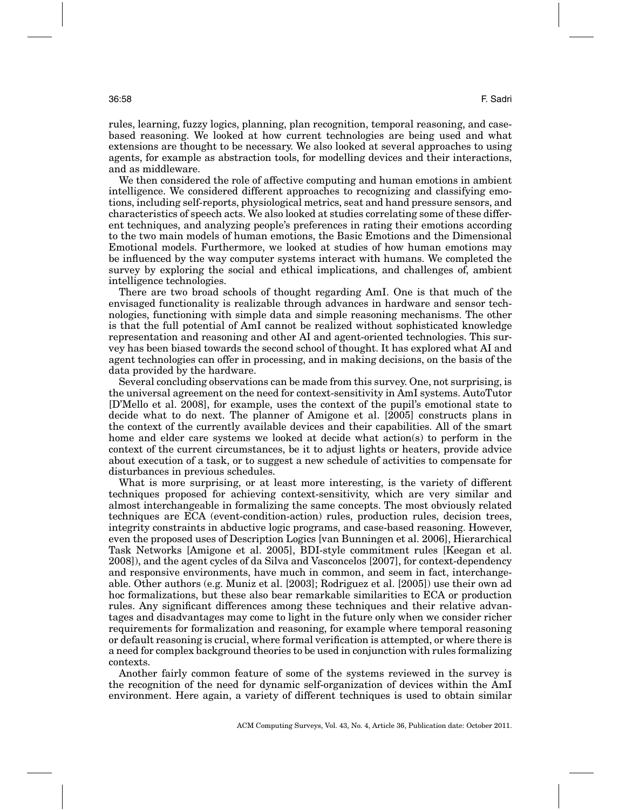rules, learning, fuzzy logics, planning, plan recognition, temporal reasoning, and casebased reasoning. We looked at how current technologies are being used and what extensions are thought to be necessary. We also looked at several approaches to using agents, for example as abstraction tools, for modelling devices and their interactions, and as middleware.

We then considered the role of affective computing and human emotions in ambient intelligence. We considered different approaches to recognizing and classifying emotions, including self-reports, physiological metrics, seat and hand pressure sensors, and characteristics of speech acts. We also looked at studies correlating some of these different techniques, and analyzing people's preferences in rating their emotions according to the two main models of human emotions, the Basic Emotions and the Dimensional Emotional models. Furthermore, we looked at studies of how human emotions may be influenced by the way computer systems interact with humans. We completed the survey by exploring the social and ethical implications, and challenges of, ambient intelligence technologies.

There are two broad schools of thought regarding AmI. One is that much of the envisaged functionality is realizable through advances in hardware and sensor technologies, functioning with simple data and simple reasoning mechanisms. The other is that the full potential of AmI cannot be realized without sophisticated knowledge representation and reasoning and other AI and agent-oriented technologies. This survey has been biased towards the second school of thought. It has explored what AI and agent technologies can offer in processing, and in making decisions, on the basis of the data provided by the hardware.

Several concluding observations can be made from this survey. One, not surprising, is the universal agreement on the need for context-sensitivity in AmI systems. AutoTutor [D'Mello et al. 2008], for example, uses the context of the pupil's emotional state to decide what to do next. The planner of Amigone et al. [2005] constructs plans in the context of the currently available devices and their capabilities. All of the smart home and elder care systems we looked at decide what action(s) to perform in the context of the current circumstances, be it to adjust lights or heaters, provide advice about execution of a task, or to suggest a new schedule of activities to compensate for disturbances in previous schedules.

What is more surprising, or at least more interesting, is the variety of different techniques proposed for achieving context-sensitivity, which are very similar and almost interchangeable in formalizing the same concepts. The most obviously related techniques are ECA (event-condition-action) rules, production rules, decision trees, integrity constraints in abductive logic programs, and case-based reasoning. However, even the proposed uses of Description Logics [van Bunningen et al. 2006], Hierarchical Task Networks [Amigone et al. 2005], BDI-style commitment rules [Keegan et al. 2008]), and the agent cycles of da Silva and Vasconcelos [2007], for context-dependency and responsive environments, have much in common, and seem in fact, interchangeable. Other authors (e.g. Muniz et al. [2003]; Rodriguez et al. [2005]) use their own ad hoc formalizations, but these also bear remarkable similarities to ECA or production rules. Any significant differences among these techniques and their relative advantages and disadvantages may come to light in the future only when we consider richer requirements for formalization and reasoning, for example where temporal reasoning or default reasoning is crucial, where formal verification is attempted, or where there is a need for complex background theories to be used in conjunction with rules formalizing contexts.

Another fairly common feature of some of the systems reviewed in the survey is the recognition of the need for dynamic self-organization of devices within the AmI environment. Here again, a variety of different techniques is used to obtain similar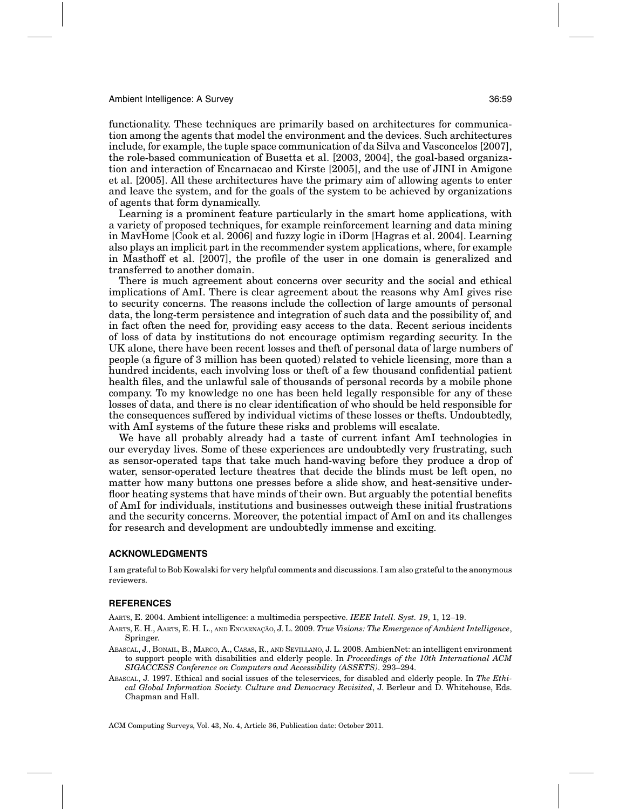functionality. These techniques are primarily based on architectures for communication among the agents that model the environment and the devices. Such architectures include, for example, the tuple space communication of da Silva and Vasconcelos [2007], the role-based communication of Busetta et al. [2003, 2004], the goal-based organization and interaction of Encarnacao and Kirste [2005], and the use of JINI in Amigone et al. [2005]. All these architectures have the primary aim of allowing agents to enter and leave the system, and for the goals of the system to be achieved by organizations of agents that form dynamically.

Learning is a prominent feature particularly in the smart home applications, with a variety of proposed techniques, for example reinforcement learning and data mining in MavHome [Cook et al. 2006] and fuzzy logic in iDorm [Hagras et al. 2004]. Learning also plays an implicit part in the recommender system applications, where, for example in Masthoff et al. [2007], the profile of the user in one domain is generalized and transferred to another domain.

There is much agreement about concerns over security and the social and ethical implications of AmI. There is clear agreement about the reasons why AmI gives rise to security concerns. The reasons include the collection of large amounts of personal data, the long-term persistence and integration of such data and the possibility of, and in fact often the need for, providing easy access to the data. Recent serious incidents of loss of data by institutions do not encourage optimism regarding security. In the UK alone, there have been recent losses and theft of personal data of large numbers of people (a figure of 3 million has been quoted) related to vehicle licensing, more than a hundred incidents, each involving loss or theft of a few thousand confidential patient health files, and the unlawful sale of thousands of personal records by a mobile phone company. To my knowledge no one has been held legally responsible for any of these losses of data, and there is no clear identification of who should be held responsible for the consequences suffered by individual victims of these losses or thefts. Undoubtedly, with AmI systems of the future these risks and problems will escalate.

We have all probably already had a taste of current infant AmI technologies in our everyday lives. Some of these experiences are undoubtedly very frustrating, such as sensor-operated taps that take much hand-waving before they produce a drop of water, sensor-operated lecture theatres that decide the blinds must be left open, no matter how many buttons one presses before a slide show, and heat-sensitive underfloor heating systems that have minds of their own. But arguably the potential benefits of AmI for individuals, institutions and businesses outweigh these initial frustrations and the security concerns. Moreover, the potential impact of AmI on and its challenges for research and development are undoubtedly immense and exciting.

## **ACKNOWLEDGMENTS**

I am grateful to Bob Kowalski for very helpful comments and discussions. I am also grateful to the anonymous reviewers.

### **REFERENCES**

AARTS, E. 2004. Ambient intelligence: a multimedia perspective. *IEEE Intell. Syst. 19*, 1, 12–19.

- AARTS, E. H., AARTS, E. H. L., AND ENCARNAÇÃO, J. L. 2009. *True Visions: The Emergence of Ambient Intelligence*, Springer.
- ABASCAL, J., BONAIL, B., MARCO, A., CASAS, R., AND SEVILLANO, J. L. 2008. AmbienNet: an intelligent environment to support people with disabilities and elderly people. In *Proceedings of the 10th International ACM SIGACCESS Conference on Computers and Accessibility (ASSETS)*. 293–294.
- ABASCAL, J. 1997. Ethical and social issues of the teleservices, for disabled and elderly people. In *The Ethical Global Information Society. Culture and Democracy Revisited*, J. Berleur and D. Whitehouse, Eds. Chapman and Hall.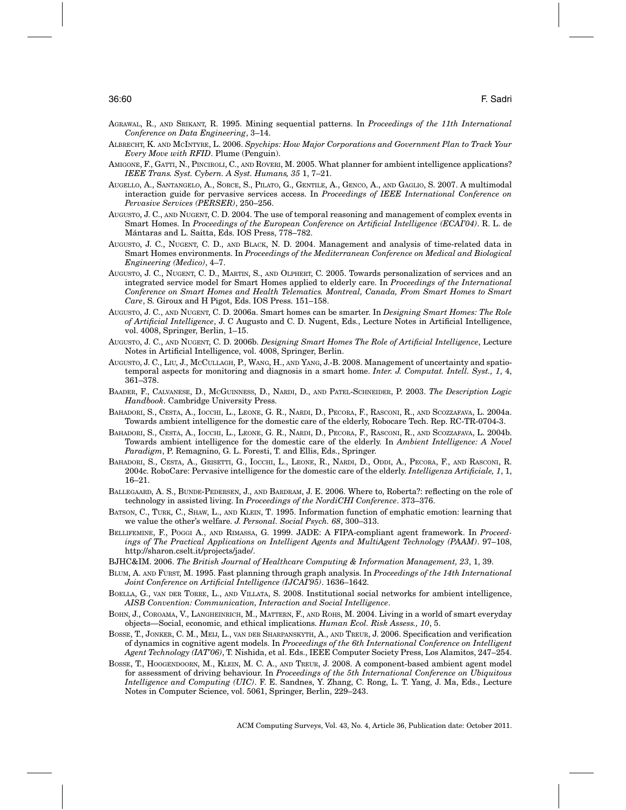- AGRAWAL, R., AND SRIKANT, R. 1995. Mining sequential patterns. In *Proceedings of the 11th International Conference on Data Engineering*, 3–14.
- ALBRECHT, K. AND MCINTYRE, L. 2006. *Spychips: How Major Corporations and Government Plan to Track Your Every Move with RFID*. Plume (Penguin).
- AMIGONE, F., GATTI, N., PINCIROLI, C., AND ROVERI, M. 2005. What planner for ambient intelligence applications? *IEEE Trans. Syst. Cybern. A Syst. Humans, 35* 1, 7–21.
- AUGELLO, A., SANTANGELO, A., SORCE, S., PILATO, G., GENTILE, A., GENCO, A., AND GAGLIO, S. 2007. A multimodal interaction guide for pervasive services access. In *Proceedings of IEEE International Conference on Pervasive Services (PERSER)*, 250–256.
- AUGUSTO, J. C., AND NUGENT, C. D. 2004. The use of temporal reasoning and management of complex events in Smart Homes. In *Proceedings of the European Conference on Artificial Intelligence (ECAI'04)*. R. L. de Mántaras and L. Saitta, Eds. IOS Press, 778-782.
- AUGUSTO, J. C., NUGENT, C. D., AND BLACK, N. D. 2004. Management and analysis of time-related data in Smart Homes environments. In *Proceedings of the Mediterranean Conference on Medical and Biological Engineering (Medico)*, 4–7.
- AUGUSTO, J. C., NUGENT, C. D., MARTIN, S., AND OLPHERT, C. 2005. Towards personalization of services and an integrated service model for Smart Homes applied to elderly care. In *Proceedings of the International Conference on Smart Homes and Health Telematics. Montreal, Canada, From Smart Homes to Smart Care*, S. Giroux and H Pigot, Eds. IOS Press. 151–158.
- AUGUSTO, J. C., AND NUGENT, C. D. 2006a. Smart homes can be smarter. In *Designing Smart Homes: The Role of Artificial Intelligence*, J. C Augusto and C. D. Nugent, Eds., Lecture Notes in Artificial Intelligence, vol. 4008, Springer, Berlin, 1–15.
- AUGUSTO, J. C., AND NUGENT, C. D. 2006b. *Designing Smart Homes The Role of Artificial Intelligence*, Lecture Notes in Artificial Intelligence, vol. 4008, Springer, Berlin.
- AUGUSTO, J. C., LIU, J., MCCULLAGH, P., WANG, H., AND YANG, J.-B. 2008. Management of uncertainty and spatiotemporal aspects for monitoring and diagnosis in a smart home. *Inter. J. Computat. Intell. Syst., 1*, 4, 361–378.
- BAADER, F., CALVANESE, D., MCGUINNESS, D., NARDI, D., AND PATEL-SCHNEIDER, P. 2003. *The Description Logic Handbook*. Cambridge University Press.
- BAHADORI, S., CESTA, A., IOCCHI, L., LEONE, G. R., NARDI, D., PECORA, F., RASCONI, R., AND SCOZZAFAVA, L. 2004a. Towards ambient intelligence for the domestic care of the elderly, Robocare Tech. Rep. RC-TR-0704-3.
- BAHADORI, S., CESTA, A., IOCCHI, L., LEONE, G. R., NARDI, D., PECORA, F., RASCONI, R., AND SCOZZAFAVA, L. 2004b. Towards ambient intelligence for the domestic care of the elderly. In *Ambient Intelligence: A Novel Paradigm*, P. Remagnino, G. L. Foresti, T. and Ellis, Eds., Springer.
- BAHADORI, S., CESTA, A., GRISETTI, G., IOCCHI, L., LEONE, R., NARDI, D., ODDI, A., PECORA, F., AND RASCONI, R. 2004c. RoboCare: Pervasive intelligence for the domestic care of the elderly. *Intelligenza Artificiale, 1*, 1, 16–21.
- BALLEGAARD, A. S., BUNDE-PEDERSEN, J., AND BARDRAM, J. E. 2006. Where to, Roberta?: reflecting on the role of technology in assisted living. In *Proceedings of the NordiCHI Conference*. 373–376.
- BATSON, C., TURK, C., SHAW, L., AND KLEIN, T. 1995. Information function of emphatic emotion: learning that we value the other's welfare. *J. Personal. Social Psych. 68*, 300–313.
- BELLIFEMINE, F., POGGI A., AND RIMASSA, G. 1999. JADE: A FIPA-compliant agent framework. In *Proceedings of The Practical Applications on Intelligent Agents and MultiAgent Technology (PAAM)*. 97–108, http://sharon.cselt.it/projects/jade/.
- BJHC&IM. 2006. *The British Journal of Healthcare Computing & Information Management, 23*, 1, 39.
- BLUM, A. AND FURST, M. 1995. Fast planning through graph analysis. In *Proceedings of the 14th International Joint Conference on Artificial Intelligence (IJCAI'95)*. 1636–1642.
- BOELLA, G., VAN DER TORRE, L., AND VILLATA, S. 2008. Institutional social networks for ambient intelligence, *AISB Convention: Communication, Interaction and Social Intelligence*.
- BOHN, J., COROAMA, V., LANGHEINRICH, M., MATTERN, F., AND ROHS, M. 2004. Living in a world of smart everyday objects—Social, economic, and ethical implications. *Human Ecol. Risk Assess., 10*, 5.
- BOSSE, T., JONKER, C. M., MEIJ, L., VAN DER SHARPANSKYTH, A., AND TREUR, J. 2006. Specification and verification of dynamics in cognitive agent models. In *Proceedings of the 6th International Conference on Intelligent Agent Technology (IAT'06)*, T. Nishida, et al. Eds., IEEE Computer Society Press, Los Alamitos, 247–254.
- BOSSE, T., HOOGENDOORN, M., KLEIN, M. C. A., AND TREUR, J. 2008. A component-based ambient agent model for assessment of driving behaviour. In *Proceedings of the 5th International Conference on Ubiquitous Intelligence and Computing (UIC)*. F. E. Sandnes, Y. Zhang, C. Rong, L. T. Yang, J. Ma, Eds., Lecture Notes in Computer Science, vol. 5061, Springer, Berlin, 229–243.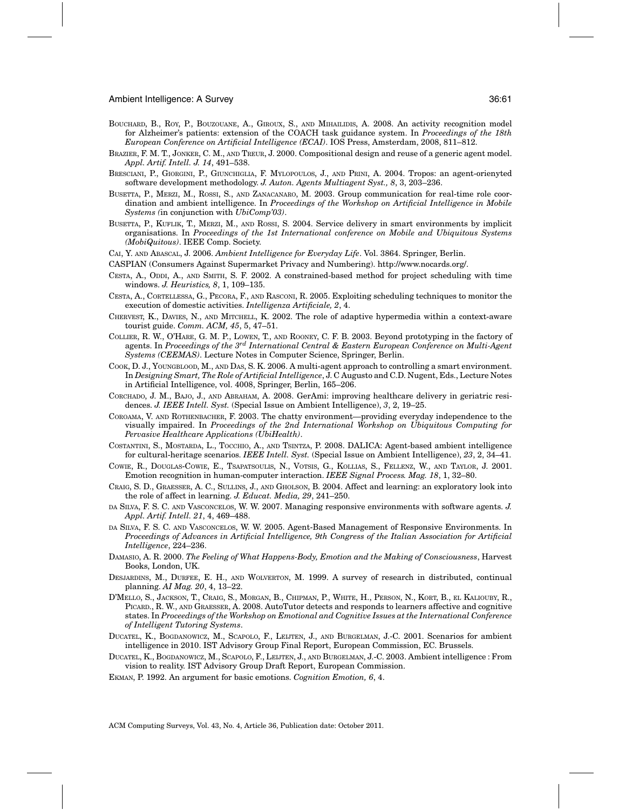- BOUCHARD, B., ROY, P., BOUZOUANE, A., GIROUX, S., AND MIHAILIDIS, A. 2008. An activity recognition model for Alzheimer's patients: extension of the COACH task guidance system. In *Proceedings of the 18th European Conference on Artificial Intelligence (ECAI)*. IOS Press, Amsterdam, 2008, 811–812.
- BRAZIER, F. M. T., JONKER, C. M., AND TREUR, J. 2000. Compositional design and reuse of a generic agent model. *Appl. Artif. Intell. J. 14*, 491–538.
- BRESCIANI, P., GIORGINI, P., GIUNCHIGLIA, F. MYLOPOULOS, J., AND PRINI, A. 2004. Tropos: an agent-orienyted software development methodology. *J. Auton. Agents Multiagent Syst., 8*, 3, 203–236.
- BUSETTA, P., MERZI, M., ROSSI, S., AND ZANACANARO, M. 2003. Group communication for real-time role coordination and ambient intelligence. In *Proceedings of the Workshop on Artificial Intelligence in Mobile Systems (*in conjunction with *UbiComp'03)*.
- BUSETTA, P., KUFLIK, T., MERZI, M., AND ROSSI, S. 2004. Service delivery in smart environments by implicit organisations. In *Proceedings of the 1st International conference on Mobile and Ubiquitous Systems (MobiQuitous)*. IEEE Comp. Society.
- CAI, Y. AND ABASCAL, J. 2006. *Ambient Intelligence for Everyday Life*. Vol. 3864. Springer, Berlin.
- CASPIAN (Consumers Against Supermarket Privacy and Numbering). http://www.nocards.org/.
- CESTA, A., ODDI, A., AND SMITH, S. F. 2002. A constrained-based method for project scheduling with time windows. *J. Heuristics, 8*, 1, 109–135.
- CESTA, A., CORTELLESSA, G., PECORA, F., AND RASCONI, R. 2005. Exploiting scheduling techniques to monitor the execution of domestic activities. *Intelligenza Artificiale, 2*, 4.
- CHERVEST, K., DAVIES, N., AND MITCHELL, K. 2002. The role of adaptive hypermedia within a context-aware tourist guide. *Comm. ACM, 45*, 5, 47–51.
- COLLIER, R. W., O'HARE, G. M. P., LOWEN, T., AND ROONEY, C. F. B. 2003. Beyond prototyping in the factory of agents. In *Proceedings of the 3rd International Central & Eastern European Conference on Multi-Agent Systems (CEEMAS)*. Lecture Notes in Computer Science, Springer, Berlin.
- COOK, D. J., YOUNGBLOOD, M., AND DAS, S. K. 2006. A multi-agent approach to controlling a smart environment. In *Designing Smart, The Role of Artificial Intelligence*, J. C Augusto and C.D. Nugent, Eds., Lecture Notes in Artificial Intelligence, vol. 4008, Springer, Berlin, 165–206.
- CORCHADO, J. M., BAJO, J., AND ABRAHAM, A. 2008. GerAmi: improving healthcare delivery in geriatric residences. *J. IEEE Intell. Syst.* (Special Issue on Ambient Intelligence), *3*, 2, 19–25.
- COROAMA, V. AND ROTHENBACHER, F. 2003. The chatty environment—providing everyday independence to the visually impaired. In *Proceedings of the 2nd International Workshop on Ubiquitous Computing for Pervasive Healthcare Applications (UbiHealth)*.
- COSTANTINI, S., MOSTARDA, L., TOCCHIO, A., AND TSINTZA, P. 2008. DALICA: Agent-based ambient intelligence for cultural-heritage scenarios. *IEEE Intell. Syst.* (Special Issue on Ambient Intelligence), *23*, 2, 34–41.
- COWIE, R., DOUGLAS-COWIE, E., TSAPATSOULIS, N., VOTSIS, G., KOLLIAS, S., FELLENZ, W., AND TAYLOR, J. 2001. Emotion recognition in human-computer interaction. *IEEE Signal Process. Mag. 18*, 1, 32–80.
- CRAIG, S. D., GRAESSER, A. C., SULLINS, J., AND GHOLSON, B. 2004. Affect and learning: an exploratory look into the role of affect in learning. *J. Educat. Media, 29*, 241–250.
- DA SILVA, F. S. C. AND VASCONCELOS, W. W. 2007. Managing responsive environments with software agents. *J. Appl. Artif. Intell. 21*, 4, 469–488.
- DA SILVA, F. S. C. AND VASCONCELOS, W. W. 2005. Agent-Based Management of Responsive Environments. In *Proceedings of Advances in Artificial Intelligence, 9th Congress of the Italian Association for Artificial Intelligence*, 224–236.
- DAMASIO, A. R. 2000. *The Feeling of What Happens-Body, Emotion and the Making of Consciousness*, Harvest Books, London, UK.
- DESJARDINS, M., DURFEE, E. H., AND WOLVERTON, M. 1999. A survey of research in distributed, continual planning. *AI Mag. 20*, 4, 13–22.
- D'MELLO, S., JACKSON, T., CRAIG, S., MORGAN, B., CHIPMAN, P., WHITE, H., PERSON, N., KORT, B., EL KALIOUBY, R., PICARD., R. W., AND GRAESSER, A. 2008. AutoTutor detects and responds to learners affective and cognitive states. In *Proceedings of the Workshop on Emotional and Cognitive Issues at the International Conference of Intelligent Tutoring Systems*.
- DUCATEL, K., BOGDANOWICZ, M., SCAPOLO, F., LEIJTEN, J., AND BURGELMAN, J.-C. 2001. Scenarios for ambient intelligence in 2010. IST Advisory Group Final Report, European Commission, EC. Brussels.
- DUCATEL, K., BOGDANOWICZ, M., SCAPOLO, F., LEIJTEN, J., AND BURGELMAN, J.-C. 2003. Ambient intelligence : From vision to reality. IST Advisory Group Draft Report, European Commission.
- EKMAN, P. 1992. An argument for basic emotions. *Cognition Emotion, 6*, 4.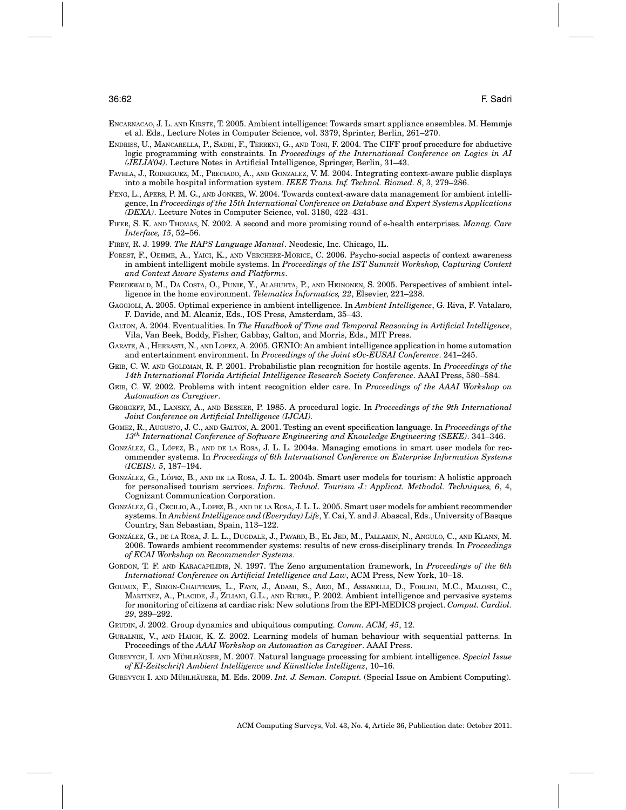- ENCARNACAO, J. L. AND KIRSTE, T. 2005. Ambient intelligence: Towards smart appliance ensembles. M. Hemmje et al. Eds., Lecture Notes in Computer Science, vol. 3379, Sprinter, Berlin, 261–270.
- ENDRISS, U., MANCARELLA, P., SADRI, F., TERRENI, G., AND TONI, F. 2004. The CIFF proof procedure for abductive logic programming with constraints. In *Proceedings of the International Conference on Logics in AI (JELIA'04)*. Lecture Notes in Artificial Intelligence, Springer, Berlin, 31–43.
- FAVELA, J., RODRIGUEZ, M., PRECIADO, A., AND GONZALEZ, V. M. 2004. Integrating context-aware public displays into a mobile hospital information system. *IEEE Trans. Inf. Technol. Biomed. 8*, 3, 279–286.
- FENG, L., APERS, P. M. G., AND JONKER, W. 2004. Towards context-aware data management for ambient intelligence, In *Proceedings of the 15th International Conference on Database and Expert Systems Applications (DEXA)*. Lecture Notes in Computer Science, vol. 3180, 422–431.
- FIFER, S. K. AND THOMAS, N. 2002. A second and more promising round of e-health enterprises. *Manag. Care Interface, 15*, 52–56.
- FIRBY, R. J. 1999. *The RAPS Language Manual*. Neodesic, Inc. Chicago, IL.
- FOREST, F., OEHME, A., YAICI, K., AND VERCHERE-MORICE, C. 2006. Psycho-social aspects of context awareness in ambient intelligent mobile systems. In *Proceedings of the IST Summit Workshop, Capturing Context and Context Aware Systems and Platforms*.
- FRIEDEWALD, M., DA COSTA, O., PUNIE, Y., ALAHUHTA, P., AND HEINONEN, S. 2005. Perspectives of ambient intelligence in the home environment. *Telematics Informatics, 22*, Elsevier, 221–238.
- GAGGIOLI, A. 2005. Optimal experience in ambient intelligence. In *Ambient Intelligence*, G. Riva, F. Vatalaro, F. Davide, and M. Alcaniz, Eds., IOS Press, Amsterdam, 35–43.
- GALTON, A. 2004. Eventualities. In *The Handbook of Time and Temporal Reasoning in Artificial Intelligence*, Vila, Van Beek, Boddy, Fisher, Gabbay, Galton, and Morris, Eds., MIT Press.
- GARATE, A., HERRASTI, N., AND LOPEZ, A. 2005. GENIO: An ambient intelligence application in home automation and entertainment environment. In *Proceedings of the Joint sOc-EUSAI Conference*. 241–245.
- GEIB, C. W. AND GOLDMAN, R. P. 2001. Probabilistic plan recognition for hostile agents. In *Proceedings of the 14th International Florida Artificial Intelligence Research Society Conference*. AAAI Press, 580–584.
- GEIB, C. W. 2002. Problems with intent recognition elder care. In *Proceedings of the AAAI Workshop on Automation as Caregiver*.
- GEORGEFF, M., LANSKY, A., AND BESSIER, P. 1985. A procedural logic. In *Proceedings of the 9th International Joint Conference on Artificial Intelligence (IJCAI).*
- GOMEZ, R., AUGUSTO, J. C., AND GALTON, A. 2001. Testing an event specification language. In *Proceedings of the 13th International Conference of Software Engineering and Knowledge Engineering (SEKE)*. 341–346.
- GONZÁLEZ, G., LÓPEZ, B., AND DE LA ROSA, J. L. L. 2004a. Managing emotions in smart user models for recommender systems. In *Proceedings of 6th International Conference on Enterprise Information Systems (ICEIS). 5*, 187–194.
- GONZÁLEZ, G., LÓPEZ, B., AND DE LA ROSA, J. L. L. 2004b. Smart user models for tourism: A holistic approach for personalised tourism services. *Inform. Technol. Tourism J.: Applicat. Methodol. Techniques, 6*, 4, Cognizant Communication Corporation.
- GONZÁLEZ, G., CECILIO, A., LOPEZ, B., AND DE LA ROSA, J. L. L. 2005. Smart user models for ambient recommender systems. In *Ambient Intelligence and (Everyday) Life*, Y. Cai, Y. and J. Abascal, Eds., University of Basque Country, San Sebastian, Spain, 113–122.
- GONZÁLEZ, G., DE LA ROSA, J. L. L., DUGDALE, J., PAVARD, B., EL JED, M., PALLAMIN, N., ANGULO, C., AND KLANN, M. 2006. Towards ambient recommender systems: results of new cross-disciplinary trends. In *Proceedings of ECAI Workshop on Recommender Systems*.
- GORDON, T. F. AND KARACAPILIDIS, N. 1997. The Zeno argumentation framework, In *Proceedings of the 6th International Conference on Artificial Intelligence and Law*, ACM Press, New York, 10–18.
- GOUAUX, F., SIMON-CHAUTEMPS, L., FAYN, J., ADAMI, S., ARZI, M., ASSANELLI, D., FORLINI, M.C., MALOSSI, C., MARTINEZ, A., PLACIDE, J., ZILIANI, G.L., AND RUBEL, P. 2002. Ambient intelligence and pervasive systems for monitoring of citizens at cardiac risk: New solutions from the EPI-MEDICS project. *Comput. Cardiol. 29*, 289–292.
- GRUDIN, J. 2002. Group dynamics and ubiquitous computing. *Comm. ACM, 45*, 12.
- GURALNIK, V., AND HAIGH, K. Z. 2002. Learning models of human behaviour with sequential patterns. In Proceedings of the *AAAI Workshop on Automation as Caregiver*. AAAI Press.
- GUREVYCH, I. AND MÜHLHÄUSER, M. 2007. Natural language processing for ambient intelligence. Special Issue *of KI-Zeitschrift Ambient Intelligence und K ¨unstliche Intelligenz*, 10–16.
- GUREVYCH I. AND MÜHLHÄUSER, M. Eds. 2009. *Int. J. Seman. Comput.* (Special Issue on Ambient Computing).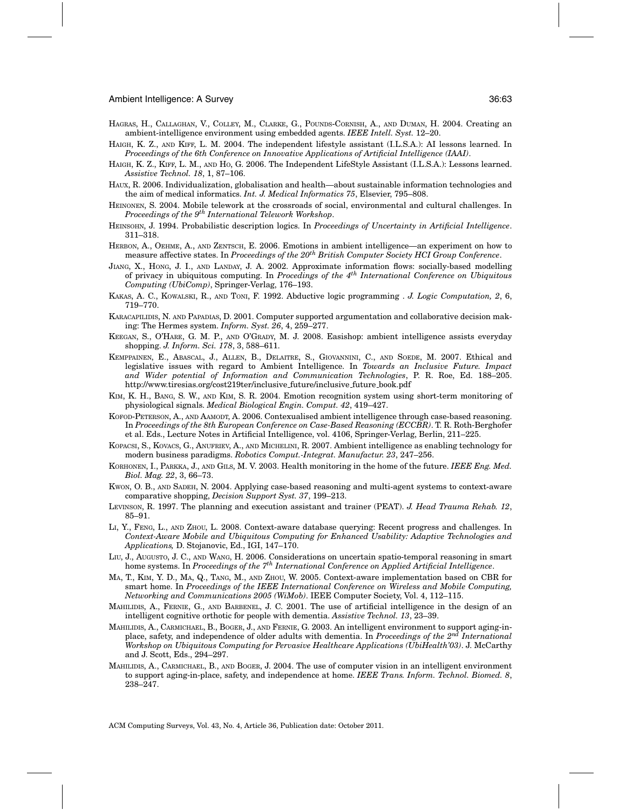- HAGRAS, H., CALLAGHAN, V., COLLEY, M., CLARKE, G., POUNDS-CORNISH, A., AND DUMAN, H. 2004. Creating an ambient-intelligence environment using embedded agents. *IEEE Intell. Syst.* 12–20.
- HAIGH, K. Z., AND KIFF, L. M. 2004. The independent lifestyle assistant (I.L.S.A.): AI lessons learned. In *Proceedings of the 6th Conference on Innovative Applications of Artificial Intelligence (IAAI)*.
- HAIGH, K. Z., KIFF, L. M., AND HO, G. 2006. The Independent LifeStyle Assistant (I.L.S.A.): Lessons learned. *Assistive Technol. 18*, 1, 87–106.
- HAUX, R. 2006. Individualization, globalisation and health—about sustainable information technologies and the aim of medical informatics. *Int. J. Medical Informatics 75*, Elsevier, 795–808.
- HEINONEN, S. 2004. Mobile telework at the crossroads of social, environmental and cultural challenges. In *Proceedings of the 9th International Telework Workshop*.
- HEINSOHN, J. 1994. Probabilistic description logics. In *Proceedings of Uncertainty in Artificial Intelligence*. 311–318.
- HERBON, A., OEHME, A., AND ZENTSCH, E. 2006. Emotions in ambient intelligence—an experiment on how to measure affective states. In *Proceedings of the 20th British Computer Society HCI Group Conference*.
- JIANG, X., HONG, J. I., AND LANDAY, J. A. 2002. Approximate information flows: socially-based modelling of privacy in ubiquitous computing. In *Procedings of the 4th International Conference on Ubiquitous Computing (UbiComp)*, Springer-Verlag, 176–193.
- KAKAS, A. C., KOWALSKI, R., AND TONI, F. 1992. Abductive logic programming . *J. Logic Computation, 2*, 6, 719–770.
- KARACAPILIDIS, N. AND PAPADIAS, D. 2001. Computer supported argumentation and collaborative decision making: The Hermes system. *Inform. Syst. 26*, 4, 259–277.
- KEEGAN, S., O'HARE, G. M. P., AND O'GRADY, M. J. 2008. Easishop: ambient intelligence assists everyday shopping. *J. Inform. Sci. 178*, 3, 588–611.
- KEMPPAINEN, E., ABASCAL, J., ALLEN, B., DELAITRE, S., GIOVANNINI, C., AND SOEDE, M. 2007. Ethical and legislative issues with regard to Ambient Intelligence. In *Towards an Inclusive Future. Impact and Wider potential of Information and Communication Technologies*, P. R. Roe, Ed. 188–205. http://www.tiresias.org/cost219ter/inclusive future/inclusive future book.pdf
- KIM, K. H., BANG, S. W., AND KIM, S. R. 2004. Emotion recognition system using short-term monitoring of physiological signals. *Medical Biological Engin. Comput. 42*, 419–427.
- KOFOD-PETERSON, A., AND AAMODT, A. 2006. Contexualised ambient intelligence through case-based reasoning. In *Proceedings of the 8th European Conference on Case-Based Reasoning (ECCBR)*. T. R. Roth-Berghofer et al. Eds., Lecture Notes in Artificial Intelligence, vol. 4106, Springer-Verlag, Berlin, 211–225.
- KOPACSI, S., KOVACS, G., ANUFRIEV, A., AND MICHELINI, R. 2007. Ambient intelligence as enabling technology for modern business paradigms. *Robotics Comput.-Integrat. Manufactur. 23*, 247–256.
- KORHONEN, I., PARKKA, J., AND GILS, M. V. 2003. Health monitoring in the home of the future. *IEEE Eng. Med. Biol. Mag. 22*, 3, 66–73.
- KWON, O. B., AND SADEH, N. 2004. Applying case-based reasoning and multi-agent systems to context-aware comparative shopping, *Decision Support Syst. 37*, 199–213.
- LEVINSON, R. 1997. The planning and execution assistant and trainer (PEAT). *J. Head Trauma Rehab. 12*, 85–91.
- LI, Y., FENG, L., AND ZHOU, L. 2008. Context-aware database querying: Recent progress and challenges. In *Context-Aware Mobile and Ubiquitous Computing for Enhanced Usability: Adaptive Technologies and Applications,* D. Stojanovic, Ed., IGI, 147–170.
- LIU, J., AUGUSTO, J. C., AND WANG, H. 2006. Considerations on uncertain spatio-temporal reasoning in smart home systems. In *Proceedings of the 7th International Conference on Applied Artificial Intelligence*.
- MA, T., KIM, Y. D., MA, Q., TANG, M., AND ZHOU, W. 2005. Context-aware implementation based on CBR for smart home. In *Proceedings of the IEEE International Conference on Wireless and Mobile Computing, Networking and Communications 2005 (WiMob)*. IEEE Computer Society, Vol. 4, 112–115.
- MAHILIDIS, A., FERNIE, G., AND BARBENEL, J. C. 2001. The use of artificial intelligence in the design of an intelligent cognitive orthotic for people with dementia. *Assistive Technol. 13*, 23–39.
- MAHILIDIS, A., CARMICHAEL, B., BOGER, J., AND FERNIE, G. 2003. An intelligent environment to support aging-inplace, safety, and independence of older adults with dementia. In *Proceedings of the 2nd International Workshop on Ubiquitous Computing for Pervasive Healthcare Applications (UbiHealth'03)*. J. McCarthy and J. Scott, Eds., 294–297.
- MAHILIDIS, A., CARMICHAEL, B., AND BOGER, J. 2004. The use of computer vision in an intelligent environment to support aging-in-place, safety, and independence at home. *IEEE Trans. Inform. Technol. Biomed. 8*, 238–247.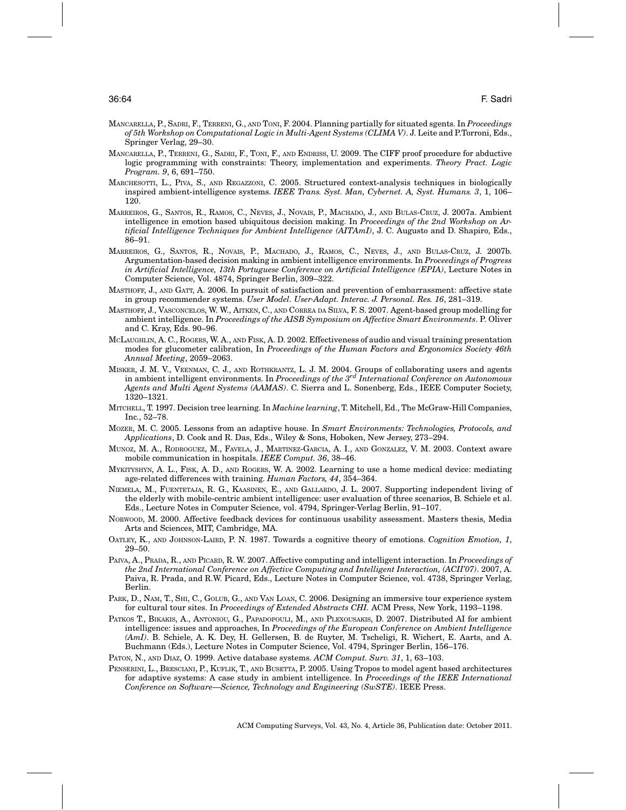- MANCARELLA, P., SADRI, F., TERRENI, G., AND TONI, F. 2004. Planning partially for situated sgents. In *Proceedings of 5th Workshop on Computational Logic in Multi-Agent Systems (CLIMA V)*. J. Leite and P.Torroni, Eds., Springer Verlag, 29–30.
	- MANCARELLA, P., TERRENI, G., SADRI, F., TONI, F., AND ENDRISS, U. 2009. The CIFF proof procedure for abductive logic programming with constraints: Theory, implementation and experiments. *Theory Pract. Logic Program. 9*, 6, 691–750.
	- MARCHESOTTI, L., PIVA, S., AND REGAZZONI, C. 2005. Structured context-analysis techniques in biologically inspired ambient-intelligence systems. *IEEE Trans. Syst. Man, Cybernet. A, Syst. Humans. 3*, 1, 106– 120.
	- MARREIROS, G., SANTOS, R., RAMOS, C., NEVES, J., NOVAIS, P., MACHADO, J., AND BULAS-CRUZ, J. 2007a. Ambient intelligence in emotion based ubiquitous decision making. In *Proceedings of the 2nd Workshop on Artificial Intelligence Techniques for Ambient Intelligence (AITAmI)*, J. C. Augusto and D. Shapiro, Eds., 86–91.
	- MARREIROS, G., SANTOS, R., NOVAIS, P., MACHADO, J., RAMOS, C., NEVES, J., AND BULAS-CRUZ, J. 2007b. Argumentation-based decision making in ambient intelligence environments. In *Proceedings of Progress in Artificial Intelligence, 13th Portuguese Conference on Artificial Intelligence (EPIA)*, Lecture Notes in Computer Science, Vol. 4874, Springer Berlin, 309–322.
	- MASTHOFF, J., AND GATT, A. 2006. In pursuit of satisfaction and prevention of embarrassment: affective state in group recommender systems. *User Model. User-Adapt. Interac. J. Personal. Res. 16*, 281–319.
	- MASTHOFF, J., VASCONCELOS, W. W., AITKEN, C., AND CORREA DA SILVA, F. S. 2007. Agent-based group modelling for ambient intelligence. In *Proceedings of the AISB Symposium on Affective Smart Environments*. P. Oliver and C. Kray, Eds. 90–96.
	- MCLAUGHLIN, A. C., ROGERS, W. A., AND FISK, A. D. 2002. Effectiveness of audio and visual training presentation modes for glucometer calibration, In *Proceedings of the Human Factors and Ergonomics Society 46th Annual Meeting*, 2059–2063.
	- MISKER, J. M. V., VEENMAN, C. J., AND ROTHKRANTZ, L. J. M. 2004. Groups of collaborating users and agents in ambient intelligent environments. In *Proceedings of the 3rd International Conference on Autonomous Agents and Multi Agent Systems (AAMAS)*. C. Sierra and L. Sonenberg, Eds., IEEE Computer Society, 1320–1321.
	- MITCHELL, T. 1997. Decision tree learning. In *Machine learning*, T. Mitchell, Ed., The McGraw-Hill Companies, Inc., 52–78.
	- MOZER, M. C. 2005. Lessons from an adaptive house. In *Smart Environments: Technologies, Protocols, and Applications*, D. Cook and R. Das, Eds., Wiley & Sons, Hoboken, New Jersey, 273–294.
	- MUNOZ, M. A., RODROGUEZ, M., FAVELA, J., MARTINEZ-GARCIA, A. I., AND GONZALEZ, V. M. 2003. Context aware mobile communication in hospitals. *IEEE Comput. 36*, 38–46.
	- MYKITYSHYN, A. L., FISK, A. D., AND ROGERS, W. A. 2002. Learning to use a home medical device: mediating age-related differences with training. *Human Factors, 44*, 354–364.
	- NIEMELA, M., FUENTETAJA, R. G., KAASINEN, E., AND GALLARDO, J. L. 2007. Supporting independent living of the elderly with mobile-centric ambient intelligence: user evaluation of three scenarios, B. Schiele et al. Eds., Lecture Notes in Computer Science, vol. 4794, Springer-Verlag Berlin, 91–107.
	- NORWOOD, M. 2000. Affective feedback devices for continuous usability assessment. Masters thesis, Media Arts and Sciences, MIT, Cambridge, MA.
	- OATLEY, K., AND JOHNSON-LAIRD, P. N. 1987. Towards a cognitive theory of emotions. *Cognition Emotion, 1*, 29–50.
	- PAIVA, A., PRADA, R., AND PICARD, R. W. 2007. Affective computing and intelligent interaction. In *Proceedings of the 2nd International Conference on Affective Computing and Intelligent Interaction, (ACII'07)*. 2007, A. Paiva, R. Prada, and R.W. Picard, Eds., Lecture Notes in Computer Science, vol. 4738, Springer Verlag, Berlin.
	- PARK, D., NAM, T., SHI, C., GOLUB, G., AND VAN LOAN, C. 2006. Designing an immersive tour experience system for cultural tour sites. In *Proceedings of Extended Abstracts CHI.* ACM Press, New York, 1193–1198.
	- PATKOS T., BIKAKIS, A., ANTONIOU, G., PAPADOPOULI, M., AND PLEXOUSAKIS, D. 2007. Distributed AI for ambient intelligence: issues and approaches, In *Proceedings of the European Conference on Ambient Intelligence (AmI)*. B. Schiele, A. K. Dey, H. Gellersen, B. de Ruyter, M. Tscheligi, R. Wichert, E. Aarts, and A. Buchmann (Eds.), Lecture Notes in Computer Science, Vol. 4794, Springer Berlin, 156–176.
	- PATON, N., AND DIAZ, O. 1999. Active database systems. *ACM Comput. Surv. 31*, 1, 63–103.
	- PENSERINI, L., BRESCIANI, P., KUFLIK, T., AND BUSETTA, P. 2005. Using Tropos to model agent based architectures for adaptive systems: A case study in ambient intelligence. In *Proceedings of the IEEE International Conference on Software—Science, Technology and Engineering (SwSTE)*. IEEE Press.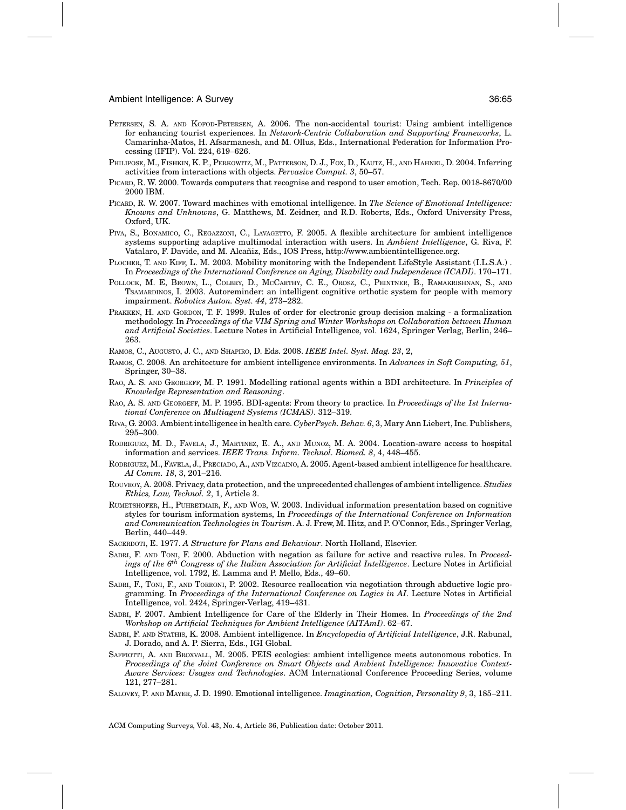- PETERSEN, S. A. AND KOFOD-PETERSEN, A. 2006. The non-accidental tourist: Using ambient intelligence for enhancing tourist experiences. In *Network-Centric Collaboration and Supporting Frameworks*, L. Camarinha-Matos, H. Afsarmanesh, and M. Ollus, Eds., International Federation for Information Processing (IFIP). Vol. 224, 619–626.
- PHILIPOSE, M., FISHKIN, K. P., PERKOWITZ, M., PATTERSON, D. J., FOX, D., KAUTZ, H., AND HAHNEL, D. 2004. Inferring activities from interactions with objects. *Pervasive Comput. 3*, 50–57.
- PICARD, R. W. 2000. Towards computers that recognise and respond to user emotion, Tech. Rep. 0018-8670/00 2000 IBM.
- PICARD, R. W. 2007. Toward machines with emotional intelligence. In *The Science of Emotional Intelligence: Knowns and Unknowns*, G. Matthews, M. Zeidner, and R.D. Roberts, Eds., Oxford University Press, Oxford, UK.
- PIVA, S., BONAMICO, C., REGAZZONI, C., LAVAGETTO, F. 2005. A flexible architecture for ambient intelligence systems supporting adaptive multimodal interaction with users. In *Ambient Intelligence*, G. Riva, F. Vatalaro, F. Davide, and M. Alcañiz, Eds., IOS Press, http://www.ambientintelligence.org.
- PLOCHER, T. AND KIFF, L. M. 2003. Mobility monitoring with the Independent LifeStyle Assistant (I.L.S.A.) . In *Proceedings of the International Conference on Aging, Disability and Independence (ICADI)*. 170–171.
- POLLOCK, M. E, BROWN, L., COLBRY, D., MCCARTHY, C. E., OROSZ, C., PEINTNER, B., RAMAKRISHNAN, S., AND TSAMARDINOS, I. 2003. Autoreminder: an intelligent cognitive orthotic system for people with memory impairment. *Robotics Auton. Syst. 44*, 273–282.
- PRAKKEN, H. AND GORDON, T. F. 1999. Rules of order for electronic group decision making a formalization methodology. In *Proceedings of the VIM Spring and Winter Workshops on Collaboration between Human and Artificial Societies*. Lecture Notes in Artificial Intelligence, vol. 1624, Springer Verlag, Berlin, 246– 263.
- RAMOS, C., AUGUSTO, J. C., AND SHAPIRO, D. Eds. 2008. *IEEE Intel. Syst. Mag. 23*, 2,
- RAMOS, C. 2008. An architecture for ambient intelligence environments. In *Advances in Soft Computing, 51*, Springer, 30–38.
- RAO, A. S. AND GEORGEFF, M. P. 1991. Modelling rational agents within a BDI architecture. In *Principles of Knowledge Representation and Reasoning*.
- RAO, A. S. AND GEORGEFF, M. P. 1995. BDI-agents: From theory to practice. In *Proceedings of the 1st International Conference on Multiagent Systems (ICMAS)*. 312–319.
- RIVA, G. 2003. Ambient intelligence in health care. *CyberPsych. Behav. 6*, 3, Mary Ann Liebert, Inc. Publishers, 295–300.
- RODRIGUEZ, M. D., FAVELA, J., MARTINEZ, E. A., AND MUNOZ, M. A. 2004. Location-aware access to hospital information and services. *IEEE Trans. Inform. Technol. Biomed. 8*, 4, 448–455.
- RODRIGUEZ, M., FAVELA, J., PRECIADO, A., AND VIZCAINO, A. 2005. Agent-based ambient intelligence for healthcare. *AI Comm. 18*, 3, 201–216.
- ROUVROY, A. 2008. Privacy, data protection, and the unprecedented challenges of ambient intelligence. *Studies Ethics, Law, Technol. 2*, 1, Article 3.
- RUMETSHOFER, H., PUHRETMAIR, F., AND WOB, W. 2003. Individual information presentation based on cognitive styles for tourism information systems, In *Proceedings of the International Conference on Information and Communication Technologies in Tourism*. A. J. Frew, M. Hitz, and P. O'Connor, Eds., Springer Verlag, Berlin, 440–449.
- SACERDOTI, E. 1977. *A Structure for Plans and Behaviour*. North Holland, Elsevier.
- SADRI, F. AND TONI, F. 2000. Abduction with negation as failure for active and reactive rules. In *Proceedings of the 6th Congress of the Italian Association for Artificial Intelligence*. Lecture Notes in Artificial Intelligence, vol. 1792, E. Lamma and P. Mello, Eds., 49–60.
- SADRI, F., TONI, F., AND TORRONI, P. 2002. Resource reallocation via negotiation through abductive logic programming. In *Proceedings of the International Conference on Logics in AI*. Lecture Notes in Artificial Intelligence, vol. 2424, Springer-Verlag, 419–431.
- SADRI, F. 2007. Ambient Intelligence for Care of the Elderly in Their Homes. In *Proceedings of the 2nd Workshop on Artificial Techniques for Ambient Intelligence (AITAmI)*. 62–67.
- SADRI, F. AND STATHIS, K. 2008. Ambient intelligence. In *Encyclopedia of Artificial Intelligence*, J.R. Rabunal, J. Dorado, and A. P. Sierra, Eds., IGI Global.
- SAFFIOTTI, A. AND BROXVALL, M. 2005. PEIS ecologies: ambient intelligence meets autonomous robotics. In *Proceedings of the Joint Conference on Smart Objects and Ambient Intelligence: Innovative Context-Aware Services: Usages and Technologies*. ACM International Conference Proceeding Series, volume 121, 277–281.

SALOVEY, P. AND MAYER, J. D. 1990. Emotional intelligence. *Imagination, Cognition, Personality 9*, 3, 185–211.